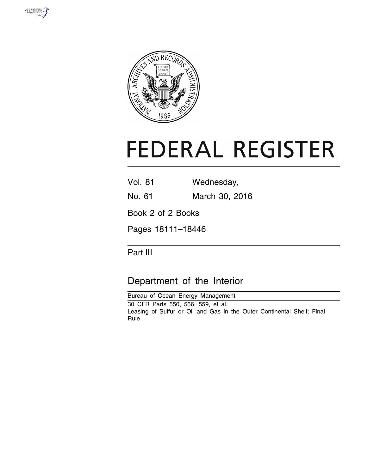



# **FEDERAL REGISTER**

- Vol. 81 Wednesday,
- No. 61 March 30, 2016
- Book 2 of 2 Books
- Pages 18111–18446

Part III

# Department of the Interior

Bureau of Ocean Energy Management 30 CFR Parts 550, 556, 559, et al. Leasing of Sulfur or Oil and Gas in the Outer Continental Shelf; Final Rule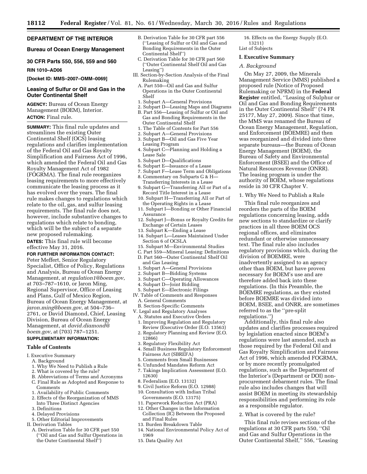# **DEPARTMENT OF THE INTERIOR**

# **Bureau of Ocean Energy Management**

**30 CFR Parts 550, 556, 559 and 560** 

**RIN 1010–AD06** 

**[Docket ID: MMS–2007–OMM–0069]** 

# **Leasing of Sulfur or Oil and Gas in the Outer Continental Shelf**

**AGENCY:** Bureau of Ocean Energy Management (BOEM), Interior. **ACTION:** Final rule.

**SUMMARY:** This final rule updates and streamlines the existing Outer Continental Shelf (OCS) leasing regulations and clarifies implementation of the Federal Oil and Gas Royalty Simplification and Fairness Act of 1996, which amended the Federal Oil and Gas Royalty Management Act of 1982 (FOGRMA). The final rule reorganizes leasing requirements to more effectively communicate the leasing process as it has evolved over the years. The final rule makes changes to regulations which relate to the oil, gas, and sulfur leasing requirements. The final rule does not, however, include substantive changes to regulations which relate to bonding, which will be the subject of a separate new proposed rulemaking. **DATES:** This final rule will become

# effective May 31, 2016. **FOR FURTHER INFORMATION CONTACT:**

Peter Meffert, Senior Regulatory Specialist, Office of Policy, Regulations and Analysis, Bureau of Ocean Energy Management, at *[regulation1@boem.gov](mailto:regulation1@boem.gov)*, at 703–787–1610, or Jaron Ming, Regional Supervisor, Office of Leasing and Plans, Gulf of Mexico Region, Bureau of Ocean Energy Management, at *[jaron.ming@boem.gov](mailto:jaron.ming@boem.gov)*, at 504–736– 2761, or David Diamond, Chief, Leasing Division, Bureau of Ocean Energy Management, at *[david.diamond@](mailto:david.diamond@boem.gov) [boem.gov](mailto:david.diamond@boem.gov)*, at (703) 787–1251.

# **SUPPLEMENTARY INFORMATION:**

# **Table of Contents**

- I. Executive Summary
- A. Background
- 1. Why We Need to Publish a Rule
- 2. What is covered by the rule?
- B. Abbreviations of Terms and Acronyms
- C. Final Rule as Adopted and Response to **Comments**
- 1. Availability of Public Comments
- 2. Effects of the Reorganization of MMS Into Three Distinct Agencies
- 3. Definitions
- 4. Delayed Provisions
- 5. Other Editorial Improvements
- II. Derivation Tables
	- A. Derivation Table for 30 CFR part 550 (''Oil and Gas and Sulfur Operations in the Outer Continental Shelf'')
- B. Derivation Table for 30 CFR part 556 (''Leasing of Sulfur or Oil and Gas and Bonding Requirements in the Outer Continental Shelf'')
- C. Derivation Table for 30 CFR part 560 (''Outer Continental Shelf Oil and Gas Leasing'')
- III. Section-by-Section Analysis of the Final Rulemaking
- A. Part 550—Oil and Gas and Sulfur Operations in the Outer Continental Shelf
- 1. Subpart A—General Provisions
- 2. Subpart D—Leasing Maps and Diagrams B. Part 556—Leasing of Sulfur or Oil and
- Gas and Bonding Requirements in the Outer Continental Shelf
- 1. The Table of Contents for Part 556
- 2. Subpart A—General Provisions
- 3. Subpart B—Oil and Gas Five Year Leasing Program
- 4. Subpart C—Planning and Holding a Lease Sale
- 5. Subpart D—Qualifications
- 6. Subpart E—Issuance of a Lease
- 7. Subpart F—Lease Term and Obligations
- 8. Commentary on Subparts G & H— Transferring Interests in a Lease
- 9. Subpart G—Transferring All or Part of a Record Title Interest in a Lease
- 10. Subpart H—Transferring All or Part of the Operating Rights in a Lease
- 11. Subpart I—Bonding or Other Financial Assurance
- 12. Subpart J—Bonus or Royalty Credits for Exchange of Certain Leases
- 13. Subpart K—Ending a Lease
- 14. Subpart L—Leases Maintained Under Section 6 of OCSLA
- 15. Subpart M—Environmental Studies
- C. Part 559—Mineral Leasing: Definitions
- D. Part 560—Outer Continental Shelf Oil
- and Gas Leasing
- 1. Subpart A—General Provisions
- 2. Subpart B—Bidding Systems
- 3. Subpart C—Operating Allowances
- 4. Subpart D—Joint Bidding
- 5. Subpart E—Electronic Filings
- IV. Table of Comments and Responses A. General Comments
- B. Section-Specific Comments
- V. Legal and Regulatory Analyses
	- A. Statutes and Executive Orders
	- 1. Improving Regulation and Regulatory Review (Executive Order (E.O. 13563)
	- 2. Regulatory Planning and Review (E.O. 12866)
	- 3. Regulatory Flexibility Act
	- 4. Small Business Regulatory Enforcement Fairness Act (SBREFA)
	- 5. Comments from Small Businesses
	- 6. Unfunded Mandates Reform Act
	- 7. Takings Implication Assessment (E.O. 12630)
	- 8. Federalism (E.O. 13132)
	- 9. Civil Justice Reform (E.O. 12988)
	- 10. Consultation with Indian Tribal
	- Governments (E.O. 13175) 11. Paperwork Reduction Act (PRA)
	- 12. Other Changes in the Information Collection (IC) Between the Proposed and Final Rules
	- 13. Burden Breakdown Table
	- 14. National Environmental Policy Act of
	- 1969 15. Data Quality Act

16. Effects on the Energy Supply (E.O. 13211) List of Subjects

# **I. Executive Summary**

# *A. Background*

On May 27, 2009, the Minerals Management Service (MMS) published a proposed rule (Notice of Proposed Rulemaking or NPRM) in the **Federal Register** entitled, ''Leasing of Sulphur or Oil and Gas and Bonding Requirements in the Outer Continental Shelf'' (74 FR 25177, May 27, 2009). Since that time, the MMS was renamed the Bureau of Ocean Energy Management, Regulation, and Enforcement (BOEMRE) and then was reorganized and divided into three separate bureaus—the Bureau of Ocean Energy Management (BOEM), the Bureau of Safety and Environmental Enforcement (BSEE) and the Office of Natural Resources Revenue (ONRR). The leasing program is under the authority of BOEM, whose regulations reside in 30 CFR Chapter V.

1. Why We Need to Publish a Rule

This final rule reorganizes and reorders the parts of the BOEM regulations concerning leasing, adds new sections to standardize or clarify practices in all three BOEM OCS regional offices, and eliminates redundant or otherwise unnecessary text. The final rule also includes regulatory provisions which, during the division of BOEMRE, were inadvertently assigned to an agency other than BOEM, but have proven necessary for BOEM's use and are therefore added back into these regulations. (In this Preamble, the BOEMRE regulations, as they existed before BOEMRE was divided into BOEM, BSEE, and ONRR, are sometimes referred to as the ''pre-split regulations.'')

Additionally, this final rule also updates and clarifies processes required by legislation enacted since BOEM's regulations were last amended, such as those required by the Federal Oil and Gas Royalty Simplification and Fairness Act of 1996, which amended FOGRMA, or by more recently promulgated regulations, such as the Department of the Interior's (Department or DOI) nonprocurement debarment rules. The final rule also includes changes that will assist BOEM in meeting its stewardship responsibilities and performing its role as a responsible regulator.

# 2. What is covered by the rule?

This final rule revises sections of the regulations at 30 CFR parts 550, ''Oil and Gas and Sulfur Operations in the Outer Continental Shelf,'' 556, ''Leasing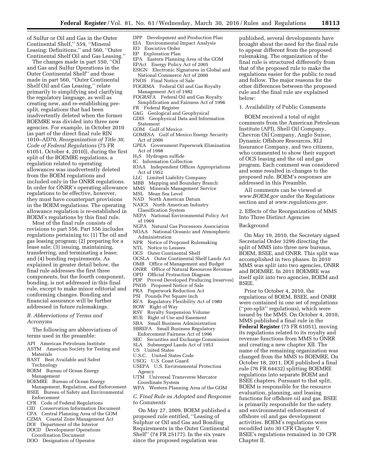of Sulfur or Oil and Gas in the Outer Continental Shelf,'' 559, ''Mineral Leasing: Definitions,'' and 560, ''Outer Continental Shelf Oil and Gas Leasing.''

The changes made in part 550, ''Oil and Gas and Sulfur Operations in the Outer Continental Shelf'' and those made in part 560, ''Outer Continental Shelf Oil and Gas Leasing,'' relate primarily to simplifying and clarifying the regulatory language, as well as creating new, and re-establishing presplit, regulations that had been inadvertently deleted when the former BOEMRE was divided into three new agencies. For example, in October 2010 (as part of the direct final rule RIN 1010–AD70, *Reorganization of Title 30, Code of Federal Regulations* (75 FR 61051, October 4, 2010)), during the first split of the BOEMRE regulations, a regulation related to operating allowances was inadvertently deleted from the BOEM regulations and included only in the ONRR regulations. In order for ONRR's operating allowance regulations to be effective, however, they must have counterpart provisions in the BOEM regulations. The operating allowance regulation is re-established in BOEM's regulations by this final rule.

Most of the final rule consists of revisions to part 556. Part 556 includes regulations pertaining to: (1) The oil and gas leasing program; (2) preparing for a lease sale; (3) issuing, maintaining, transferring, and terminating a lease; and (4) bonding requirements. As explained in greater detail below, the final rule addresses the first three components, but the fourth component, bonding, is not addressed in this final rule, except to make minor editorial and conforming changes. Bonding and financial assurance will be further addressed in future rulemakings.

### *B. Abbreviations of Terms and Acronyms*

The following are abbreviations of terms used in the preamble:

- API American Petroleum Institute
- ASTM American Society for Testing and Materials
- BAST Best Available and Safest Technology
- BOEM Bureau of Ocean Energy Management
- BOEMRE Bureau of Ocean Energy
- Management, Regulation, and Enforcement BSEE Bureau of Safety and Environmental Enforcement
- CFR Code of Federal Regulations
- CID Conservation Information Document
- CPA Central Planning Area of the GOM
- CZMA Coastal Zone Management Act
- DOI Department of the Interior
- DOCD Development Operations
- Coordination Document
- DOO Designation of Operator
- DPP Development and Production Plan
- EIA Environmental Impact Analysis
- EO Executive Order<br>EP Exploration Plan
- Exploration Plan
- EPA Eastern Planning Area of the GOM
- EPAct Energy Policy Act of 2005
- ESIGN Electronic Signatures in Global and National Commerce Act of 2000 FNOS Final Notice of Sale
- 
- FOGRMA Federal Oil and Gas Royalty Management Act of 1982
- FOGRSFA Federal Oil and Gas Royalty Simplification and Fairness Act of 1996 FR Federal Register
- G&G Geological and Geophysical
- GDIS Geophysical Data and Information Statement
- GOM Gulf of Mexico
- GOMESA Gulf of Mexico Energy Security Act of 2006
- GPEA Government Paperwork Elimination Act of 1998
- H2S Hydrogen sulfide
- IC Information Collection
- IOAA Independent Offices Appropriations Act of 1952
- LLC Limited Liability Company
- MBB Mapping and Boundary Branch
- MMS Minerals Management Service
- MSL Mean Sea Level
- NAD North American Datum
- NAICS North American Industry
- Classification System NEPA National Environmental Policy Act
- of 1969 NGPA Natural Gas Processors Association
- NOAA National Oceanic and Atmospheric Administration
- NPR Notice of Proposed Rulemaking
- NTL Notice to Lessees
- OCS Outer Continental Shelf
- OCSLA Outer Continental Shelf Lands Act
- OMB Office of Management and Budget
- ONRR Office of Natural Resources Revenue
- OPD Official Protraction Diagram
- PDP Proved Developed Producing (reserves)
- PNOS Proposed Notice of Sale
- PRA Paperwork Reduction Act
- PSI Pounds Per Square inch
- RFA Regulatory Flexibility Act of 1980 ROW Right of Way
- RSV Royalty Suspension Volume
- RUE Right of Use and Easement
- SBA Small Business Administration
- SBREFA Small Business Regulatory Enforcement Fairness Act of 1996
- SEC Securities and Exchange Commission
- SLA Submerged Lands Act of 1953
- US United States
- U.S.C. United States Code
- USCG U.S. Coast Guard
- 
- USEPA U.S. Environmental Protection Agency
- UTM Universal Transverse Mercator Coordinate System
- WPA Western Planning Area of the GOM
- *C. Final Rule as Adopted and Response to Comments*

On May 27, 2009, BOEM published a proposed rule entitled, ''Leasing of Sulphur or Oil and Gas and Bonding Requirements in the Outer Continental Shelf'' (74 FR 25177). In the six years since the proposed regulation was

published, several developments have brought about the need for the final rule to appear different from the proposed rulemaking. The organization of the final rule is structured differently from that of the proposed rule to make the regulations easier for the public to read and follow. The major reasons for the other differences between the proposed rule and the final rule are explained below:

1. Availability of Public Comments

BOEM received a total of eight comments from the American Petroleum Institute (API), Shell Oil Company, Chevron Oil Company, Anglo Suisse, Dynamic Offshore Resources, RLI Insurance Company, and two citizens, who commented to show their support of OCS leasing and the oil and gas program. Each comment was considered and some resulted in changes to the proposed rule. BOEM's responses are addressed in this Preamble.

All comments can be viewed at *[www.BOEM.gov](http://www.BOEM.gov)* under the Regulations section and at *[www.regulations.gov](http://www.regulations.gov)*.

2. Effects of the Reorganization of MMS Into Three Distinct Agencies

### Background

On May 19, 2010, the Secretary signed Secretarial Order 3299 directing the split of MMS into three new bureaus, BOEM, BSEE, and ONRR. This split was accomplished in two phases. In 2010 MMS was split into two agencies, ONRR and BOEMRE. In 2011 BOEMRE was itself split into two agencies, BOEM and BSEE.

Prior to October 4, 2010, the regulations of BOEM, BSEE, and ONRR were contained in one set of regulations (''pre-split'' regulations), which were issued by the MMS. On October 4, 2010, MMS published a final rule in the **Federal Register** (75 FR 61051), moving its regulations related to its royalty and revenue functions from MMS to ONRR and creating a new chapter XII. The name of the remaining organization was changed from the MMS to BOEMRE. On October 18, 2011, DOI published a final rule (76 FR 64432) splitting BOEMRE regulations into separate BOEM and BSEE chapters. Pursuant to that split, BOEM is responsible for the resource evaluation, planning, and leasing functions for offshore oil and gas. BSEE is primarily responsible for the safety and environmental enforcement of offshore oil and gas development activities. BOEM's regulations were recodifed into 30 CFR Chapter V. BSEE's regulations remained in 30 CFR Chapter II.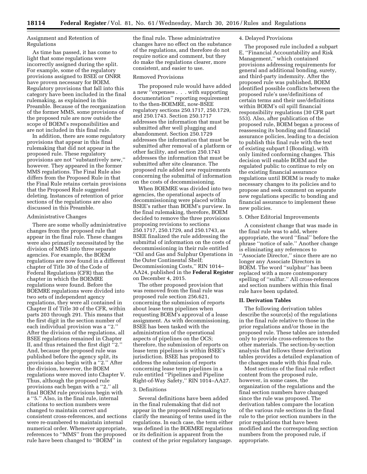# Assignment and Retention of Regulations

As time has passed, it has come to light that some regulations were incorrectly assigned during the split. For example, some of the regulatory provisions assigned to BSEE or ONRR have proven necessary for BOEM. Regulatory provisions that fall into this category have been included in the final rulemaking, as explained in this Preamble. Because of the reorganization of the former MMS, some provisions of the proposed rule are now outside the scope of BOEM's responsibilities and are not included in this final rule.

In addition, there are some regulatory provisions that appear in this final rulemaking that did not appear in the proposed rule. These regulatory provisions are not ''substantively new,'' however. They appeared in the former MMS regulations. The Final Rule also differs from the Proposed Rule in that the Final Rule retains certain provisions that the Proposed Rule suggested deleting. Instances of retention of prior sections of the regulations are also discussed in this Preamble.

### Administrative Changes

There are some wholly administrative changes from the proposed rule that appear in the final rule. These changes were also primarily necessitated by the division of MMS into three separate agencies. For example, the BOEM regulations are now found in a different chapter of Title 30 of the Code of Federal Regulations (CFR) than the chapter in which the BOEMRE regulations were found. Before the BOEMRE regulations were divided into two sets of independent agency regulations, they were all contained in Chapter II of Title 30 of the CFR, within parts 203 through 291. This means that the first digit in the section number of each individual provision was a ''2.'' After the division of the regulations, all BSEE regulations remained in Chapter II, and thus retained the first digit ''2.'' And, because the proposed rule was published before the agency split, its provisions also begin with a ''2.'' After the division, however, the BOEM regulations were moved into Chapter V. Thus, although the proposed rule provisions each began with a ''2,'' all final BOEM rule provisions begin with a ''5.'' Also, in the final rule, internal citations to section numbers were changed to maintain correct and consistent cross-references, and sections were re-numbered to maintain internal numerical order. Whenever appropriate, references to ''MMS'' from the proposed rule have been changed to ''BOEM'' in

the final rule. These administrative changes have no effect on the substance of the regulations, and therefore do not require notice and comment, but they do make the regulations clearer, more consistent, and easier to use.

### Removed Provisions

The proposed rule would have added a new ''expenses . . . with supporting documentation'' reporting requirement to the then-BOEMRE, now-BSEE regulatory sections 250.1717, 250.1729, and 250.1743. Section 250.1717 addresses the information that must be submitted after well plugging and abandonment. Section 250.1729 addresses the information that must be submitted after removal of a platform or other facility, and section 250.1743 addresses the information that must be submitted after site clearance. The proposed rule added new requirements concerning the submittal of information on the costs of decommissioning.

When BOEMRE was divided into two agencies, the operational aspects of decommissioning were placed within BSEE's rather than BOEM's purview. In the final rulemaking, therefore, BOEM decided to remove the three provisions proposing revisions to sections 250.1717, 250.1729, and 250.1743, as BSEE finalized the rule addressing the submittal of information on the costs of decommissioning in their rule entitled ''Oil and Gas and Sulphur Operations in the Outer Continental Shelf; Decommissioning Costs,'' RIN 1014– AA24, published in the **Federal Register**  on December 4, 2015.

The other proposed provision that was removed from the final rule was proposed rule section 256.621, concerning the submission of reports about lease term pipelines when requesting BOEM's approval of a lease assignment. As with decommissioning, BSEE has been tasked with the administration of the operational aspects of pipelines on the OCS; therefore, the submission of reports on lease term pipelines is within BSEE's jurisdiction. BSEE has proposed to address the submission of reports concerning lease term pipelines in a rule entitled ''Pipelines and Pipeline Right-of-Way Safety,'' RIN 1014–AA27.

### 3. Definitions

Several definitions have been added in the final rulemaking that did not appear in the proposed rulemaking to clarify the meaning of terms used in the regulations. In each case, the term either was defined in the BOEMRE regulations or its definition is apparent from the context of the prior regulatory language.

### 4. Delayed Provisions

The proposed rule included a subpart E, ''Financial Accountability and Risk Management,'' which contained provisions addressing requirements for general and additional bonding, surety, and third-party indemnity. After the proposed rule was published, BOEM identified possible conflicts between the proposed rule's use/definitions of certain terms and their use/definitions within BOEM's oil spill financial responsibility regulations (30 CFR part 553). Also, after publication of the proposed rule, BOEM began a process of reassessing its bonding and financial assurance policies, leading to a decision to publish this final rule with the text of existing subpart I (Bonding), with only limited conforming changes. This decision will enable BOEM and the regulated public to continue to rely on the existing financial assurance regulations until BOEM is ready to make necessary changes to its policies and to propose and seek comment on separate new regulations specific to bonding and financial assurance to implement these new policies.

### 5. Other Editorial Improvements

A consistent change that was made in the final rule was to add, where appropriate, the word ''final'' before the phrase ''notice of sale.'' Another change is eliminating any references to ''Associate Director,'' since there are no longer any Associate Directors in BOEM. The word ''sulphur'' has been replaced with a more contemporary spelling of ''sulfur.'' All cross-references and section numbers within this final rule have been updated.

### **II. Derivation Tables**

The following derivation tables describe the source(s) of the regulations in the final rule relative to those in the prior regulations and/or those in the proposed rule. These tables are intended only to provide cross-references to the other materials. The section-by-section analysis that follows these derivation tables provides a detailed explanation of the changes made with this final rule.

Most sections of the final rule reflect content from the proposed rule, however, in some cases, the organization of the regulations and the final section numbers have changed since the rule was proposed. The derivation tables compare the location of the various rule sections in the final rule to the prior section numbers in the prior regulations that have been modified and the corresponding section numbers from the proposed rule, if appropriate.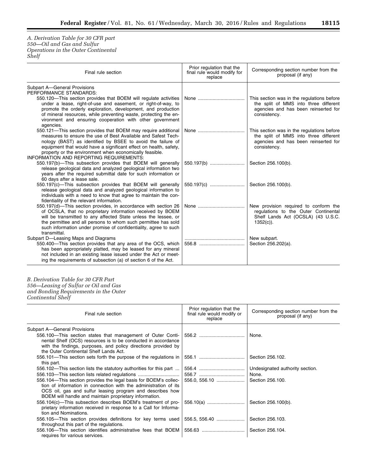▀

# *A. Derivation Table for 30 CFR part 550—Oil and Gas and Sulfur Operations in the Outer Continental Shelf*

| Final rule section                                                                                                                                                                                                                                                                                                                                                                                       | Prior regulation that the<br>final rule would modify for<br>replace | Corresponding section number from the<br>proposal (if any)                                                                                  |
|----------------------------------------------------------------------------------------------------------------------------------------------------------------------------------------------------------------------------------------------------------------------------------------------------------------------------------------------------------------------------------------------------------|---------------------------------------------------------------------|---------------------------------------------------------------------------------------------------------------------------------------------|
| Subpart A-General Provisions<br>PERFORMANCE STANDARDS:<br>550.120—This section provides that BOEM will regulate activities<br>under a lease, right-of-use and easement, or right-of-way, to<br>promote the orderly exploration, development, and production<br>of mineral resources, while preventing waste, protecting the en-<br>vironment and ensuring cooperation with other government<br>agencies. | None                                                                | This section was in the regulations before<br>the split of MMS into three different<br>agencies and has been reinserted for<br>consistency. |
| 550.121-This section provides that BOEM may require additional<br>measures to ensure the use of Best Available and Safest Tech-<br>nology (BAST) as identified by BSEE to avoid the failure of<br>equipment that would have a significant effect on health, safety,<br>property or the environment when economically feasible.<br>INFORMATION AND REPORTING REQUIREMENTS:                                | None                                                                | This section was in the regulations before<br>the split of MMS into three different<br>agencies and has been reinserted for<br>consistency. |
| 550.197(b)—This subsection provides that BOEM will generally<br>release geological data and analyzed geological information two<br>years after the required submittal date for such information or<br>60 days after a lease sale.                                                                                                                                                                        | 550.197(b)                                                          | Section 256.100(b).                                                                                                                         |
| 550.197(c)—This subsection provides that BOEM will generally<br>release geological data and analyzed geological information to<br>individuals with a need to know that agree to maintain the con-<br>fidentiality of the relevant information.                                                                                                                                                           | 550.197(c)                                                          | Section 256.100(b).                                                                                                                         |
| 550.197(d)—This section provides, in accordance with section 26<br>of OCSLA, that no proprietary information received by BOEM<br>will be transmitted to any affected State unless the lessee, or<br>the permittee and all persons to whom such permittee has sold<br>such information under promise of confidentiality, agree to such<br>transmittal.                                                    |                                                                     | New provision required to conform the<br>regulations to the Outer Continental<br>Shelf Lands Act (OCSLA) (43 U.S.C.<br>$1352(c)$ ).         |
| Subpart D-Leasing Maps and Diagrams<br>550.400-This section provides that any area of the OCS, which<br>has been appropriately platted, may be leased for any mineral<br>not included in an existing lease issued under the Act or meet-<br>ing the requirements of subsection (a) of section 6 of the Act.                                                                                              |                                                                     | New subpart.<br>Section 256.202(a).                                                                                                         |

# *B. Derivation Table for 30 CFR Part 556—Leasing of Sulfur or Oil and Gas and Bonding Requirements in the Outer Continental Shelf*

| Final rule section                                                                                                                                                                                                                                                       | Prior regulation that the<br>final rule would modify or<br>replace | Corresponding section number from the<br>proposal (if any) |
|--------------------------------------------------------------------------------------------------------------------------------------------------------------------------------------------------------------------------------------------------------------------------|--------------------------------------------------------------------|------------------------------------------------------------|
| Subpart A-General Provisions<br>556.100—This section states that management of Outer Conti-<br>nental Shelf (OCS) resources is to be conducted in accordance<br>with the findings, purposes, and policy directions provided by<br>the Outer Continental Shelf Lands Act. |                                                                    | None.                                                      |
| 556.101—This section sets forth the purpose of the regulations in<br>this part.                                                                                                                                                                                          |                                                                    | Section 256.102.                                           |
| 556.102—This section lists the statutory authorities for this part                                                                                                                                                                                                       |                                                                    | Undesignated authority section.                            |
| 556.103-This section lists related regulations                                                                                                                                                                                                                           |                                                                    | None.                                                      |
| 556.104—This section provides the legal basis for BOEM's collec-<br>tion of information in connection with the administration of its<br>OCS oil, gas and sulfur leasing program and describes how<br>BOEM will handle and maintain proprietary information.              | 556.0, 556.10                                                      | Section 256.100.                                           |
| 556.104(c)—This subsection describes BOEM's treatment of pro-<br>prietary information received in response to a Call for Informa-<br>tion and Nominations.                                                                                                               | 556.10(a)                                                          | Section 256.100(b).                                        |
| 556.105—This section provides definitions for key terms used<br>throughout this part of the regulations.                                                                                                                                                                 | 556.5, 556.40                                                      | Section 256.103.                                           |
| 556.106-This section identifies administrative fees that BOEM<br>requires for various services.                                                                                                                                                                          |                                                                    | Section 256.104.                                           |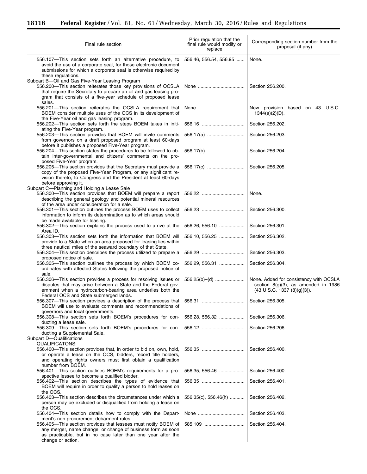▀

| Final rule section                                                                                                                                                                                                                                              | Prior regulation that the<br>final rule would modify or<br>replace | Corresponding section number from the<br>proposal (if any)                                                                          |
|-----------------------------------------------------------------------------------------------------------------------------------------------------------------------------------------------------------------------------------------------------------------|--------------------------------------------------------------------|-------------------------------------------------------------------------------------------------------------------------------------|
| 556.107—This section sets forth an alternative procedure, to<br>avoid the use of a corporate seal, for those electronic document<br>submissions for which a corporate seal is otherwise required by<br>these regulations.                                       | 556.46, 556.54, 556.95                                             | None.                                                                                                                               |
| Subpart B-Oil and Gas Five-Year Leasing Program<br>556.200-This section reiterates those key provisions of OCSLA<br>that require the Secretary to prepare an oil and gas leasing pro-<br>gram that consists of a five-year schedule of proposed lease<br>sales. |                                                                    | Section 256.200.                                                                                                                    |
| 556.201-This section reiterates the OCSLA requirement that<br>BOEM consider multiple uses of the OCS in its development of<br>the Five-Year oil and gas leasing program.                                                                                        |                                                                    | New provision based on 43 U.S.C.<br>$1344(a)(2)(D)$ .                                                                               |
| 556.202-This section sets forth the steps BOEM takes in initi-<br>ating the Five-Year program.                                                                                                                                                                  |                                                                    | Section 256.202.                                                                                                                    |
| 556.203-This section provides that BOEM will invite comments<br>from governors on a draft proposed program at least 60-days<br>before it publishes a proposed Five-Year program.                                                                                | 556.17(a)                                                          | Section 256.203.                                                                                                                    |
| 556.204-This section states the procedures to be followed to ob-<br>tain inter-governmental and citizens' comments on the pro-<br>posed Five-Year program.                                                                                                      | 556.17(b)                                                          | Section 256.204.                                                                                                                    |
| 556.205-This section provides that the Secretary must provide a<br>copy of the proposed Five-Year Program, or any significant re-<br>vision thereto, to Congress and the President at least 60-days<br>before approving it.                                     | 556.17(c)                                                          | Section 256, 205.                                                                                                                   |
| Subpart C-Planning and Holding a Lease Sale<br>556.300-This section provides that BOEM will prepare a report<br>describing the general geology and potential mineral resources<br>of the area under consideration for a sale.                                   |                                                                    | None.                                                                                                                               |
| 556.301-This section outlines the process BOEM uses to collect<br>information to inform its determination as to which areas should<br>be made available for leasing.                                                                                            | 556.23                                                             | Section 256.300.                                                                                                                    |
| 556.302-This section explains the process used to arrive at the<br>Area ID.                                                                                                                                                                                     | 556.26, 556.10                                                     | Section 256.301.                                                                                                                    |
| 556.303–This section sets forth the information that BOEM will<br>provide to a State when an area proposed for leasing lies within<br>three nautical miles of the seaward boundary of that State.                                                               | 556.10, 556.25                                                     | Section 256.302.                                                                                                                    |
| 556.304–This section describes the process utilized to prepare a                                                                                                                                                                                                | 556.29                                                             | Section 256.303.                                                                                                                    |
| proposed notice of sale.<br>556.305-This section outlines the process by which BOEM co-<br>ordinates with affected States following the proposed notice of<br>sale.                                                                                             | 556.29, 556.31                                                     | Section 256.304.                                                                                                                    |
| 556.306-This section provides a process for resolving issues or<br>disputes that may arise between a State and the Federal gov-<br>ernment when a hydrocarbon-bearing area underlies both the<br>Federal OCS and State submerged lands.                         | $556.25(b) - (d)$                                                  | None. Added for consistency with OCSLA<br>section $8(g)(3)$ , as amended in 1986<br>$(43 \text{ U.S.C. } 1337 \text{ (8)}(q)(3))$ . |
| BOEM will use to evaluate comments and recommendations of<br>governors and local governments.                                                                                                                                                                   |                                                                    | Section 256.305.                                                                                                                    |
| 556.308—This section sets forth BOEM's procedures for con-<br>ducting a lease sale.                                                                                                                                                                             | 556.28, 556.32                                                     | Section 256.306.                                                                                                                    |
| 556.309-This section sets forth BOEM's procedures for con-<br>ducting a Supplemental Sale.<br>Subpart D-Qualifications<br><b>QUALIFICATONS:</b>                                                                                                                 | 556.12                                                             | Section 256.206.                                                                                                                    |
| 556.400—This section provides that, in order to bid on, own, hold,<br>or operate a lease on the OCS, bidders, record title holders,<br>and operating rights owners must first obtain a qualification<br>number from BOEM.                                       |                                                                    | Section 256.400.                                                                                                                    |
| 556.401-This section outlines BOEM's requirements for a pro-                                                                                                                                                                                                    | 556.35, 556.46                                                     | Section 256.400.                                                                                                                    |
| spective lessee to become a qualified bidder.<br>556.402-This section describes the types of evidence that<br>BOEM will require in order to qualify a person to hold leases on<br>the OCS.                                                                      |                                                                    | Section 256.401.                                                                                                                    |
| 556.403—This section describes the circumstances under which a<br>person may be excluded or disqualified from holding a lease on<br>the OCS.                                                                                                                    | $556.35(c)$ , 556.46(h)                                            | Section 256.402.                                                                                                                    |
| 556.404—This section details how to comply with the Depart-<br>ment's non-procurement debarment rules.                                                                                                                                                          |                                                                    | Section 256.403.                                                                                                                    |
| 556.405-This section provides that lessees must notify BOEM of<br>any merger, name change, or change of business form as soon<br>as practicable, but in no case later than one year after the<br>change or action.                                              | 585.109                                                            | Section 256.404.                                                                                                                    |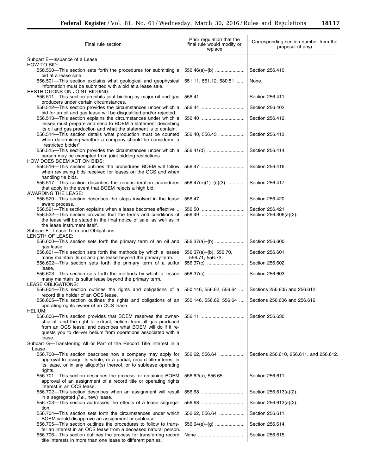Ξ

| Final rule section                                                                                                                                                                                                                    | Prior regulation that the<br>final rule would modify or<br>replace | Corresponding section number from the<br>proposal (if any) |
|---------------------------------------------------------------------------------------------------------------------------------------------------------------------------------------------------------------------------------------|--------------------------------------------------------------------|------------------------------------------------------------|
| Subpart E-Issuance of a Lease                                                                                                                                                                                                         |                                                                    |                                                            |
| HOW TO BID:<br>556.500—This section sets forth the procedures for submitting a<br>bid at a lease sale.                                                                                                                                |                                                                    | Section 256.410.                                           |
| 556.501-This section explains what geological and geophysical<br>information must be submitted with a bid at a lease sale.                                                                                                            | 551.11, 551.12, 580.51                                             | None.                                                      |
| RESTRICTIONS ON JOINT BIDDING:<br>556.511-This section prohibits joint bidding by major oil and gas<br>producers under certain circumstances.                                                                                         | 556.41                                                             | Section 256.411.                                           |
| 556.512-This section provides the circumstances under which a                                                                                                                                                                         |                                                                    | Section 256.402.                                           |
| bid for an oil and gas lease will be disqualified and/or rejected.<br>556.513–This section explains the circumstances under which a<br>lessee must prepare and send to BOEM a statement describing                                    | 556.40                                                             | Section 256.412.                                           |
| its oil and gas production and what the statement is to contain.<br>556.514-This section details what production must be counted<br>when determining whether a company should be considered a<br>"restricted bidder".                 | 556.40, 556.43                                                     | Section 256.413.                                           |
| 556.515–This section provides the circumstances under which a<br>person may be exempted from joint bidding restrictions.<br>HOW DOES BOEM ACT ON BIDS:                                                                                | 556.41(d)                                                          | Section 256.414.                                           |
| 556.516-This section outlines the procedures BOEM will follow<br>when reviewing bids received for leases on the OCS and when<br>handling tie bids.                                                                                    |                                                                    | Section 256.416.                                           |
| 556.517-This section describes the reconsideration procedures<br>that apply in the event that BOEM rejects a high bid.                                                                                                                | $556.47(e)(1)–(e)(3)$                                              | Section 256.417.                                           |
| AWARDING THE LEASE:<br>556.520-This section describes the steps involved in the lease<br>award process.                                                                                                                               | 556.47                                                             | Section 256.420.                                           |
| 556.521-This section explains when a lease becomes effective<br>556.522-This section provides that the terms and conditions of<br>the lease will be stated in the final notice of sale, as well as in<br>the lease instrument itself. |                                                                    | Section 256.421.<br>Section 256.306(a)(2).                 |
| Subpart F-Lease Term and Obligations                                                                                                                                                                                                  |                                                                    |                                                            |
| LENGTH OF LEASE:<br>556.600—This section sets forth the primary term of an oil and<br>gas lease.                                                                                                                                      |                                                                    | Section 256.600.                                           |
| 556.601—This section sets forth the methods by which a lessee                                                                                                                                                                         | 556.37(a)–(b), 556.70,                                             | Section 256.601.                                           |
| many maintain its oil and gas lease beyond the primary term.<br>556.602-This section sets forth the primary term of a sulfur<br>lease.                                                                                                | 556.71, 556.72.<br>556.37(c)                                       | Section 256.602.                                           |
| 556.603-This section sets forth the methods by which a lessee<br>many maintain its sulfur lease beyond the primary term.<br>LEASE OBLIGATIONS:                                                                                        | 556.37(c)                                                          | Section 256.603.                                           |
| 556.604-This section outlines the rights and obligations of a<br>record title holder of an OCS lease.                                                                                                                                 | 550.146, 556.62, 556.64                                            | Sections 256.605 and 256.612.                              |
| 556.605-This section outlines the rights and obligations of an<br>operating rights owner of an OCS lease.                                                                                                                             | 550.146, 556.62, 556.64                                            | Sections 256.606 and 256.612.                              |
| HELIUM:<br>556.606—This section provides that BOEM reserves the owner-                                                                                                                                                                |                                                                    | Section 256.630.                                           |
| ship of, and the right to extract, helium from all gas produced<br>from an OCS lease, and describes what BOEM will do if it re-<br>quests you to deliver helium from operations associated with a<br>lease.                           |                                                                    |                                                            |
| Subpart G—Transferring All or Part of the Record Title Interest in a<br>Lease                                                                                                                                                         |                                                                    |                                                            |
| 556.700—This section describes how a company may apply for<br>approval to assign its whole, or a partial, record title interest in<br>its lease, or in any aliquot(s) thereof, or to sublease operating<br>rights.                    | 556.62, 556.64                                                     | Sections 256.610, 256.611, and 256.612.                    |
| 556.701-This section describes the process for obtaining BOEM<br>approval of an assignment of a record title or operating rights<br>interest in an OCS lease.                                                                         | $556.62(a)$ , 556.65                                               | Section 256.611.                                           |
| 556.702-This section describes when an assignment will result<br>in a segregated <i>(i.e.</i> , new) lease.                                                                                                                           |                                                                    | Section 256.613(a)(2).                                     |
| 556.703-This section addresses the effects of a lease segrega-<br>tion.                                                                                                                                                               |                                                                    | Section 256.613(a)(2).                                     |
| 556.704—This section sets forth the circumstances under which<br>BOEM would disapprove an assignment or sublease.                                                                                                                     | 556.62, 556.64                                                     | Section 256.611.                                           |
| 556.705–This section outlines the procedures to follow to trans-<br>fer an interest in an OCS lease from a deceased natural person.                                                                                                   | $556.64(e) - (g)$                                                  | Section 256.614.                                           |
| 556.706-This section outlines the process for transferring record<br>title interests in more than one lease to different parties.                                                                                                     |                                                                    | Section 256.615.                                           |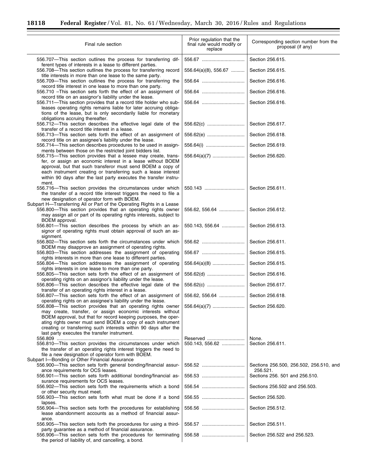Ξ

 $\equiv$ 

| Final rule section                                                                                                                                    | Prior regulation that the<br>final rule would modify or<br>replace | Corresponding section number from the<br>proposal (if any) |
|-------------------------------------------------------------------------------------------------------------------------------------------------------|--------------------------------------------------------------------|------------------------------------------------------------|
| 556.707-This section outlines the process for transferring dif-<br>ferent types of interests in a lease to different parties.                         |                                                                    | Section 256.615.                                           |
| 556.708-This section outlines the process for transferring record<br>title interests in more than one lease to the same party.                        | $556.64(a)(8)$ , 556.67                                            | Section 256.615.                                           |
| 556.709–This section outlines the process for transferring the<br>record title interest in one lease to more than one party.                          |                                                                    | Section 256.616.                                           |
| 556.710 - This section sets forth the effect of an assignment of<br>record title on an assignor's liability under the lease.                          |                                                                    | Section 256.616.                                           |
| 556.711-This section provides that a record title holder who sub-<br>leases operating rights remains liable for later accruing obliga-                |                                                                    | Section 256.616.                                           |
| tions of the lease, but is only secondarily liable for monetary                                                                                       |                                                                    |                                                            |
| obligations accruing thereafter.<br>556.712-This section describes the effective legal date of the<br>transfer of a record title interest in a lease. | 556.62(c)                                                          | Section 256.617.                                           |
| 556.713–This section sets forth the effect of an assignment of<br>record title on an assignee's liability under the lease.                            | 556.62(e)                                                          | Section 256.618.                                           |
| 556.714–This section describes procedures to be used in assign-<br>ments between those on the restricted joint bidders list.                          | 556.64(i)                                                          | Section 256.619.                                           |
| 556.715-This section provides that a lessee may create, trans-<br>fer, or assign an economic interest in a lease without BOEM                         |                                                                    | Section 256.620.                                           |
| approval, but that such transferor must send BOEM a copy of                                                                                           |                                                                    |                                                            |
| each instrument creating or transferring such a lease interest<br>within 90 days after the last party executes the transfer instru-                   |                                                                    |                                                            |
| ment.<br>556.716—This section provides the circumstances under which                                                                                  | 550.143                                                            | Section 256.611.                                           |
| the transfer of a record title interest triggers the need to file a<br>new designation of operator form with BOEM.                                    |                                                                    |                                                            |
| Subpart H-Transferring All or Part of the Operating Rights in a Lease<br>556.800-This section provides that an operating rights owner                 | 556.62, 556.64                                                     | Section 256.612.                                           |
| may assign all or part of its operating rights interests, subject to<br>BOEM approval.                                                                | 550.143, 556.64                                                    | Section 256.613.                                           |
| 556.801-This section describes the process by which an as-<br>signor of operating rights must obtain approval of such an as-<br>signment.             |                                                                    |                                                            |
| 556.802—This section sets forth the circumstances under which<br>BOEM may disapprove an assignment of operating rights.                               |                                                                    | Section 256.611.                                           |
| 556.803-This section addresses the assignment of operating<br>rights interests in more than one lease to different parties.                           |                                                                    | Section 256.615.                                           |
| 556.804-This section addresses the assignment of operating<br>rights interests in one lease to more than one party.                                   |                                                                    | Section 256.615.                                           |
| 556.805–This section sets forth the effect of an assignment of<br>operating rights on an assignor's liability under the lease.                        | 556.62(d)                                                          | Section 256.616.                                           |
| 556.806-This section describes the effective legal date of the<br>transfer of an operating rights interest in a lease.                                | 556.62(c)                                                          | Section 256.617.                                           |
| 556.807-This section sets forth the effect of an assignment of<br>operating rights on an assignee's liability under the lease.                        | 556.62, 556.64                                                     | Section 256.618.                                           |
| 556.808-This section provides that an operating rights owner<br>may create, transfer, or assign economic interests without                            |                                                                    | Section 256.620.                                           |
| BOEM approval, but that for record keeping purposes, the oper-<br>ating rights owner must send BOEM a copy of each instrument                         |                                                                    |                                                            |
| creating or transferring such interests within 90 days after the<br>last party executes the transfer instrument.                                      |                                                                    |                                                            |
| 556.810–This section provides the circumstances under which                                                                                           | Reserved<br>550.143, 556.62                                        | None.<br>Section 256.611.                                  |
| the transfer of an operating rights interest triggers the need to<br>file a new designation of operator form with BOEM.                               |                                                                    |                                                            |
| Subpart I-Bonding or Other Financial Assurance<br>556.900-This section sets forth general bonding/financial assur-                                    |                                                                    | Sections 256.500, 256.502, 256.510, and                    |
| ance requirements for OCS leases.<br>556.901-This section sets forth additional bonding/financial as-                                                 |                                                                    | 256.521.<br>Sections 256. 501 and 256.510.                 |
| surance requirements for OCS leases.<br>556.902-This section sets forth the requirements which a bond                                                 |                                                                    | Sections 256.502 and 256.503.                              |
| or other security must meet.<br>556.903—This section sets forth what must be done if a bond                                                           |                                                                    | Section 256.520.                                           |
| lapses.<br>556.904-This section sets forth the procedures for establishing                                                                            |                                                                    | Section 256.512.                                           |
| lease abandonment accounts as a method of financial assur-<br>ance.                                                                                   |                                                                    |                                                            |
| 556.905—This section sets forth the procedures for using a third-<br>party guarantee as a method of financial assurance.                              |                                                                    | Section 256.511.                                           |
| 556.906—This section sets forth the procedures for terminating<br>the period of liability of, and cancelling, a bond.                                 |                                                                    | Section 256.522 and 256.523.                               |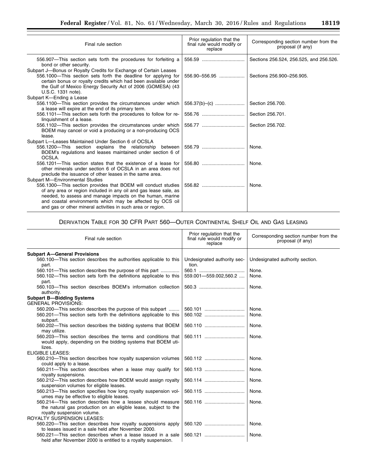| Final rule section                                                                                                                                                                                                                                                                                                                                            | Prior regulation that the<br>final rule would modify or<br>replace | Corresponding section number from the<br>proposal (if any) |
|---------------------------------------------------------------------------------------------------------------------------------------------------------------------------------------------------------------------------------------------------------------------------------------------------------------------------------------------------------------|--------------------------------------------------------------------|------------------------------------------------------------|
| 556.907—This section sets forth the procedures for forfeiting a<br>bond or other security.                                                                                                                                                                                                                                                                    |                                                                    | Sections 256.524, 256.525, and 256.526.                    |
| Subpart J-Bonus or Royalty Credits for Exchange of Certain Leases<br>556.1000—This section sets forth the deadline for applying for<br>certain bonus or royalty credits which had been available under<br>the Gulf of Mexico Energy Security Act of 2006 (GOMESA) (43<br>U.S.C. 1331 note).                                                                   | 556.90-556.95                                                      | Sections 256,900-256,905.                                  |
| Subpart K-Ending a Lease                                                                                                                                                                                                                                                                                                                                      |                                                                    |                                                            |
| 556.1100—This section provides the circumstances under which<br>a lease will expire at the end of its primary term.                                                                                                                                                                                                                                           |                                                                    | Section 256.700.                                           |
| 556.1101—This section sets forth the procedures to follow for re-<br>linguishment of a lease.                                                                                                                                                                                                                                                                 |                                                                    | Section 256.701.                                           |
| 556.1102-This section provides the circumstances under which<br>BOEM may cancel or void a producing or a non-producing OCS<br>lease.                                                                                                                                                                                                                          |                                                                    | Section 256.702.                                           |
| Subpart L-Leases Maintained Under Section 6 of OCSLA                                                                                                                                                                                                                                                                                                          |                                                                    |                                                            |
| 556.1200—This section explains the relationship between<br>BOEM's regulations and leases maintained under section 6 of<br>OCSLA.                                                                                                                                                                                                                              | 556.79                                                             | None.                                                      |
| 556.1201—This section states that the existence of a lease for<br>other minerals under section 6 of OCSLA in an area does not<br>preclude the issuance of other leases in the same area.                                                                                                                                                                      |                                                                    | None.                                                      |
| Subpart M-Environmental Studies<br>556.1300–This section provides that BOEM will conduct studies<br>of any area or region included in any oil and gas lease sale, as<br>needed, to assess and manage impacts on the human, marine<br>and coastal environments which may be affected by OCS oil<br>and gas or other mineral activities in such area or region. |                                                                    | None.                                                      |

# DERIVATION TABLE FOR 30 CFR PART 560—OUTER CONTINENTAL SHELF OIL AND GAS LEASING

| Final rule section                                                                                                                     | Prior regulation that the<br>final rule would modify or<br>replace | Corresponding section number from the<br>proposal (if any) |
|----------------------------------------------------------------------------------------------------------------------------------------|--------------------------------------------------------------------|------------------------------------------------------------|
| <b>Subpart A-General Provisions</b>                                                                                                    |                                                                    |                                                            |
| 560.100—This section describes the authorities applicable to this<br>part.                                                             | Undesignated authority sec-<br>tion.                               | Undesignated authority section.                            |
| 560.101—This section describes the purpose of this part                                                                                |                                                                    | None.                                                      |
| 560.102-This section sets forth the definitions applicable to this<br>part.                                                            | 559.001-559.002,560.2                                              | None.                                                      |
| 560.103–This section describes BOEM's information collection<br>authority.                                                             |                                                                    | None.                                                      |
| <b>Subpart B-Bidding Systems</b>                                                                                                       |                                                                    |                                                            |
| <b>GENERAL PROVISIONS:</b>                                                                                                             |                                                                    |                                                            |
| 560.200—This section describes the purpose of this subpart                                                                             |                                                                    | None.                                                      |
| 560.201—This section sets forth the definitions applicable to this<br>subpart.                                                         | 560.102                                                            | None.                                                      |
| 560.202—This section describes the bidding systems that BOEM<br>may utilize.                                                           | 560.110                                                            | None.                                                      |
| 560.203–This section describes the terms and conditions that<br>would apply, depending on the bidding systems that BOEM uti-<br>lizes. | 560.111                                                            | None.                                                      |
| <b>ELIGIBLE LEASES:</b>                                                                                                                |                                                                    |                                                            |
| 560.210-This section describes how royalty suspension volumes<br>could apply to a lease.                                               | 560.112                                                            | None.                                                      |
| 560.211-This section describes when a lease may qualify for<br>royalty suspensions.                                                    | 560.113                                                            | None.                                                      |
| 560.212-This section describes how BOEM would assign royalty<br>suspension volumes for eligible leases.                                | 560.114                                                            | None.                                                      |
| 560.213–This section specifies how long royalty suspension vol-<br>umes may be effective to eligible leases.                           | 560.115                                                            | None.                                                      |
| 560.214–This section describes how a lessee should measure<br>the natural gas production on an eligible lease, subject to the          | 560.116                                                            | None.                                                      |
| royalty suspension volume.                                                                                                             |                                                                    |                                                            |
| <b>ROYALTY SUSPENSION LEASES:</b>                                                                                                      |                                                                    |                                                            |
| 560.220–This section describes how royalty suspensions apply<br>to leases issued in a sale held after November 2000.                   | 560.120                                                            | None.                                                      |
| 560.221—This section describes when a lease issued in a sale<br>held after November 2000 is entitled to a royalty suspension.          | 560.121                                                            | None.                                                      |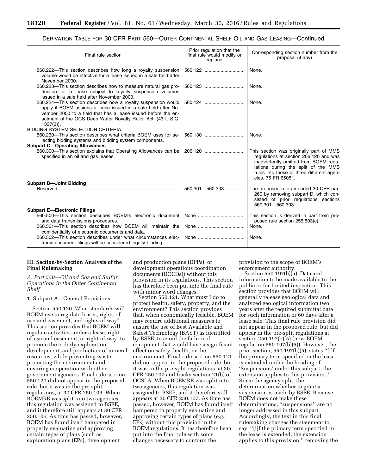# DERIVATION TABLE FOR 30 CFR PART 560—OUTER CONTINENTAL SHELF OIL AND GAS LEASING—Continued

| Final rule section                                                                                                                                                                                                                                                              | Prior regulation that the<br>final rule would modify or<br>replace | Corresponding section number from the<br>proposal (if any)                                                                                                                                                                           |
|---------------------------------------------------------------------------------------------------------------------------------------------------------------------------------------------------------------------------------------------------------------------------------|--------------------------------------------------------------------|--------------------------------------------------------------------------------------------------------------------------------------------------------------------------------------------------------------------------------------|
| 560.222—This section describes how long a royalty suspension<br>volume would be effective for a lease issued in a sale held after<br>November 2000.                                                                                                                             | 560.122                                                            | None.                                                                                                                                                                                                                                |
| 560.223—This section describes how to measure natural gas pro-<br>duction for a lease subject to royalty suspension volumes<br>issued in a sale held after November 2000.                                                                                                       | 560.123                                                            | None.                                                                                                                                                                                                                                |
| 560.224-This section describes how a royalty suspension would<br>apply if BOEM assigns a lease issued in a sale held after No-<br>vember 2000 to a field that has a lease issued before the en-<br>actment of the OCS Deep Water Royalty Relief Act. (43 U.S.C.<br>$1337(3)$ ). | 560.124                                                            | None.                                                                                                                                                                                                                                |
| <b>BIDDING SYSTEM SELECTION CRITERIA:</b><br>560.230—This section describes what criteria BOEM uses for se-                                                                                                                                                                     |                                                                    | None.                                                                                                                                                                                                                                |
| lecting bidding systems and bidding system components.                                                                                                                                                                                                                          |                                                                    |                                                                                                                                                                                                                                      |
| <b>Subpart C-Operating Allowances</b>                                                                                                                                                                                                                                           |                                                                    |                                                                                                                                                                                                                                      |
| 560.300—This section explains that Operating Allowances can be<br>specified in an oil and gas leases.                                                                                                                                                                           | 206.120                                                            | This section was originally part of MMS<br>regulations at section 206.120 and was<br>inadvertently omitted from BOEM requ-<br>lations during the split of the MMS<br>rules into those of three different agen-<br>cies. 75 FR 65051. |
| <b>Subpart D-Joint Bidding</b>                                                                                                                                                                                                                                                  |                                                                    |                                                                                                                                                                                                                                      |
|                                                                                                                                                                                                                                                                                 | 560.301-560.303                                                    | The proposed rule amended 30 CFR part<br>260 by removing subpart D, which con-<br>sisted of prior regulations sections<br>560.301-560.303                                                                                            |
| <b>Subpart E-Electronic Filings</b>                                                                                                                                                                                                                                             |                                                                    |                                                                                                                                                                                                                                      |
| 560.500—This section describes BOEM's electronic document<br>and data transmissions procedures.<br>560.501—This section describes how BOEM will maintain the                                                                                                                    |                                                                    | This section is derived in part from pro-<br>posed rule section 256.503(c).<br>None.                                                                                                                                                 |
| confidentiality of electronic documents and data.                                                                                                                                                                                                                               |                                                                    |                                                                                                                                                                                                                                      |
| 560.502-This section describes under what circumstances elec-<br>tronic document filings will be considered legally binding.                                                                                                                                                    | None                                                               | None.                                                                                                                                                                                                                                |

# **III. Section-by-Section Analysis of the Final Rulemaking**

*A. Part 550—Oil and Gas and Sulfur Operations in the Outer Continental Shelf* 

1. Subpart A—General Provisions

Section 550.120. What standards will BOEM use to regulate leases, rights-ofuse and easement, and rights-of-way? This section provides that BOEM will regulate activities under a lease, rightof-use and easement, or right-of-way, to promote the orderly exploration, development, and production of mineral resources, while preventing waste, protecting the environment and ensuring cooperation with other government agencies. Final rule section 550.120 did not appear in the proposed rule, but it was in the pre-split regulations, at 30 CFR 250.106. When BOEMRE was split into two agencies, this regulation was assigned to BSEE, and it therefore still appears at 30 CFR 250.106. As time has passed, however, BOEM has found itself hampered in properly evaluating and approving certain types of plans (such as exploration plans (EPs), development

and production plans (DPPs), or development operations coordination documents (DOCDs)) without this provision in its regulations. This section has therefore been put into the final rule with minor word changes.

Section 550.121. What must I do to protect health, safety, property, and the environment? This section provides that, when economically feasible, BOEM may require additional measures to ensure the use of Best Available and Safest Technology (BAST) as identified by BSEE, to avoid the failure of equipment that would have a significant effect on safety, health, or the environment. Final rule section 550.121 did not appear in the proposed rule, but it was in the pre-split regulations, at 30 CFR 250.107 and tracks section 21(b) of OCSLA. When BOEMRE was split into two agencies, this regulation was assigned to BSEE, and it therefore still appears at 30 CFR 250.107. As time has passed, however, BOEM has found itself hampered in properly evaluating and approving certain types of plans (*e.g.,*  EPs) without this provision in the BOEM regulations. It has therefore been put into the final rule with some changes necessary to conform the

provision to the scope of BOEM's enforcement authority.

Section 550.197(b)(5). Data and information to be made available to the public or for limited inspection. This section provides that BOEM will generally release geological data and analyzed geological information two years after the required submittal date for such information or 60 days after a lease sale. This final rule provision did not appear in the proposed rule, but did appear in the pre-split regulations at section 250.197(b)(5) (now BOEM regulation 550.197(b)(5)). However, the prior section, 550.197(b)(5), states ''[i]f the primary term specified in the lease is extended under the heading of 'Suspensions' under this subpart, the extension applies to this provision.'' Since the agency split, the determination whether to grant a suspension is made by BSEE. Because BOEM does not make these determinations, "suspensions" are no longer addressed in this subpart. Accordingly, the text in this final rulemaking changes the statement to say: ''[i]f the primary term specified in the lease is extended, the extension applies to this provision,'' removing the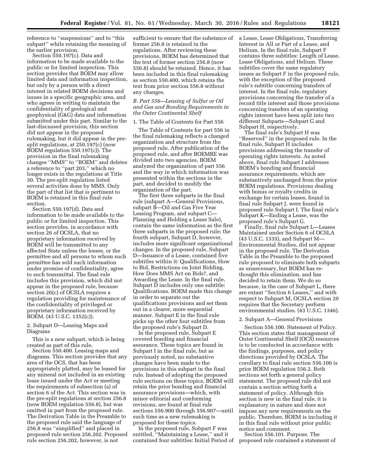reference to ''suspensions'' and to ''this subpart'' while retaining the meaning of the earlier provision.

Section 550.197(c). Data and information to be made available to the public or for limited inspection. This section provides that BOEM may allow limited data and information inspection, but only by a person with a direct interest in related BOEM decisions and issues in a specific geographic area, and who agrees in writing to maintain the confidentiality of geological and geophysical (G&G) data and information submitted under this part. Similar to the last-discussed provision, this section did not appear in the proposed rulemaking, but it did appear in the presplit regulations, at 250.197(c) (now BOEM regulation 550.197(c)). The provision in the final rulemaking changes ''MMS'' to ''BOEM'' and deletes a reference to ''part 203,'' which no longer exists in the regulations at Title 30. The pre-split regulation listed several activities done by MMS. Only the part of that list that is pertinent to BOEM is retained in this final rule section.

Section 550.197(d). Data and information to be made available to the public or for limited inspection. This section provides, in accordance with section 26 of OCSLA, that no proprietary information received by BOEM will be transmitted to any affected State unless the lessee, or the permittee and all persons to whom such permittee has sold such information under promise of confidentiality, agree to such transmittal. The final rule includes this provision, which did not appear in the proposed rule, because section 26(c) of OCSLA requires a regulation providing for maintenance of the confidentiality of privileged or proprietary information received by BOEM. (43 U.S.C. 1352(c)).

# 2. Subpart D—Leasing Maps and Diagrams

This is a new subpart, which is being created as part of this rule.

Section 550.400. Leasing maps and diagrams. This section provides that any area of the OCS, that has been appropriately platted, may be leased for any mineral not included in an existing lease issued under the Act or meeting the requirements of subsection (a) of section 6 of the Act. This section was in the pre-split regulations at section 256.8 (now BOEM regulation 556.8), but was omitted in part from the proposed rule. The Derivation Table in the Preamble to the proposed rule said the language of 256.8 was ''simplified'' and placed in proposed rule section 256.202. Proposed rule section 256.202, however, is not

sufficient to ensure that the substance of former 256.8 is retained in the regulations. After reviewing these provisions, BOEM has determined that the text of former section 256.8 (now 556.8) should be retained. Hence, it has been included in this final rulemaking as section 550.400, which retains the text from prior section 556.8 without any changes.

# *B. Part 556—Leasing of Sulfur or Oil and Gas and Bonding Requirements in the Outer Continental Shelf*

### 1. The Table of Contents for Part 556

The Table of Contents for part 556 in the final rulemaking reflects a changed organization and structure from the proposed rule. After publication of the proposed rule, and after BOEMRE was divided into two agencies, BOEM analyzed the organization of part 556 and the way in which information was presented within the sections in the part, and decided to modify the organization of the part.

The first three subparts in the final rule (subpart A—General Provisions, subpart B—Oil and Gas Five Year Leasing Program, and subpart C— Planning and Holding a Lease Sale), contain the same information as the first three subparts in the proposed rule; the fourth subpart, Subpart D, however, includes more significant organizational changes. In the proposed rule, Subpart D—Issuance of a Lease, contained five subtitles within it: Qualifications, How to Bid, Restrictions on Joint Bidding, How Does MMS Act on Bids?, and Awarding the Lease. In the final rule, Subpart D includes only one subtitle: Qualifications. BOEM made this change in order to separate out the qualifications provisions and set them out in a clearer, more sequential manner. Subpart E in the final rule picks up the other four subtitles from the proposed rule's Subpart D.

In the proposed rule, Subpart E covered bonding and financial assurance. These topics are found in Subpart I in the final rule, but as previously noted, no substantive changes have been made to the provisions in this subpart in the final rule. Instead of adopting the proposed rule sections on these topics, BOEM will retain the prior bonding and financial assurance provisions—which, with minor editorial and conforming revisions, are found at final rule sections 556.900 through 556.907—until such time as a new rulemaking is proposed for these topics.

In the proposed rule, Subpart F was entitled, ''Maintaining a Lease,'' and it contained four subtitles: Initial Period of a Lease, Lease Obligations, Transferring Interest in All or Part of a Lease, and Helium. In the final rule, Subpart F contains three subtitles: Length of Lease, Lease Obligations, and Helium. These subtitles cover the same regulatory issues as Subpart F in the proposed rule, with the exception of the proposed rule's subtitle concerning transfers of interest. In the final rule, regulatory provisions concerning the transfer of a record title interest and those provisions concerning transfers of an operating rights interest have been split into two different Subparts—Subpart G and Subpart H, respectively.

The final rule's Subpart H was ''Reserved'' in the proposed rule. In the final rule, Subpart H includes provisions addressing the transfer of operating rights interests. As noted above, final rule Subpart I addresses BOEM's bonding and financial assurance requirements, which are substantively unchanged from the prior BOEM regulations. Provisions dealing with bonus or royalty credits in exchange for certain leases, found in final rule Subpart J, were found in proposed rule Subpart I. The final rule's Subpart K—Ending a Lease, was the proposed rule's Subpart G.

Finally, final rule Subpart L—Leases Maintained under Section 6 of OCSLA (43 U.S.C. 1335), and Subpart M— Environmental Studies, did not appear in the proposed rule. The Derivation Table in the Preamble to the proposed rule proposed to eliminate both subparts as unnecessary, but BOEM has rethought this elimination, and has decided to retain them. We do so because, in the case of Subpart L, there are extant ''Section 6 Leases,'' and with respect to Subpart M, OCSLA section 20 requires that the Secretary perform environmental studies. (43 U.S.C. 1346).

### 2. Subpart A—General Provisions

Section 556.100. Statement of Policy. This section states that management of Outer Continental Shelf (OCS) resources is to be conducted in accordance with the findings, purposes, and policy directions provided by OCSLA. The corollary to final rule section 556.100 is prior BOEM regulation 556.2. Both sections set forth a general policy statement. The proposed rule did not contain a section setting forth a statement of policy. Although this section is new in the final rule, it is explanatory in nature and does not impose any new requirements on the public. Therefore, BOEM is including it in this final rule without prior public notice and comment.

Section 556.101. Purpose. The proposed rule contained a statement of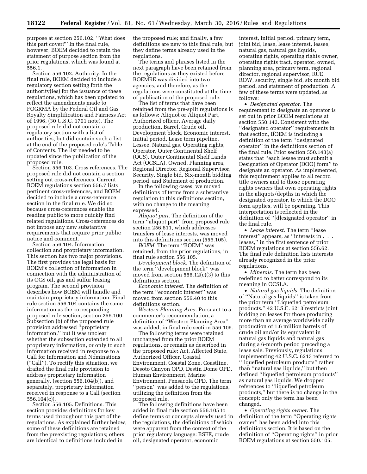purpose at section 256.102, ''What does this part cover?'' In the final rule, however, BOEM decided to retain the statement of purpose section from the prior regulations, which was found at 556.1.

Section 556.102. Authority. In the final rule, BOEM decided to include a regulatory section setting forth the authority(ies) for the issuance of these regulations, which has been updated to reflect the amendments made to FOGRMA by the Federal Oil and Gas Royalty Simplification and Fairness Act of 1996, (30 U.S.C. 1701 note). The proposed rule did not contain a regulatory section with a list of authorities, but did contain such a list at the end of the proposed rule's Table of Contents. The list needed to be updated since the publication of the proposed rule.

Section 556.103. Cross references. The proposed rule did not contain a section setting out cross-references. Current BOEM regulations section 556.7 lists pertinent cross-references, and BOEM decided to include a cross-reference section in the final rule. We did so because cross-references enable the reading public to more quickly find related regulations. Cross-references do not impose any new substantive requirements that require prior public notice and comment.

Section 556.104. Information collection and proprietary information. This section has two major provisions. The first provides the legal basis for BOEM's collection of information in connection with the administration of its OCS oil, gas and sulfur leasing program. The second provision describes how BOEM will handle and maintain proprietary information. Final rule section 556.104 contains the same information as the corresponding proposed rule section, section 256.100. Subsection (b) of the proposed rule provision addressed ''proprietary information,'' but it was unclear whether the subsection extended to all proprietary information, or only to such information received in response to a Call for Information and Nominations (''Call''). To rectify this situation, we drafted the final rule provision to address proprietary information generally, (section 556.104(b)), and separately, proprietary information received in response to a Call (section 556.104(c)).

Section 556.105. Definitions. This section provides definitions for key terms used throughout this part of the regulations. As explained further below, some of these definitions are retained from the preexisting regulations; others are identical to definitions included in

the proposed rule; and finally, a few definitions are new to this final rule, but they define terms already used in the regulations.

The terms and phrases listed in the next paragraph have been retained from the regulations as they existed before BOEMRE was divided into two agencies, and therefore, as the regulations were constituted at the time of publication of the proposed rule.

The list of terms that have been retained from the pre-split regulations is as follows: Aliquot or Aliquot Part, Authorized officer, Average daily production, Barrel, Crude oil, Development block, Economic interest, Initial period, Lease term pipeline, Lessee, Natural gas, Operating rights, Operator, Outer Continental Shelf (OCS), Outer Continental Shelf Lands Act (OCSLA), Owned, Planning area, Regional Director, Regional Supervisor, Security, Single bid, Six-month bidding period, and Statement of production.

In the following cases, we moved definitions of terms from a substantive regulation to this definitions section, with no change to the meaning expressed.

*Aliquot part.* The definition of the term ''aliquot part'' from proposed rule section 256.611, which addresses transfers of lease interests, was moved into this definitions section (556.105).

*BOEM.* The term ''BOEM'' was retained, from the prior regulations, in final rule section 556.105.

*Development block.* The definition of the term ''development block'' was moved from section 556.12(c)(3) to this definitions section.

*Economic interest.* The definition of the term ''economic interest'' was moved from section 556.40 to this definitions section.

*Western Planning Area.* Pursuant to a commenter's recommendation, a definition of ''Western Planning Area'' was added, in final rule section 556.105.

The following terms were retained unchanged from the prior BOEM regulations, or remain as described in the proposed rule: Act, Affected State, Authorized Officer, Coastal Environment, Coastal Zone, Coastline, Desoto Canyon OPD, Destin Dome OPD, Human Environment, Marine Environment, Pensacola OPD. The term ''person'' was added to the regulations, utilizing the definition from the proposed rule.

The following definitions have been added in final rule section 556.105 to define terms or concepts already used in the regulations, the definitions of which were apparent from the context of the prior regulatory language: BSEE, crude oil, designated operator, economic

interest, initial period, primary term, joint bid, lease, lease interest, lessee, natural gas, natural gas liquids, operating rights, operating rights owner, operating rights tract, operator, owned, planning area, primary term, regional director, regional supervisor, RUE, ROW, security, single bid, six month bid period, and statement of production. A few of these terms were updated, as follows:

• *Designated operator.* The requirement to designate an operator is set out in prior BOEM regulations at section 550.143. Consistent with the ''designated operator'' requirements in that section, BOEM is including a definition of the term ''designated operator'' in the definitions section of the final rule. Prior section 550.143(a) states that ''each lessee must submit a Designation of Operator (DOO) form'' to designate an operator. As implemented, this requirement applies to all record title owners and to those operating rights owners that own operating rights in the aliquots/depths in which the designated operator, to which the DOO form applies, will be operating. This interpretation is reflected in the definition of ''[d]esignated operator'' in the final rule.

• *Lease interest.* The term ''lease interest'' appears, as ''interests in . . . leases,'' in the first sentence of prior BOEM regulations at section 556.62. The final rule definition lists interests already recognized in the prior regulations.

• *Minerals.* The term has been redefined to better correspond to its meaning in OCSLA.

• *Natural gas liquids.* The definition of ''Natural gas liquids'' is taken from the prior term ''Liquefied petroleum products.'' 42 U.S.C. 6213 restricts joint bidding on leases for those producing more than an average worldwide daily production of 1.6 million barrels of crude oil and/or its equivalent in natural gas liquids and natural gas during a 6-month period preceding a lease sale. Previously, regulations implementing 42 U.S.C. 6213 referred to ''liquefied petroleum products'' rather than ''natural gas liquids,'' but then defined ''liquefied petroleum products'' as natural gas liquids. We dropped references to ''liquefied petroleum products,'' but there is no change in the concept; only the term has been changed.

• *Operating rights owner.* The definition of the term ''Operating rights owner'' has been added into this definitions section. It is based on the definition of ''Operating rights'' in prior BOEM regulations at section 550.105.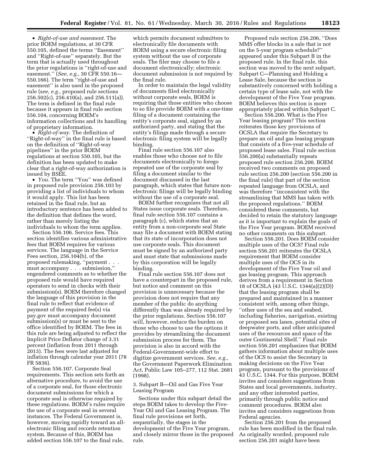• *Right-of-use and easement.* The prior BOEM regulations, at 30 CFR 550.105, defined the terms ''Easement'' and ''Right-of-use'' separately. But the term that is actually used throughout the prior regulations is ''right-of-use and easement.'' (*See, e.g.,* 30 CFR 550.16— 550.166). The term ''right-of-use and easement'' is also used in the proposed rule (s*ee, e.g.,* proposed rule sections 256.502(c), 256.410(a), and 256.511(a)). The term is defined in the final rule because it appears in final rule section 556.104, concerning BOEM's information collections and its handling of proprietary information.

• *Right-of-way.* The definition of ''Right-of-way'' in the final rule is based on the definition of ''Right-of-way pipelines'' in the prior BOEM regulations at section 550.105, but the definition has been updated to make clear that a right-of-way authorization is issued by BSEE.

• *You.* The term ''You'' was defined in proposed rule provision 256.103 by providing a list of individuals to whom it would apply. This list has been retained in the final rule, but an introductory sentence has been added to the definition that defines the word, rather than merely listing the individuals to whom the term applies.

Section 556.106. Service fees. This section identifies various administrative fees that BOEM requires for various services. The language in the Service Fees section, 256.104(b), of the proposed rulemaking, ''payment . . . must accompany . . . submission,'' engendered comments as to whether the proposed rule would have required operators to send in checks with their submission(s). BOEM therefore changed the language of this provision in the final rule to reflect that evidence of payment of the required fee(s) via pay.gov must accompany document submission(s) or must be sent to the office identified by BOEM. The fees in this rule are being adjusted to reflect the Implicit Price Deflator change of 3.31 percent (inflation from 2011 through 2013). The fees were last adjusted for inflation through calendar year 2011 (78 FR 5836).

Section 556.107. Corporate Seal requirements. This section sets forth an alternative procedure, to avoid the use of a corporate seal, for those electronic document submissions for which a corporate seal is otherwise required by these regulations. BOEM's rules require the use of a corporate seal in several instances. The Federal Government is, however, moving rapidly toward an allelectronic filing and records retention system. Because of this, BOEM has added section 556.107 to the final rule,

which permits document submitters to electronically file documents with BOEM using a secure electronic filing system without the use of corporate seals. The filer may choose to file a document electronically; electronic document submission is not required by the final rule.

In order to maintain the legal validity of documents filed electronically without corporate seals, BOEM is requiring that those entities who choose to so file provide BOEM with a one-time filing of a document containing the entity's corporate seal, signed by an authorized party, and stating that the entity's filings made through a secure electronic filing system will be legally binding.

Final rule section 556.107 also enables those who choose not to file documents electronically to forego repeated use of the corporate seal by filing a document similar to the document discussed in the last paragraph, which states that future nonelectronic filings will be legally binding without the use of a corporate seal.

BOEM further recognizes that not all States issue corporate seals. Therefore, final rule section 556.107 contains a paragraph (c), which states that an entity from a non-corporate seal State may file a document with BOEM stating that its state of incorporation does not use corporate seals. This document must be signed by an authorized party and must state that submissions made by this corporation will be legally binding.

Final rule section 556.107 does not have a counterpart in the proposed rule, but notice and comment on this provision is unnecessary because the provision does not require that any member of the public do anything differently than was already required by the prior regulations. Section 556.107 will, however, reduce the burden on those who choose to use the options it provides by streamlining the document submission process for them. The provision is also in accord with the Federal-Government-wide effort to digitize government services. *See, e.g.,*  the Government Paperwork Elimination Act, Public Law 105–277, 112 Stat. 2681 (1998).

# 3. Subpart B—Oil and Gas Five Year Leasing Program

Sections under this subpart detail the steps BOEM takes to develop the Five-Year Oil and Gas Leasing Program. The final rule provisions set forth, sequentially, the stages in the development of the Five Year program, and closely mirror those in the proposed rule.

Proposed rule section 256.206, ''Does MMS offer blocks in a sale that is not on the 5-year program schedule?'' appeared under this Subpart B in the proposed rule. In the final rule, this section was moved to the next subpart, Subpart C—Planning and Holding a Lease Sale, because the section is substantively concerned with holding a certain type of lease sale, not with the development of the Five Year program. BOEM believes this section is more appropriately placed within Subpart C.

Section 556.200. What is the Five Year leasing program? This section reiterates those key provisions of OCSLA that require the Secretary to prepare an oil and gas leasing program that consists of a five-year schedule of proposed lease sales. Final rule section 556.200(a) substantially repeats proposed rule section 256.200. BOEM received two comments on proposed rule section 256.200 (section 556.200 in the final rule) that part of the section repeated language from OCSLA, and was therefore ''inconsistent with the streamlining that MMS has taken with the proposed regulations.'' BOEM considered these comments, but decided to retain the statutory language as it is important to explain the goals of the Five Year program. BOEM received no other comments on this subpart.

Section 556.201. Does BOEM consider multiple uses of the OCS? Final rule section 556.201 reiterates the OCSLA requirement that BOEM consider multiple uses of the OCS in its development of the Five Year oil and gas leasing program. This approach derives from a requirement in Section 18 of OCSLA (43 U.S.C. 1344(a)(2)(D)) that the leasing program shall be prepared and maintained in a manner consistent with, among other things, ''other uses of the sea and seabed, including fisheries, navigation, existing or proposed sea lanes, potential sites of deepwater ports, and other anticipated uses of the resources and space of the outer Continental Shelf.'' Final rule section 556.201 emphasizes that BOEM gathers information about multiple uses of the OCS to assist the Secretary in making decisions on the Five Year program, pursuant to the provisions of 43 U.S.C. 1344. For this purpose, BOEM invites and considers suggestions from States and local governments, industry, and any other interested parties, primarily through public notice and comment procedures. BOEM also invites and considers suggestions from Federal agencies.

Section 256.201 from the proposed rule has been modified in the final rule. As originally worded, proposed rule section 256.201 might have been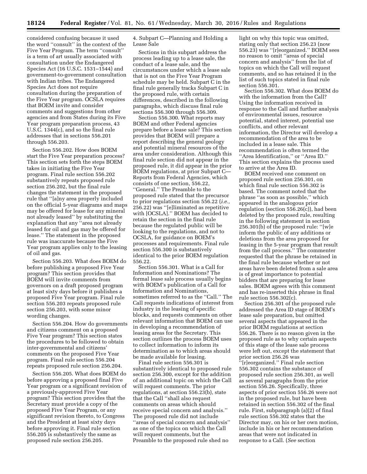considered confusing because it used the word ''consult'' in the context of the Five Year Program. The term ''consult'' is a term of art usually associated with consultation under the Endangered Species Act (16 U.S.C. 1531–1544) and government-to-government consultation with Indian tribes. The Endangered Species Act does not require consultation during the preparation of the Five Year program. OCSLA requires that BOEM invite and consider comments and suggestions from other agencies and from States during its Five Year program preparation process, 43 U.S.C. 1344(c), and so the final rule addresses that in sections 556.201 through 556.203.

Section 556.202. How does BOEM start the Five Year preparation process? This section sets forth the steps BOEM takes in initiating the Five Year program. Final rule section 556.202 substantively repeats proposed rule section 256.202, but the final rule changes the statement in the proposed rule that ''[a]ny area properly included on the official 5-year diagrams and maps may be offered for lease for any mineral not already leased'' by substituting the explanation that any ''area not already leased for oil and gas may be offered for lease.'' The statement in the proposed rule was inaccurate because the Five Year program applies only to the leasing of oil and gas.

Section 556.203. What does BOEM do before publishing a proposed Five Year program? This section provides that BOEM will invite comments from governors on a draft proposed program at least sixty days before it publishes a proposed Five Year program. Final rule section 556.203 repeats proposed rule section 256.203, with some minor wording changes.

Section 556.204. How do governments and citizens comment on a proposed Five Year program? This section states the procedures to be followed to obtain inter-governmental and citizens' comments on the proposed Five Year program. Final rule section 556.204 repeats proposed rule section 256.204.

Section 556.205. What does BOEM do before approving a proposed final Five Year program or a significant revision of a previously-approved Five Year program? This section provides that the Secretary must provide a copy of the proposed Five Year Program, or any significant revision thereto, to Congress and the President at least sixty days before approving it. Final rule section 556.205 is substantively the same as proposed rule section 256.205.

4. Subpart C—Planning and Holding a Lease Sale

Sections in this subpart address the process leading up to a lease sale, the conduct of a lease sale, and the circumstances under which a lease sale that is not on the Five Year Program schedule may be held. Subpart C in the final rule generally tracks Subpart C in the proposed rule, with certain differences, described in the following paragraphs, which discuss final rule sections 556.300 through 556.309.

Section 556.300. What reports may BOEM and other Federal agencies prepare before a lease sale? This section provides that BOEM will prepare a report describing the general geology and potential mineral resources of the area under consideration. Although this final rule section did not appear in the proposed rule, it did appear in the prior BOEM regulations, at prior Subpart C— Reports from Federal Agencies, which consists of one section, 556.22, ''General.'' The Preamble to the proposed rule stated that the precursor to prior regulations section 556.22 (*i.e.,*  256.22) was ''[e]liminated as repetitive with [OCSLA].'' BOEM has decided to retain the section in the final rule because the regulated public will be looking to the regulations, and not to OCSLA, for guidance on BOEM's processes and requirements. Final rule section 556.300 is substantively identical to the prior BOEM regulation 556.22.

Section 556.301. What is a Call for Information and Nominations? The formal lease sale process usually begins with BOEM's publication of a Call for Information and Nominations, sometimes referred to as the ''Call.'' The Call requests indications of interest from industry in the leasing of specific blocks, and requests comments on other relevant information that BOEM can use in developing a recommendation of leasing areas for the Secretary. This section outlines the process BOEM uses to collect information to inform its determination as to which areas should be made available for leasing.

Final rule section 556.301 is substantively identical to proposed rule section 256.300, except for the addition of an additional topic on which the Call will request comments. The prior regulations, at section 556.23(b), state that the Call ''shall also request comments on areas which should receive special concern and analysis.'' The proposed rule did not include ''areas of special concern and analysis'' as one of the topics on which the Call will request comments, but the Preamble to the proposed rule shed no

light on why this topic was omitted, stating only that section 256.23 (now 556.23) was ''[r]eorganized.'' BOEM sees no reason to omit ''areas of special concern and analysis'' from the list of topics on which the Call will request comments, and so has retained it in the list of such topics stated in final rule section 556.301.

Section 556.302. What does BOEM do with the information from the Call? Using the information received in response to the Call and further analysis of environmental issues, resource potential, stated interest, potential use conflicts, and other relevant information, the Director will develop a recommendation of the area to be included in a lease sale. This recommendation is often termed the ''Area Identification,'' or ''Area ID.'' This section explains the process used to arrive at the Area ID.

BOEM received one comment on proposed rule section 256.301, on which final rule section 556.302 is based. The comment noted that the phrase ''as soon as possible,'' which appeared in the analogous prior regulation (section 556.26(c)), had been deleted by the proposed rule, resulting in the following statement in section 256.301(b) of the proposed rule: ''[w]e inform the public of any additions or deletions from the area proposed for leasing in the 5-year program that result from the call process.'' The commenter requested that the phrase be retained in the final rule because whether or not areas have been deleted from a sale area is of great importance to potential bidders that are preparing for lease sales. BOEM agrees with this comment and has re-inserted this phrase in final rule section 556.302(c).

Section 256.301 of the proposed rule addressed the Area ID stage of BOEM's lease sale preparation, but omitted several aspects that appeared in the prior BOEM regulations at section 556.26. There is no reason given in the proposed rule as to why certain aspects of this stage of the lease sale process were left out, except the statement that prior section 256.26 was ''[r]eorganized.'' Final rule section 556.302 contains the substance of proposed rule section 256.301, as well as several paragraphs from the prior section 556.26. Specifically, three aspects of prior section 556.26 were not in the proposed rule, but have been retained in section 556.302 of the final rule. First, subparagraph (a)(2) of final rule section 556.302 states that the Director may, on his or her own motion, include in his or her recommendation areas that were not indicated in

response to a Call. (*See* section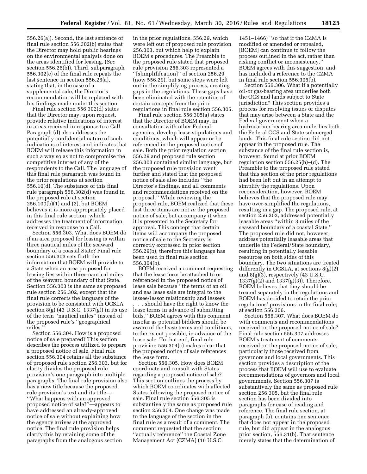556.26(a)). Second, the last sentence of final rule section 556.302(b) states that the Director may hold public hearings on the environmental analysis done on the areas identified for leasing. (*See*  section 556.26(b)). Third, subparagraph 556.302(e) of the final rule repeats the last sentence in section 556.26(a), stating that, in the case of a supplemental sale, the Director's recommendation will be replaced with his findings made under this section.

Final rule section 556.302(d) states that the Director may, upon request, provide relative indications of interest in areas received in response to a Call. Paragraph (d) also addresses the potentially confidential nature of such indications of interest and indicates that BOEM will release this information in such a way so as not to compromise the competitive interest of any of the respondents to the Call. The language of this final rule paragraph was found in the prior regulations at section 556.10(d). The substance of this final rule paragraph 556.302(d) was found in the proposed rule at section 256.100(b)(1) and (2), but BOEM believes it is more appropriately placed in this final rule section, which addresses the treatment of information received in response to a Call.

Section 556.303. What does BOEM do if an area proposed for leasing is within three nautical miles of the seaward boundary of a coastal State? Final rule section 556.303 sets forth the information that BOEM will provide to a State when an area proposed for leasing lies within three nautical miles of the seaward boundary of that State. Section 556.303 is the same as proposed rule section 256.302, except that the final rule corrects the language of the provision to be consistent with OCSLA section 8(g)  $(43 \text{ U.S.C. } 1337 \text{ (g)})$  in its use of the term ''nautical miles'' instead of the proposed rule's ''geographical miles.''

Section 556.304. How is a proposed notice of sale prepared? This section describes the process utilized to prepare a proposed notice of sale. Final rule section 556.304 retains all the substance of proposed rule section 256.303, but for clarity divides the proposed rule provision's one paragraph into multiple paragraphs. The final rule provision also has a new title because the proposed rule provision's text and its title— ''What happens with an approved proposed notice of sale?''—appears to have addressed an already-approved notice of sale without explaining how the agency arrives at the approved notice. The final rule provision helps clarify this by retaining some of the paragraphs from the analogous section

in the prior regulations, 556.29, which were left out of proposed rule provision 256.303, but which help to explain BOEM's procedures. The Preamble to the proposed rule stated that proposed rule provision 256.303 represented a ''[s]implifi[cation]'' of section 256.29 (now 556.29), but some steps were left out in the simplifying process, creating gaps in the regulations. These gaps have been eliminated with the retention of certain concepts from the prior regulations in final rule section 556.305.

Final rule section 556.305(a) states that the Director of BOEM may, in consultation with other Federal agencies, develop lease stipulations and conditions, which will appear or be referenced in the proposed notice of sale. Both the prior regulation section 556.29 and proposed rule section 256.303 contained similar language, but the proposed rule provision went further and stated that the proposed notice of sale also includes ''the Director's findings, and all comments and recommendations received on the proposal.'' While reviewing the proposed rule, BOEM realized that these last three items are not *in* the proposed notice of sale, but accompany it when it is presented to the Secretary for approval. This concept that certain items will accompany the proposed notice of sale to the Secretary is correctly expressed in prior section 556.29(b), therefore this language has been used in final rule section 556.304(b).

BOEM received a comment requesting that the lease form be attached to or referenced in the proposed notice of lease sale because ''the terms of an oil and gas lease sale are integral to the lessee/lessor relationship and lessees . . . should have the right to know the lease terms in advance of submitting bids.'' BOEM agrees with this comment insofar as potential bidders should be aware of the lease terms and conditions, to the extent possible, in advance of the lease sale. To that end, final rule provision 556.304(c) makes clear that the proposed notice of sale references the lease form.

Section 556.305. How does BOEM coordinate and consult with States regarding a proposed notice of sale? This section outlines the process by which BOEM coordinates with affected States following the proposed notice of sale. Final rule section 556.305 is substantively the same as proposed rule section 256.304. One change was made to the language of the section in the final rule as a result of a comment. The comment requested that the section ''actually reference'' the Coastal Zone Management Act (CZMA) (16 U.S.C.

1451–1466) ''so that if the CZMA is modified or amended or repealed, [BOEM] can continue to follow the process outlined in the act, rather than risking conflict or inconsistency.'' BOEM agrees with this suggestion, and has included a reference to the CZMA in final rule section 556.305(b).

Section 556.306. What if a potentially oil-or gas-bearing area underlies both the OCS and lands subject to State jurisdiction? This section provides a process for resolving issues or disputes that may arise between a State and the Federal government when a hydrocarbon-bearing area underlies both the Federal OCS and State submerged lands. This final rule section did not appear in the proposed rule. The substance of the final rule section is, however, found at prior BOEM regulation section 556.25(b)–(d). The Preamble to the proposed rule stated that this section of the prior regulations had been left out in an attempt to simplify the regulations. Upon reconsideration, however, BOEM believes that the proposed rule may have over-simplified the regulations, resulting in a gap. The proposed rule, at section 256.302, addressed potentially leasable areas ''within 3 miles of the seaward boundary of a coastal State.'' The proposed rule did not, however, address potentially leasable areas that underlie the Federal/State boundary, resulting in potentially leasable resources on both sides of this boundary. The two situations are treated differently in OCSLA, at sections 8(g)(2) and 8(g)(3), respectively (43 U.S.C. 1337(g)(2) and 1337(g)(3)). Therefore, BOEM believes that they should be treated separately in the regulations and BOEM has decided to retain the prior regulations' provisions in the final rule, at section 556.306.

Section 556.307. What does BOEM do with comments and recommendations received on the proposed notice of sale? Final rule section 556.307 addresses BOEM's treatment of comments received on the proposed notice of sale, particularly those received from governors and local governments. This section provides a description of the process that BOEM will use to evaluate recommendations of governors and local governments. Section 556.307 is substantively the same as proposed rule section 256.305, but the final rule section has been divided into paragraphs for ease of reading and reference. The final rule section, at paragraph (b), contains one sentence that does not appear in the proposed rule, but did appear in the analogous prior section, 556.31(b). That sentence merely states that the determination of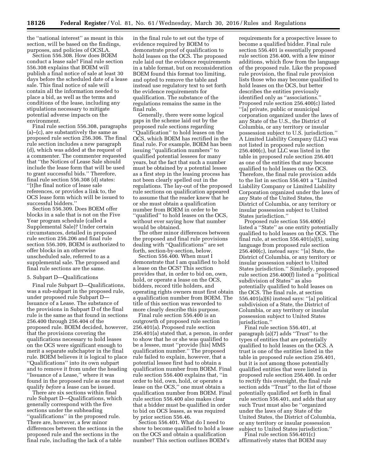the ''national interest'' as meant in this section, will be based on the findings, purposes, and policies of OCSLA.

Section 556.308. How does BOEM conduct a lease sale? Final rule section 556.308 explains that BOEM will publish a final notice of sale at least 30 days before the scheduled date of a lease sale. This final notice of sale will contain all the information needed to place a bid, as well as the terms and conditions of the lease, including any stipulations necessary to mitigate potential adverse impacts on the environment.

Final rule section 556.308, paragraphs (a)–(c), are substantively the same as proposed rule section 256.306. The final rule section includes a new paragraph (d), which was added at the request of a commenter. The commenter requested that ''the Notices of Lease Sale should include the lease form that will be used to grant successful bids.'' Therefore, final rule section 556.308 (d) states: ''[t]he final notice of lease sale references, or provides a link to, the OCS lease form which will be issued to successful bidders.''

Section 556.309. Does BOEM offer blocks in a sale that is not on the Five Year program schedule (called a Supplemental Sale)? Under certain circumstances, detailed in proposed rule section 256.206 and final rule section 556.309, BOEM is authorized to offer blocks in an otherwise unscheduled sale, referred to as a supplemental sale. The proposed and final rule sections are the same.

### 5. Subpart D—Qualifications

Final rule Subpart D—Qualifications, was a sub-subpart in the proposed rule, under proposed rule Subpart D— Issuance of a Lease. The substance of the provisions in Subpart D of the final rule is the same as that found in sections 256.400 through 256.404 of the proposed rule. BOEM decided, however, that the provisions covering the qualifications necessary to hold leases on the OCS were significant enough to merit a separate subchapter in the final rule. BOEM believes it is logical to place ''Qualifications'' into its own subpart and to remove it from under the heading ''Issuance of a Lease,'' where it was found in the proposed rule as one must qualify *before* a lease can be issued.

There are six sections within final rule Subpart D—Qualifications, which generally correspond with the five sections under the subheading ''qualifications'' in the proposed rule. There are, however, a few minor differences between the sections in the proposed rule and the sections in the final rule, including the lack of a table

in the final rule to set out the type of evidence required by BOEM to demonstrate proof of qualification to hold leases on the OCS. The proposed rule laid out the evidence requirements in a table format, but on reconsideration BOEM found this format too limiting, and opted to remove the table and instead use regulatory text to set forth the evidence requirements for qualification. The substance of the regulations remains the same in the final rule.

Generally, there were some logical gaps in the scheme laid out by the proposed rule sections regarding 'Qualification'' to hold leases on the OCS, which BOEM has rectified in the final rule. For example, BOEM has been issuing ''qualification numbers'' to qualified potential lessees for many years, but the fact that such a number must be obtained by a potential lessee as a first step in the leasing process has not been clearly spelled out in the regulations. The lay-out of the proposed rule sections on qualification appeared to assume that the reader knew that he or she must obtain a qualification number from BOEM in order to be ''qualified'' to hold leases on the OCS, without ever saying how that number would be obtained.

The other minor differences between the proposed and final rule provisions dealing with ''Qualifications'' are set forth, section-by-section, below.

Section 556.400. When must I demonstrate that I am qualified to hold a lease on the OCS? This section provides that, in order to bid on, own, hold, or operate a lease on the OCS, bidders, record title holders, and operating rights owners must first obtain a qualification number from BOEM. The title of this section was reworded to more clearly describe this purpose.

Final rule section 556.400 is an outgrowth of proposed rule section 256.401(a). Proposed rule section 256.401(a) stated that, a person, in order to show that he or she was qualified to be a lessee, must ''provide [his] MMS qualification number.'' The proposed rule failed to explain, however, that a potential lessee first had to obtain a qualification number from BOEM. Final rule section 556.400 explains that, ''in order to bid, own, hold, or operate a lease on the OCS,'' one must obtain a qualification number from BOEM. Final rule section 556.400 also makes clear that a bidder must be qualified in order to bid on OCS leases, as was required by prior section 556.46.

Section 556.401. What do I need to show to become qualified to hold a lease on the OCS and obtain a qualification number? This section outlines BOEM's

requirements for a prospective lessee to become a qualified bidder. Final rule section 556.401 is essentially proposed rule section 256.400, with a few minor additions, which flow from the language of the proposed rule. Like the proposed rule provision, the final rule provision lists those who may become qualified to hold leases on the OCS, but better describes the entities previously identified only as ''associations.'' Proposed rule section 256.400(c) listed ''[a] private, public or municipal corporation organized under the laws of any State of the U.S., the District of Columbia, or any territory or insular possession subject to U.S. jurisdiction.'' A Limited Liability Company (LLC) was not listed in proposed rule section 256.400(c), but LLC was listed in the table in proposed rule section 256.401 as one of the entities that may become qualified to hold leases on the OCS. Therefore, the final rule provision adds to the list in section 556.401 a ''Limited Liability Company or Limited Liability Corporation organized under the laws of any State of the United States, the District of Columbia, or any territory or insular possession subject to United States jurisdiction.''

Proposed rule section 556.400(e) listed a ''State'' as one entity potentially qualified to hold leases on the OCS. The final rule, at section 556.401(a)(5), using language from proposed rule section 256.400(c), instead says: ''[a] State, the District of Columbia, or any territory or insular possession subject to United States jurisdiction.'' Similarly, proposed rule section 256.400(f) listed a ''political subdivision of States'' as also potentially qualified to hold leases on the OCS. The final rule, at section 556.401(a)(6) instead says: ''[a] political subdivision of a State, the District of Columbia, or any territory or insular possession subject to United States jurisdiction.''

Final rule section 556.401, at paragraph (a)(7) adds ''Trust'' to the types of entities that are potentially qualified to hold leases on the OCS. A trust is one of the entities listed in the table in proposed rule section 256.401, but it is not among those potentially qualified entities that were listed in proposed rule section 256.400. In order to rectify this oversight, the final rule section adds ''Trust'' to the list of those potentially qualified set forth in final rule section 556.401, and adds that any such Trust must also be ''organized under the laws of any State of the United States, the District of Columbia, or any territory or insular possession subject to United States jurisdiction.''

Final rule section 556.401(c) affirmatively states that BOEM may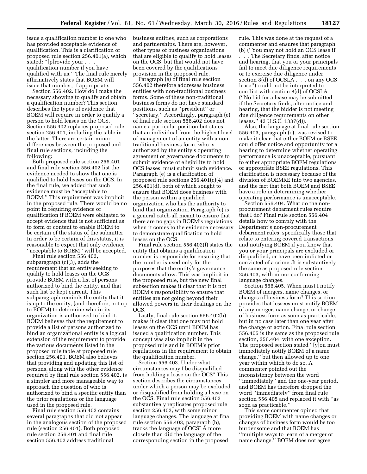issue a qualification number to one who has provided acceptable evidence of qualification. This is a clarification of proposed rule section 256.401(a), which stated: ''[p]rovide your . . . qualification number if you have qualified with us.'' The final rule merely affirmatively states that BOEM will issue that number, if appropriate.

Section 556.402. How do I make the necessary showing to qualify and obtain a qualification number? This section describes the types of evidence that BOEM will require in order to qualify a person to hold leases on the OCS. Section 556.402 replaces proposed rule section 256.401, including the table in the latter. There are certain minor differences between the proposed and final rule sections, including the following:

Both proposed rule section 256.401 and final rule section 556.402 list the evidence needed to show that one is qualified to hold leases on the OCS. In the final rule, we added that such evidence must be ''acceptable to BOEM.'' This requirement was implicit in the proposed rule. There would be no point in requiring evidence of qualification if BOEM were obligated to accept evidence that is not sufficient as to form or content to enable BOEM to be certain of the status of the submitter. In order to be certain of this status, it is reasonable to expect that only evidence ''acceptable to BOEM'' will be accepted.

Final rule section 556.402, subparagraph (c)(3), adds the requirement that an entity seeking to qualify to hold leases on the OCS provide BOEM with a list of persons authorized to bind the entity, and that such list be kept current. This subparagraph reminds the entity that it is up to the entity, (and therefore, not up to BOEM) to determine who in its organization is authorized to bind it. BOEM believes that the requirement to provide a list of persons authorized to bind an organizational entity is a logical extension of the requirement to provide the various documents listed in the proposed rule table at proposed rule section 256.401. BOEM also believes that providing and updating this list of persons, along with the other evidence required by final rule section 556.402, is a simpler and more manageable way to approach the question of who is authorized to bind a specific entity than the prior regulations or the language used in the proposed rule.

Final rule section 556.402 contains several paragraphs that did not appear in the analogous section of the proposed rule (section 256.401). Both proposed rule section 256.401 and final rule section 556.402 address traditional

business entities, such as corporations and partnerships. There are, however, other types of business organizations that are eligible to qualify to hold leases on the OCS, but that would not have been covered by the qualifications provision in the proposed rule.

Paragraph (e) of final rule section 556.402 therefore addresses business entities with non-traditional business forms. Some of these non-traditional business forms do not have standard positions, such as ''president'' or ''secretary.'' Accordingly, paragraph (e) of final rule section 556.402 does not name a particular position but states that an individual from the highest level of management of an entity with a nontraditional business form, who is authorized by the entity's operating agreement or governance documents to submit evidence of eligibility to hold OCS leases, must submit such evidence. Paragraph (e) is a clarification of proposed rule sections 256.401(c)(4) and 256.401(d), both of which sought to ensure that BOEM does business with the person within a qualified organization who has the authority to bind that organization. Paragraph (e) is a general catch-all meant to ensure that there are no gaps in BOEM's regulations when it comes to the evidence necessary to demonstrate qualification to hold leases on the OCS.

Final rule section 556.402(f) states the entity that obtains a qualification number is responsible for ensuring that the number is used only for the purposes that the entity's governance documents allow. This was implicit in the proposed rule, but the new final subsection makes it clear that it is not BOEM's responsibility to ensure that entities are not going beyond their allowed powers in their dealings on the OCS.

Lastly, final rule section 556.402(h) makes it clear that one may not hold leases on the OCS until BOEM has issued a qualification number. This concept was also implicit in the proposed rule and in BOEM's prior regulations in the requirement to obtain the qualification number.

Section 556.403. Under what circumstances may I be disqualified from holding a lease on the OCS? This section describes the circumstances under which a person may be excluded or disqualified from holding a lease on the OCS. Final rule section 556.403 substantively replicates proposed rule section 256.402, with some minor language changes. The language at final rule section 556.403, paragraph (b), tracks the language of OCSLA more closely than did the language of the corresponding section in the proposed

rule. This was done at the request of a commenter and ensures that paragraph (b) (''You may not hold an OCS lease if . The Secretary finds, after notice and hearing, that you or your principals fail to meet due diligence requirements or to exercise due diligence under section 8(d) of OCSLA . . . on any OCS lease'') could not be interpreted to conflict with section 8(d) of OCSLA (''No bid for a lease may be submitted if the Secretary finds, after notice and hearing, that the bidder is not meeting due diligence requirements on other leases.'' 43 U.S.C. 1337(d)).

Also, the language at final rule section 556.403, paragraph (c), was revised to make it clear that either BOEM or BSEE could offer notice and opportunity for a hearing to determine whether operating performance is unacceptable, pursuant to either appropriate BOEM regulations or appropriate BSEE regulations. This clarification is necessary because of the division of BOEMRE into two agencies, and the fact that both BOEM and BSEE have a role in determining whether operating performance is unacceptable.

Section 556.404. What do the nonprocurement debarment rules require that I do? Final rule section 556.404 details how to comply with the Department's non-procurement debarment rules, specifically those that relate to entering covered transactions and notifying BOEM if you know that you or your principals are excluded or disqualified, or have been indicted or convicted of a crime .It is substantively the same as proposed rule section 256.403, with minor conforming language changes.

Section 556.405. When must I notify BOEM of mergers, name changes, or changes of business form? This section provides that lessees must notify BOEM of any merger, name change, or change of business form as soon as practicable, but in no case later than one year after the change or action. Final rule section 556.405 is the same as the proposed rule section, 256.404, with one exception. The proposed section stated ''[y]ou must immediately notify BOEM of a name change,'' but then allowed up to one year within which to do so. A commenter pointed out the inconsistency between the word ''immediately'' and the one-year period, and BOEM has therefore dropped the word ''immediately'' from final rule section 556.405 and replaced it with ''as soon as practicable.''

This same commenter opined that providing BOEM with name changes or changes of business form would be too burdensome and that BOEM has ''multiple ways to learn of a merger or name change.'' BOEM does not agree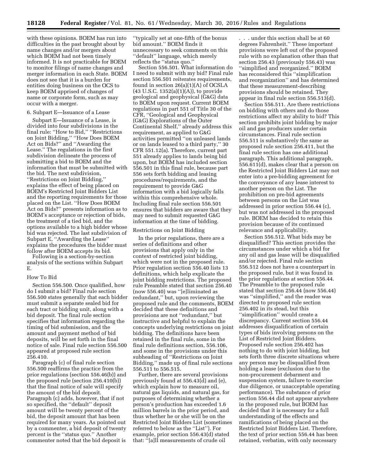with these opinions. BOEM has run into difficulties in the past brought about by name changes and/or mergers about which BOEM had not been timely informed. It is not practicable for BOEM to monitor filings of name changes and merger information in each State. BOEM does not see that it is a burden for entities doing business on the OCS to keep BOEM apprised of changes of name or corporate form, such as may occur with a merger.

### 6. Subpart E—Issuance of a Lease

Subpart E—Issuance of a Lease, is divided into four subdivisions in the final rule: "How to Bid," "Restrictions on Joint Bidding,'' ''How Does BOEM Act on Bids?'' and ''Awarding the Lease.'' The regulations in the first subdivision delineate the process of submitting a bid to BOEM and the information that must be submitted with the bid. The next subdivision, ''Restrictions on Joint Bidding,'' explains the effect of being placed on BOEM's Restricted Joint Bidders List and the reporting requirements for those placed on the List. ''How Does BOEM Act on Bids?'' presents information as to BOEM's acceptance or rejection of bids, the treatment of a tied bid, and the options available to a high bidder whose bid was rejected. The last subdivision of Subpart E, ''Awarding the Lease'' explains the procedures the bidder must follow after BOEM accepts its bid.

Following is a section-by-section analysis of the sections within Subpart E.

# How To Bid

Section 556.500. Once qualified, how do I submit a bid? Final rule section 556.500 states generally that each bidder must submit a separate sealed bid for each tract or bidding unit, along with a bid deposit. The final rule section specifies that information regarding the timing of bid submission, and the amount and payment method of bid deposits, will be set forth in the final notice of sale. Final rule section 556.500 appeared at proposed rule section 256.410.

Paragraph (c) of final rule section 556.500 reaffirms the practice from the prior regulations (section 556.46(b)) and the proposed rule (section 256.410(b)) that the final notice of sale will specify the amount of the bid deposit. Paragraph (c) adds, however, that if not so specified, the ''default'' deposit amount will be twenty percent of the bid, the deposit amount that has been required for many years. As pointed out by a commenter, a bid deposit of twenty percent is the ''status quo.'' Another commenter noted that the bid deposit is

''typically set at one-fifth of the bonus bid amount.'' BOEM finds it unnecessary to seek comments on this ''default'' language, which merely reflects the ''status quo.''

Section 556.501. What information do I need to submit with my bid? Final rule section 556.501 reiterates requirements, found in section 26(a)(1)(A) of OCSLA  $(43 \text{ U.S.C. } 1352(a)(1)(A))$ , to provide geological and geophysical (G&G) data to BOEM upon request. Current BOEM regulations in part 551 of Title 30 of the CFR, ''Geological and Geophysical (G&G) Explorations of the Outer Continental Shelf,'' already address this requirement, as applied to G&G activities permitted ''on unleased lands or on lands leased to a third party,'' 30 CFR 551.12(a). Therefore, current part 551 already applies to lands being bid upon, but BOEM has included section 556.501 in this final rule, because part 556 sets forth bidding and leasing procedures/requirements, and the requirement to provide G&G information with a bid logically falls within this comprehensive whole. Including final rule section 556.501 ensures that bidders are aware that they may need to submit requested G&G information at the time of bidding.

### Restrictions on Joint Bidding

In the prior regulations, there are a series of definitions and other provisions that apply only in the context of restricted joint bidding, which were not in the proposed rule. Prior regulation section 556.40 lists 13 definitions, which help explicate the joint bidding restrictions. The proposed rule Preamble stated that section 256.40 (now 556.40) was ''[e]liminated as redundant,'' but, upon reviewing the proposed rule and the comments, BOEM decided that these definitions and provisions are not ''redundant,'' but instructive and helpful to explain the concepts underlying restrictions on joint bidding. The definitions have been retained in the final rule, some in the final rule definitions section, 556.106, and some in the provisions under this subheading of ''Restrictions on Joint Bidding,'' made up of final rule sections 556.511 to 556.515.

Further, there are several provisions previously found at 556.43(d) and (e), which explain how to measure oil, natural gas liquids, and natural gas, for purposes of determining whether a person's production has exceeded 1.6 million barrels in the prior period, and thus whether he or she will be on the Restricted Joint Bidders List (sometimes referred to below as the ''List''). For example, prior section 556.43(d) stated that: ''[a]ll measurements of crude oil

. . . under this section shall be at 60 degrees Fahrenheit.'' These important provisions were left out of the proposed rule with no explanation other than that section 256.43 (previously 556.43) was ''simplified and reorganized.'' BOEM has reconsidered this ''simplification and reorganization'' and has determined that these measurement-describing provisions should be retained. They appear in final rule section 556.513(d).

Section 556.511. Are there restrictions on bidding with others and do those restrictions affect my ability to bid? This section prohibits joint bidding by major oil and gas producers under certain circumstances. Final rule section 556.511 is substantively the same as proposed rule section 256.411, but the final rule section has one additional paragraph. This additional paragraph, 556.611(d), makes clear that a person on the Restricted Joint Bidders List may not enter into a pre-bidding agreement for the conveyance of any lease interest to another person on the List. The prohibition on pre-bid agreements between persons on the List was addressed in prior section 556.44 (c), but was not addressed in the proposed rule. BOEM has decided to retain this provision because of its continued relevance and applicability.

Section 556.512. What bids may be disqualified? This section provides the circumstances under which a bid for any oil and gas lease will be disqualified and/or rejected. Final rule section 556.512 does not have a counterpart in the proposed rule, but it was found in the prior regulations at section 556.44. The Preamble to the proposed rule stated that section 256.44 (now 556.44) was ''simplified,'' and the reader was directed to proposed rule section 256.402 in its stead, but this ''simplification'' would create a discrepancy. Current section 556.44 addresses disqualification of certain types of bids involving persons on the List of Restricted Joint Bidders. Proposed rule section 256.402 has nothing to do with joint bidding, but sets forth three discrete situations where any person may be disqualified from holding a lease (exclusion due to the non-procurement debarment and suspension system, failure to exercise due diligence, or unacceptable operating performance). The substance of prior section 556.44 did not appear anywhere in the proposed rule, but BOEM has decided that it is necessary for a full understanding of the effects and ramifications of being placed on the Restricted Joint Bidders List. Therefore, the text of prior section 556.44 has been retained, verbatim, with only necessary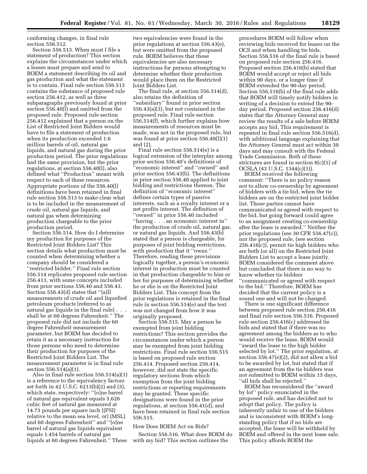conforming changes, in final rule section 556.512.

Section 556.513. When must I file a statement of production? This section explains the circumstances under which a lessee must prepare and send to BOEM a statement describing its oil and gas production and what the statement is to contain. Final rule section 556.513 contains the substance of proposed rule section 256.412, as well as three subparagraphs previously found at prior section 556.40(l) and omitted from the proposed rule. Proposed rule section 256.412 explained that a person on the List of Restricted Joint Bidders would have to file a statement of production when its production exceeded 1.6 million barrels of oil, natural gas liquids, and natural gas during the prior production period. The prior regulations had the same provision, but the prior regulations, at section 556.40(l), also defined what ''Production'' meant with respect to each of these resources. Appropriate portions of the 556.40(l) definitions have been retained in final rule section 556.513 to make clear what is to be included in the measurement of crude oil, natural gas liquids, and natural gas when determining production chargeable to the prior production period.

Section 556.514. How do I determine my production for purposes of the Restricted Joint Bidders List? This section details what production must be counted when determining whether a company should be considered a ''restricted bidder.'' Final rule section 556.514 replicates proposed rule section 256.413, with some concepts included from prior sections 556.40 and 556.43. Section 556.43(d) states that ''[a]ll measurements of crude oil and liquefied petroleum products [referred to as natural gas liquids in the final rule] . . . shall be at 60 degrees Fahrenheit.'' The proposed rule did not include the 60 degree Fahrenheit measurement parameter, but BOEM has decided to retain it as a necessary instruction for those persons who need to determine their production for purposes of the Restricted Joint Bidders List. The measurement parameter is in final rule section 556.514(a)(1).

Also in final rule section 556.514(a)(1) is a reference to the equivalency factors set forth in 42 U.S.C. 6213(b)(2) and (3), which state, respectively: ''[o]ne barrel of natural gas equivalent equals 5,626 cubic feet of natural gas measured at 14.73 pounds per square inch [(PSI) relative to the mean sea level, or] (MSL) and 60 degrees Fahrenheit'' and ''[o]ne barrel of natural gas liquids equivalent equals 1.454 barrels of natural gas liquids at 60 degrees Fahrenheit.'' These

two equivalencies were found in the prior regulations at section 556.43(e), but were omitted from the proposed rule. BOEM believes that these equivalencies are also necessary instructions for persons attempting to determine whether their production would place them on the Restricted Joint Bidders List.

The final rule, at section 556.514(d), also retains the definition of ''subsidiary'' found in prior section 556.43(a)(3), but not contained in the proposed rule. Final rule section 556.514(f), which further explains how measurements of resources must be made, was not in the proposed rule, but was found at prior section 556.40(l)(1) and (2).

Final rule section 556.514(e) is a logical extension of the interplay among prior section 556.40's definitions of 'economic interest" and "owned" and prior section 556.43(b). The definitions in prior section 556.40 applied to joint bidding and restrictions thereon. The definition of ''economic interest'' defines certain types of passive interests, such as a royalty interest or a net profits interest. The definition of ''owned'' in prior 556.40 included ''having . . . an economic interest in'' the production of crude oil, natural gas, or natural gas liquids. And 556.43(b) stated that a person is chargeable, for purposes of joint bidding restrictions, with production that it "owns." Therefore, reading these provisions logically together, a person's economic interest in production must be counted in that production chargeable to him or her for purposes of determining whether he or she is on the Restricted Joint Bidders List. This concept from the prior regulations is retained in the final rule in section 556.514(e) and the text was not changed from how it was originally proposed.

Section 556.515. May a person be exempted from joint bidding restrictions? This section provides the circumstances under which a person may be exempted from joint bidding restrictions. Final rule section 556.515 is based on proposed rule section 256.414. Proposed section 256.414, however, did not state the specific regulatory sections from which exemption from the joint bidding restrictions or reporting requirements may be granted. These specific designations were found in the prior regulations, at section 556.41(d), and have been retained in final rule section 556.515.

### How Does BOEM Act on Bids?

Section 556.516. What does BOEM do with my bid? This section outlines the

procedures BOEM will follow when reviewing bids received for leases on the OCS and when handling tie bids. Section 556.516 of the final rule is based on proposed rule section 256.416. Proposed section 256.416(b) stated that BOEM would accept or reject all bids within 90 days, or a longer time if BOEM extended the 90-day period. Section 556.516(b) of the final rule adds that BOEM will timely notify bidders in writing of a decision to extend the 90 day period. Proposed section 256.416(d) states that the Attorney General may review the results of a sale before BOEM accepts any bid. This requirement is repeated in final rule section 556.516(d), with additional language explaining that the Attorney General must act within 30 days and may consult with the Federal Trade Commission. Both of these strictures are found in section 8(c)(1) of OCSLA (43 U.S.C. 1344(c)(1)).

BOEM received the following comment: ''There is no policy reason not to allow co-ownership by agreement of bidders with a tie bid, when the tie bidders are on the restricted joint bidder list. Those parties cannot have communicated or agreed with respect to the bid, but going forward could agree to an assignment creating co-ownership after the lease is awarded.'' Neither the prior regulations (see 30 CFR 556.47(c)), nor the proposed rule, (see section 256.416(c)), permit tie high bidders who are both (or all) on the Restricted Joint Bidders List to accept a lease jointly. BOEM considered the comment above but concluded that there is no way to know whether tie bidders ''communicated or agreed with respect to the bid.'' Therefore, BOEM has decided that the current policy is a sound one and will not be changed.

There is one significant difference between proposed rule section 256.416 and final rule section 556.516. Proposed rule section 256.416(c) addressed tie bids and stated that if there was no agreement among the bidders as to who would receive the lease, BOEM would ''award the lease to the high bidder selected by lot.'' The prior regulation, at section 556.47(e)(2), did not allow a bid to be awarded by lot, but stated that if an agreement from the tie bidders was not submitted to BOEM within 15 days, ''all bids shall be rejected.''

BOEM has reconsidered the ''award by lot'' policy enunciated in the proposed rule, and has decided not to adopt that policy. The policy is inherently unfair to one of the bidders and is inconsistent with BOEM's longstanding policy that if no bids are accepted, the lease will be withheld by BOEM and offered in the next lease sale. This policy affords BOEM the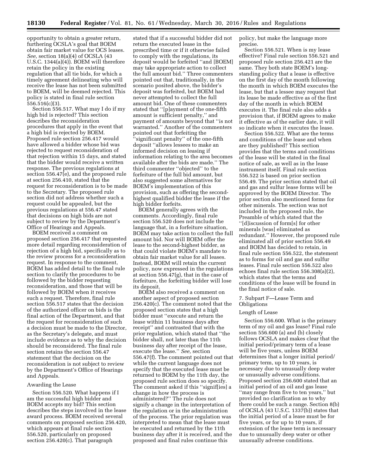opportunity to obtain a greater return, furthering OCSLA's goal that BOEM obtain fair market value for OCS leases. *See,* section 18(a)(4) of OCSLA (43 U.S.C. 1344(a)(4)). BOEM will therefore retain the policy in the existing regulation that all tie bids, for which a timely agreement delineating who will receive the lease has not been submitted to BOEM, will be deemed rejected. This policy is stated in final rule section 556.516(c)(3).

Section 556.517. What may I do if my high bid is rejected? This section describes the reconsideration procedures that apply in the event that a high bid is rejected by BOEM. Proposed rule section 256.417 would have allowed a bidder whose bid was rejected to request reconsideration of that rejection within 15 days, and stated that the bidder would receive a written response. The previous regulations at section 556.47(e), and the proposed rule at section 256.410, stated that the request for reconsideration is to be made to the Secretary. The proposed rule section did not address whether such a request could be appealed, but the previous regulations at 556.47 stated that decisions on high bids are not subject to review by the Department's Office of Hearings and Appeals.

BOEM received a comment on proposed section 256.417 that requested more detail regarding reconsideration of rejection of a high bid, specifically as to the review process for a reconsideration request. In response to the comment, BOEM has added detail to the final rule section to clarify the procedures to be followed by the bidder requesting reconsideration, and those that will be followed by BOEM when it receives such a request. Therefore, final rule section 556.517 states that the decision of the authorized officer on bids is the final action of the Department, and that the request for reconsideration of such a decision must be made to the Director, as the Secretary's delegate, and must include evidence as to why the decision should be reconsidered. The final rule section retains the section 556.47 statement that the decision on the reconsideration is not subject to review by the Department's Office of Hearings and Appeals.

### Awarding the Lease

Section 556.520. What happens if I am the successful high bidder and BOEM accepts my bid? This section describes the steps involved in the lease award process. BOEM received several comments on proposed section 256.420, which appears at final rule section 556.520, particularly on proposed section 256.420(c). That paragraph

stated that if a successful bidder did not return the executed lease in the prescribed time or if it otherwise failed to comply with the regulations, its deposit would be forfeited ''and [BOEM] may take appropriate action to collect the full amount bid.'' Three commenters pointed out that, traditionally, in the scenario posited above, the bidder's deposit was forfeited, but BOEM had never attempted to collect the full amount bid. One of these commenters stated that ''[p]ayment of the one-fifth amount is sufficient penalty,'' and payment of amounts beyond that ''is not warranted.'' Another of the commenters pointed out that forfeiting the 'significant penalty'' of the one-fifth deposit ''allows lessees to make an informed decision on leasing if information relating to the area becomes available after the bids are made.'' The third commenter ''objected'' to the forfeiture of the full bid amount, but also suggested some alternatives for BOEM's implementation of this provision, such as offering the secondhighest qualified bidder the lease if the high bidder forfeits.

BOEM generally agrees with the comments. Accordingly, final rule section 556.520 does not include the language that, in a forfeiture situation, BOEM may take action to collect the full amount bid. Nor will BOEM offer the lease to the second-highest bidder, as that could violate BOEM's mandate to obtain fair market value for all leases. Instead, BOEM will retain the current policy, now expressed in the regulations at section 556.47(g), that in the case of forfeiture, the forfeiting bidder will lose its deposit.

BOEM also received a comment on another aspect of proposed section 256.420(c). The comment noted that the proposed section states that a high bidder must ''execute and return the lease within 11 business days after receipt'' and contrasted that with the prior regulation, which stated that ''the bidder shall, not later than the 11th business day after receipt of the lease, execute the lease.'' *See,* section 556.47(f). The comment pointed out that while the current language does not specify that the executed lease must be returned to BOEM by the 11th day, the proposed rule section does so specify. The comment asked if this ''signif[ies] a change in how the process is administered?'' The rule does not signify a change in the interpretation of the regulation or in the administration of the process. The prior regulation was interpreted to mean that the lease must be executed and returned by the 11th business day after it is received, and the proposed and final rules continue this

policy, but make the language more precise.

Section 556.521. When is my lease effective? Final rule section 556.521 and proposed rule section 256.421 are the same. They both state BOEM's longstanding policy that a lease is effective on the first day of the month following the month in which BOEM executes the lease, but that a lessee may request that its lease be made effective as of the first day of the month in which BOEM executes it. The final rule also adds a provision that, if BOEM agrees to make it effective as of the earlier date, it will so indicate when it executes the lease.

Section 556.522. What are the terms and conditions of the lease and when are they published? This section provides that the terms and conditions of the lease will be stated in the final notice of sale, as well as in the lease instrument itself. Final rule section 556.522 is based on prior section 556.49. The prior section stated that oil and gas and sulfur lease forms will be approved by the BOEM Director. The prior section also mentioned forms for other minerals. The section was not included in the proposed rule, the Preamble of which stated that the ''[d]iscussion of form[s] for other minerals [was] eliminated as redundant.'' However, the proposed rule eliminated all of prior section 556.49 and BOEM has decided to retain, in final rule section 556.522, the statement as to forms for oil and gas and sulfur leases. Final rule section 556.522 also echoes final rule section 556.308(a)(2), which states that the terms and conditions of the lease will be found in the final notice of sale.

### 7. Subpart F—Lease Term and **Obligations**

## Length of Lease

Section 556.600. What is the primary term of my oil and gas lease? Final rule section 556.600 (a) and (b) closely follows OCSLA and makes clear that the initial period/primary term of a lease will be five years, unless BOEM determines that a longer initial period/ primary term, up to 10 years, is necessary due to unusually deep water or unusually adverse conditions. Proposed section 256.600 stated that an initial period of an oil and gas lease ''may range from five to ten years,'' but provided no clarification as to why there could be such a range. Section 8(b) of OCSLA (43 U.S.C. 1337(b)) states that the initial period of a lease must be for five years, or for up to 10 years, if extension of the lease term is necessary due to unusually deep water or other unusually adverse conditions.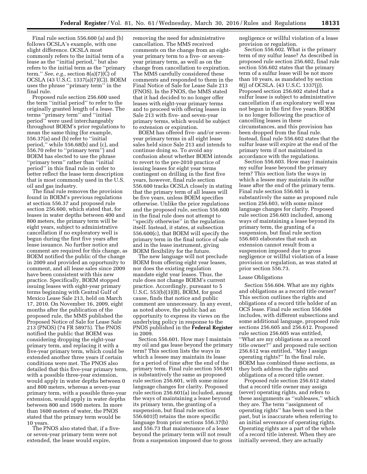Final rule section 556.600 (a) and (b) follows OCSLA's example, with one slight difference. OCSLA most commonly refers to the initial term of a lease as the ''initial period,'' but also refers to the initial term as the ''primary term.'' *See, e.g.,* section 8(a)(7)(C) of OCSLA (43 U.S.C. 1337(a)(7)(C)). BOEM uses the phrase ''primary term'' in the final rule.

Proposed rule section 256.600 used the term ''initial period'' to refer to the originally granted length of a lease. The terms ''primary term'' and ''initial period'' were used interchangeably throughout BOEM's prior regulations to mean the same thing (for example, 556.37(a) and (b) refer to ''initial period,'' while 556.68(b) and (c), and 556.70 refer to ''primary term'') and BOEM has elected to use the phrase ''primary term'' rather than ''initial period'' in this final rule in order to better reflect the lease term description that is most commonly used in the U.S. oil and gas industry.

The final rule removes the provision found in BOEM's previous regulations at section 556.37 and proposed rule section 256.600, which stated that, for leases in water depths between 400 and 800 meters, the primary term will be eight years, subject to administrative cancellation if no exploratory well is begun during the first five years after lease issuance. No further notice and comment are required for this change, as BOEM notified the public of the change in 2009 and provided an opportunity to comment, and all lease sales since 2009 have been consistent with this new practice. Specifically, BOEM stopped issuing leases with eight-year primary terms beginning with Central Gulf of Mexico Lease Sale 213, held on March 17, 2010. On November 16, 2009, eight months after the publication of the proposed rule, the MMS published the Proposed Notice of Sale for Lease Sale 213 (PNOS) (74 FR 58975). The PNOS notified the public that BOEM was considering dropping the eight-year primary term, and replacing it with a five-year primary term, which could be extended another three years if certain conditions were met. The PNOS also detailed that this five-year primary term, with a possible three-year extension, would apply in water depths between 0 and 800 meters, whereas a seven-year primary term, with a possible three-year extension, would apply in water depths between 800 and 1600 meters. In more than 1600 meters of water, the PNOS stated that the primary term would be 10 years.

The PNOS also stated that, if a fiveor seven-year primary term were not extended, the lease would expire,

removing the need for administrative cancellation. The MMS received comments on the change from an eightyear primary term to a five- or sevenyear primary term, as well as on the change from cancellation to expiration. The MMS carefully considered these comments and responded to them in the Final Notice of Sale for Lease Sale 213 (FNOS). In the FNOS, the MMS stated that it had decided to no longer offer leases with eight-year primary terms and to proceed with offering leases in Sale 213 with five- and seven-year primary terms, which would be subject to extension or expiration.

BOEM has offered five- and/or sevenyear primary terms in all eight lease sales held since Sale 213 and intends to continue doing so. To avoid any confusion about whether BOEM intends to revert to the pre-2010 practice of issuing leases for eight year terms contingent on drilling in the first five years, however, final rule section 556.600 tracks OCSLA closely in stating that the primary term of all leases will be five years, unless BOEM specifies otherwise. Unlike the prior regulations and the proposed rule, section 556.600 in the final rule does not attempt to ''specify otherwise'' in the regulation itself. Instead, it states, at subsection 556.600(c), that BOEM will specify the primary term in the final notice of sale and in the lease instrument, giving BOEM flexibility for the future.

The new language will not preclude BOEM from offering eight year leases, nor does the existing regulation mandate eight year leases. Thus, the rule does not change BOEM's current practice. Accordingly, pursuant to 5 U.S.C. 553(b)(3)(B), BOEM, for good cause, finds that notice and public comment are unnecessary. In any event, as noted above, the public had an opportunity to express its views on the underlying policy in response to the PNOS published in the **Federal Register**  in 2009.

Section 556.601. How may I maintain my oil and gas lease beyond the primary term? This section lists the ways in which a lessee may maintain its lease for a period of time after the end of the primary term. Final rule section 556.601 is substantively the same as proposed rule section 256.601, with some minor language changes for clarity. Proposed rule section 256.601(a) included, among the ways of maintaining a lease beyond its primary term, the granting of a suspension, but final rule section 556.601(f) retains the more specific language from prior sections 556.37(b) and 556.73 that maintenance of a lease beyond the primary term will not result from a suspension imposed due to gross

negligence or willful violation of a lease provision or regulation.

Section 556.602. What is the primary term of my sulfur lease? As described in proposed rule section 256.602, final rule section 556.602 states that the primary term of a sulfur lease will be not more than 10 years, as mandated by section 8(j) of OCSLA. (43 U.S.C. 1337(j)). Proposed section 256.602 stated that a sulfur lease is subject to administrative cancellation if an exploratory well was not begun in the first five years. BOEM is no longer following the practice of cancelling leases in these circumstances, and this provision has been dropped from the final rule. Instead, final rule 556.602 states that the sulfur lease will expire at the end of the primary term if not maintained in accordance with the regulations.

Section 556.603. How may I maintain my sulfur lease beyond the primary term? This section lists the ways in which a lessee may maintain its sulfur lease after the end of the primary term. Final rule section 556.603 is substantively the same as proposed rule section 256.603, with some minor language changes for clarity. Proposed rule section 256.603 included, among ways of maintaining a lease beyond its primary term, the granting of a suspension, but final rule section 556.603 elaborates that such an extension cannot result from a suspension imposed due to gross negligence or willful violation of a lease provision or regulation, as was stated at prior section 556.73.

### Lease Obligations

Section 556.604. What are my rights and obligations as a record title owner? This section outlines the rights and obligations of a record title holder of an OCS lease. Final rule section 556.604 includes, with different subsections and some additional language, proposed rule sections 256.605 and 256.612. Proposed rule section 256.605 was entitled, ''What are my obligations as a record title owner?'' and proposed rule section 256.612 was entitled, ''May I assign operating rights?'' In the final rule, BOEM has combined these sections, as they both address the rights and obligations of a record title owner.

Proposed rule section 256.612 stated that a record title owner may assign (sever) operating rights, and refers to these assignments as ''subleases,'' which they are. The term ''assignment of operating rights'' has been used in the past, but is inaccurate when referring to an initial severance of operating rights. Operating rights are a part of the whole of a record title interest. When they are initially severed, they are actually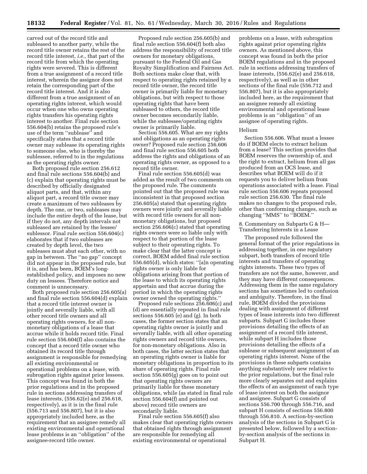carved out of the record title and subleased to another party, while the record title owner retains the rest of the record title interest, *i.e.,* that part of the record title from which the operating rights were severed. This is different from a true assignment of a record title interest, wherein the assignor does not retain the corresponding part of the record title interest. And it is also different from a true assignment of an operating rights interest, which would occur when one who owns operating rights transfers his operating rights interest to another. Final rule section 556.604(b) retains the proposed rule's use of the term ''sublease'' and specifically states that a record title owner may sublease its operating rights to someone else, who is thereby the sublessee, referred to in the regulations as the operating rights owner.

Both proposed rule section 256.612 and final rule sections 556.604(b) and (c) explain that operating rights must be described by officially designated aliquot parts, and that, within any aliquot part, a record title owner may create a maximum of two subleases by depth. The one, or two, subleases may include the entire depth of the lease, but if they do not, any depth intervals not subleased are retained by the lessee/ sublessor. Final rule section 556.604(c) elaborates that if two subleases are created by depth level, the two subleases must abut each other, with no gap in between. The ''no gap'' concept did not appear in the proposed rule, but it is, and has been, BOEM's longestablished policy, and imposes no new duty on lessees. Therefore notice and comment is unnecessary.

Both proposed rule section 256.605(a) and final rule section 556.604(d) explain that a record title interest owner is jointly and severally liable, with all other record title owners and all operating rights owners, for all nonmonetary obligations of a lease that accrue while it holds record title. Final rule section 556.604(f) also contains the concept that a record title owner who obtained its record title through assignment is responsible for remedying all existing environmental or operational problems on a lease, with subrogation rights against prior lessees. This concept was found in both the prior regulations and in the proposed rule in sections addressing transfers of lease interests, (556.62(e) and 256.618, respectively), as it is in the final rule (556.713 and 556.807), but it is also appropriately included here, as the requirement that an assignee remedy all existing environmental and operational lease problems is an ''obligation'' of the assignee-record title owner.

Proposed rule section 256.605(b) and final rule section 556.604(f) both also address the responsibility of record title owners for monetary obligations, pursuant to the Federal Oil and Gas Royalty Simplification and Fairness Act. Both sections make clear that, with respect to operating rights retained by a record title owner, the record title owner is primarily liable for monetary obligations, but with respect to those operating rights that have been subleased to others, the record title owner becomes secondarily liable, while the sublessee/operating rights owner is primarily liable.

Section 556.605. What are my rights and obligations as an operating rights owner? Proposed rule section 256.606 and final rule section 556.605 both address the rights and obligations of an operating rights owner, as opposed to a record title owner.

Final rule section 556.605(d) was added as the result of two comments on the proposed rule. The comments pointed out that the proposed rule was inconsistent in that proposed section 256.605(a) stated that operating rights owners were jointly and severally liable with record title owners for all nonmonetary obligations, but proposed section 256.606(c) stated that operating rights owners were so liable only with respect to that portion of the lease subject to their operating rights. To make clear that the latter concept is correct, BOEM added final rule section 556.605(d), which states: ''[a]n operating rights owner is only liable for obligations arising from that portion of the lease to which its operating rights appertain and that accrue during the period in which the operating rights owner owned the operating rights.''

Proposed rule sections 256.606(c) and (d) are essentially repeated in final rule sections 556.605 (e) and (g). In both cases, the former section states that an operating rights owner is jointly and severally liable, with all other operating rights owners and record title owners, for non-monetary obligations. Also in both cases, the latter section states that an operating rights owner is liable for monetary obligations in proportion to its share of operating rights. Final rule section 556.605(g) goes on to point out that operating rights owners are primarily liable for these monetary obligations, while (as stated in final rule section 556.604(f) and pointed out above) record title owners are secondarily liable.

Final rule section 556.605(f) also makes clear that operating rights owners that obtained rights through assignment are responsible for remedying all existing environmental or operational

problems on a lease, with subrogation rights against prior operating rights owners. As mentioned above, this concept was found in both the prior BOEM regulations and in the proposed rule in sections addressing transfers of lease interests, (556.62(e) and 256.618, respectively), as well as in other sections of the final rule (556.712 and 556.807), but it is also appropriately included here, as the requirement that an assignee remedy all existing environmental and operational lease problems is an ''obligation'' of an assignee of operating rights.

### Helium

Section 556.606. What must a lessee do if BOEM elects to extract helium from a lease? This section provides that BOEM reserves the ownership of, and the right to extract, helium from all gas produced from an OCS lease, and describes what BOEM will do if it requests you to deliver helium from operations associated with a lease. Final rule section 556.606 repeats proposed rule section 256.630. The final rule makes no changes to the proposed rule, other than conforming changes, such as changing ''MMS'' to ''BOEM.''

# 8. Commentary on Subparts G & H— Transferring Interests in a Lease

The proposed rule followed the general format of the prior regulations in addressing together, in one regulatory subpart, both transfers of record title interests and transfers of operating rights interests. These two types of transfers are not the same, however, and they may have different consequences. Addressing them in the same regulatory sections has sometimes led to confusion and ambiguity. Therefore, in the final rule, BOEM divided the provisions dealing with assignment of different types of lease interests into two different subparts. Subpart G includes those provisions detailing the effects of an assignment of a record title interest, while subpart H includes those provisions detailing the effects of a sublease or subsequent assignment of an operating rights interest. None of the provisions in these subparts contains anything substantively new relative to the prior regulations, but the final rule more clearly separates out and explains the effects of an assignment of each type of lease interest on both the assignor and assignee. Subpart G consists of sections 556.700 through 556.716, and subpart H consists of sections 556.800 through 556.810. A section-by-section analysis of the sections in Subpart G is presented below, followed by a sectionby-section analysis of the sections in Subpart H.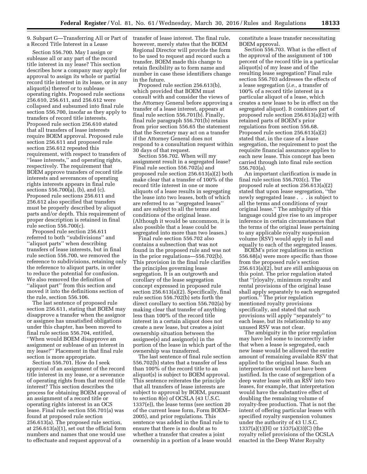# 9. Subpart G—Transferring All or Part of a Record Title Interest in a Lease

Section 556.700. May I assign or sublease all or any part of the record title interest in my lease? This section describes how a company may apply for approval to assign its whole or partial record title interest in its lease, or in any aliquot(s) thereof or to sublease operating rights. Proposed rule sections 256.610, 256.611, and 256.612 were collapsed and subsumed into final rule section 556.700, insofar as they apply to transfers of record title interests. Proposed rule section 256.610 stated that all transfers of lease interests require BOEM approval. Proposed rule section 256.611 and proposed rule section 256.612 repeated this requirement, with respect to transfers of ''lease interests,'' and operating rights, respectively. The requirement that BOEM approve transfers of record title interests and severances of operating rights interests appears in final rule sections 556.700(a), (b), and (c). Proposed rule sections 256.611 and 256.612 also specified that transfers must be properly described by aliquot parts and/or depth. This requirement of proper description is retained in final rule section 556.700(c).

Proposed rule section 256.611 referred to both ''subdivisions'' and ''aliquot parts'' when describing transfers of lease interests, but in final rule section 556.700, we removed the reference to subdivisions, retaining only the reference to aliquot parts, in order to reduce the potential for confusion. We also removed the definition of ''aliquot part'' from this section and moved it into the definitions section of the rule, section 556.106.

The last sentence of proposed rule section 256.611, stating that BOEM may disapprove a transfer when the assignor or assignee has unsatisfied obligations under this chapter, has been moved to final rule section 556.704, entitled, ''When would BOEM disapprove an assignment or sublease of an interest in my lease?'' Placement in that final rule section is more appropriate.

Section 556.701. How do I seek approval of an assignment of the record title interest in my lease, or a severance of operating rights from that record title interest? This section describes the process for obtaining BOEM approval of an assignment of a record title or operating rights interest in an OCS lease. Final rule section 556.701(a) was found at proposed rule section 256.613(a). The proposed rule section, at 256.613(a)(1), set out the official form numbers and names that one would use to effectuate and request approval of a

transfer of lease interest. The final rule, however, merely states that the BOEM Regional Director will provide the form to be used to request and record such a transfer. BOEM made this change to retain flexibility as to form name and number in case these identifiers change in the future.

Proposed rule section 256.613(b), which provided that BOEM must consult with and consider the views of the Attorney General before approving a transfer of a lease interest, appears at final rule section 556.701(b). Finally, final rule paragraph 556.701(b) retains from prior section 556.65 the statement that the Secretary may act on a transfer if the Attorney General does not respond to a consultation request within 30 days of that request.

Section 556.702. When will my assignment result in a segregated lease? Final rule section 556.702(a) and proposed rule section 256.613(a)(2) both make clear that a transfer of 100% of the record title interest in one or more aliquots of a lease results in segregating the lease into two leases, both of which are referred to as ''segregated leases'' and are subject to all the terms and conditions of the original lease. (Although it would be uncommon, it is also possible that a lease could be segregated into more than two leases.)

Final rule section 556.702 also contains a subsection that was not found in the proposed rule and was not in the prior regulations—556.702(b). This provision in the final rule clarifies the principles governing lease segregation. It is an outgrowth and corollary of the lease segregation concept expressed in proposed rule section 256.613(a)(2). Specifically, final rule section 556.702(b) sets forth the direct corollary to section 556.702(a) by making clear that transfer of anything less than 100% of the record title interest in a certain aliquot does not create a new lease, but creates a joint ownership situation between the assignee(s) and assignor(s) in the portion of the lease in which part of the ownership was transferred.

The last sentence of final rule section 556.702(b) states that a transfer of less than 100% of the record title to an aliquot(s) is subject to BOEM approval. This sentence reiterates the principle that all transfers of lease interests are subject to approval by BOEM, pursuant to section 8(e) of OCSLA (43 U.S.C. 1337(e)), the lease terms (see section 20 of the current lease form, Form BOEM– 2005), and prior regulations. This sentence was added in the final rule to ensure that there is no doubt as to whether a transfer that creates a joint ownership in a portion of a lease would constitute a lease transfer necessitating BOEM approval.

Section 556.703. What is the effect of the approval of the assignment of 100 percent of the record title in a particular aliquot(s) of my lease and of the resulting lease segregation? Final rule section 556.703 addresses the effects of a lease segregation (*i.e.,* a transfer of 100% of a record title interest in a particular aliquot of a lease, which creates a new lease to be in effect on the segregated aliquot). It combines part of proposed rule section 256.613(a)(2) with retained parts of BOEM's prior regulations from section 556.68. Proposed rule section 256.613(a)(2) stated that, in the case of a lease segregation, the requirement to post the requisite financial assurance applies to each new lease. This concept has been carried through into final rule section 556.703(a).

An important clarification is made in final rule section 556.703(c). The proposed rule at section 256.613(a)(2) stated that upon lease segregation, ''the newly segregated lease . . . is subject to all the terms and conditions of your original lease.'' The ambiguity of this language could give rise to an improper inference in certain circumstances that the terms of the original lease pertaining to any applicable royalty suspension volume (RSV) would apply in full and equally to each of the segregated leases.

BOEM's prior regulations in section 556.68(a) were more specific than those from the proposed rule's section 256.613(a)(2), but are still ambiguous on this point. The prior regulation stated that ''[r]oyalty, minimum royalty and rental provisions of the original lease shall apply separately to each segregated portion.'' The prior regulation mentioned royalty provisions specifically, and stated that such provisions will apply ''separately'' to each lease, but its relationship to any unused RSV was not clear.

The ambiguity in the prior regulation may have led some to incorrectly infer that when a lease is segregated, each new lease would be allowed the entire amount of remaining available RSV that applied to the original lease. Such an interpretation would not have been justified. In the case of segregation of a deep water lease with an RSV into two leases, for example, that interpretation would have the substantive effect of doubling the remaining volume of royalty-free production. That is not the intent of offering particular leases with specified royalty suspension volumes under the authority of 43 U.S.C. 1337(a)(1)(H) or 1337(a)(3)(C) (the royalty relief provisions of the OCSLA enacted in the Deep Water Royalty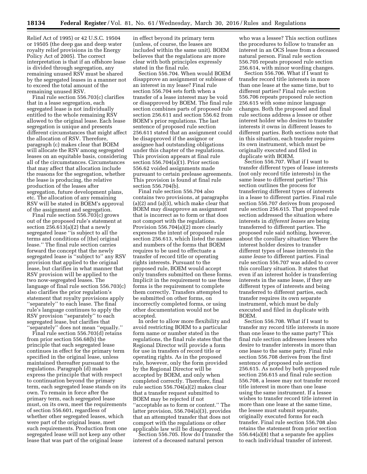Relief Act of 1995) or 42 U.S.C. 19504 or 19505 (the deep gas and deep water royalty relief provisions in the Energy Policy Act of 2005). The correct interpretation is that if an offshore lease is divided through segregation, any remaining unused RSV must be shared by the segregated leases in a manner not to exceed the total amount of the remaining unused RSV.

Final rule section 556.703(c) clarifies that in a lease segregation, each segregated lease is not individually entitled to the whole remaining RSV allowed to the original lease. Each lease segregation is unique and presents different circumstances that might affect the allocation of RSV. Therefore, paragraph (c) makes clear that BOEM will allocate the RSV among segregated leases on an equitable basis, considering all of the circumstances. Circumstances that may affect that allocation include the reasons for the segregation, whether the lease is producing, the relative production of the leases after segregation, future development plans, etc. The allocation of any remaining RSV will be stated in BOEM's approval of the assignment and segregation.

Final rule section 556.703(c) grows out of the proposed rule's statement at section 256.613(a)(2) that a newly segregated lease ''is subject to all the terms and conditions of [the] original lease.'' The final rule section carries forward the concept that the newly segregated lease is ''subject to'' any RSV provision that applied to the original lease, but clarifies in what manner that RSV provision will be applied to the two now-segregated leases. The language of final rule section 556.703(c) also clarifies the prior regulation's statement that royalty provisions apply ''separately'' to each lease. The final rule's language continues to apply the RSV provision ''separately'' to each segregated lease, but clarifies that ''separately'' does not mean ''equally.''

Final rule section 556.703(d) retains from prior section 556.68(b) the principle that each segregated lease continues in effect for the primary term specified in the original lease, unless maintained thereafter pursuant to the regulations. Paragraph (d) makes express the principle that with respect to continuation beyond the primary term, each segregated lease stands on its own. To remain in force after the primary term, each segregated lease must, on its own, meet the requirements of section 556.601, regardless of whether other segregated leases, which were part of the original lease, meet such requirements. Production from one segregated lease will not keep any other lease that was part of the original lease

in effect beyond its primary term (unless, of course, the leases are included within the same unit). BOEM believes that the regulations are more clear with both principles expressly stated in the final rule.

Section 556.704. When would BOEM disapprove an assignment or sublease of an interest in my lease? Final rule section 556.704 sets forth when a transfer of a lease interest may be void or disapproved by BOEM. The final rule section combines parts of proposed rule section 256.611 and section 556.62 from BOEM's prior regulations. The last sentence of proposed rule section 256.611 stated that an assignment could be disapproved if the assignor or assignee had outstanding obligations under this chapter of the regulations. This provision appears at final rule section 556.704(a)(1). Prior section 556.62 voided assignments made pursuant to certain prelease agreements. This provision is found at final rule section 556.704(b).

Final rule section 556.704 also contains two provisions, at paragraphs (a)(2) and (a)(3), which make clear that BOEM may disapprove an assignment that is incorrect as to form or that does not comport with the regulations. Provision 556.704(a)(2) more clearly expresses the intent of proposed rule section 256.613, which listed the names and numbers of the forms that BOEM requires to be used to effectuate a transfer of record title or operating rights interests. Pursuant to the proposed rule, BOEM would accept only transfers submitted on these forms. Implicit in the requirement to use these forms is the requirement to complete them correctly. Transfers attempted to be submitted on other forms, on incorrectly completed forms, or using other documentation would not be accepted.

In order to allow more flexibility and avoid restricting BOEM to a particular form name or number stated in the regulations, the final rule states that the Regional Director will provide a form for use in transfers of record title or operating rights. As in the proposed rule, however, only the form provided by the Regional Director will be accepted by BOEM, and only when completed correctly. Therefore, final rule section 556.704(a)(2) makes clear that a transfer request submitted to BOEM may be rejected if not ''acceptable as to form or content.'' The latter provision, 556.704(a)(3), provides that an attempted transfer that does not comport with the regulations or other applicable law will be disapproved.

Section 556.705. How do I transfer the interest of a deceased natural person

who was a lessee? This section outlines the procedures to follow to transfer an interest in an OCS lease from a deceased natural person. Final rule section 556.705 repeats proposed rule section 256.614, with minor wording changes.

Section 556.706. What if I want to transfer record title interests in more than one lease at the same time, but to different parties? Final rule section 556.706 repeats proposed rule section 256.615 with some minor language changes. Both the proposed and final rule sections address a lessee or other interest holder who desires to transfer interests it owns in different leases to different parties. Both sections note that in this situation, each transfer requires its own instrument, which must be originally executed and filed in duplicate with BOEM.

Section 556.707. What if I want to transfer different types of lease interests (not only record title interests) in the same lease to different parties? This section outlines the process for transferring different types of interests in a lease to different parties. Final rule section 556.707 derives from proposed rule section 256.615. That proposed rule section addressed the situation where interests in *different leases* are being transferred to different parties. The proposed rule said nothing, however, about the corollary situation: Where the interest holder desires to transfer different types of lease interests in the *same lease* to different parties. Final rule section 556.707 was added to cover this corollary situation. It states that even if an interest holder is transferring interests in the same lease, if they are different types of interests and being transferred to different parties, each transfer requires its own separate instrument, which must be duly executed and filed in duplicate with BOEM.

Section 556.708. What if I want to transfer my record title interests in more than one lease to the same party? This final rule section addresses lessees who desire to transfer interests in more than one lease to the same party. Final rule section 556.708 derives from the first sentence of proposed rule section 256.615. As noted by both proposed rule section 256.615 and final rule section 556.708, a lessee may not transfer record title interest in more than one lease using the same instrument. If a lessee wishes to transfer record title interest in more than one lease at the same time, the lessee must submit separate, originally executed forms for each transfer. Final rule section 556.708 also retains the statement from prior section 556.64(a)(8) that a separate fee applies to each individual transfer of interest.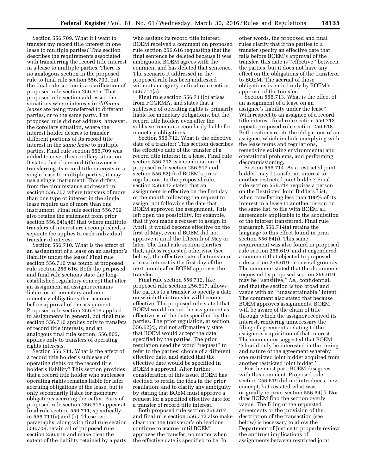Section 556.709. What if I want to transfer my record title interest in one lease to multiple parties? This section describes the requirements associated with transferring the record title interest in a lease to multiple parties. There is no analogous section in the proposed rule to final rule section 556.709, but the final rule section is a clarification of proposed rule section 256.615. That proposed rule section addressed the situations where interests in *different leases* are being transferred to different parties, or to the same party. The proposed rule did not address, however, the corollary situation, where the interest holder desires to transfer different portions of its record title interest in the *same lease* to multiple parties. Final rule section 556.709 was added to cover this corollary situation. It states that if a record title owner is transferring its record title interests in a single lease to multiple parties, it may use a single instrument. This differs from the circumstance addressed in section 556.707 where transfers of more than one type of interest in the single lease require use of more than one instrument. Final rule section 556.709 also retains the statement from prior section 556.64(a)(8) that where multiple transfers of interest are accomplished, a separate fee applies to each individual transfer of interest.

Section 556.710. What is the effect of an assignment of a lease on an assignor's liability under the lease? Final rule section 556.710 was found at proposed rule section 256.616. Both the proposed and final rule sections state the longestablished regulatory concept that after an assignment an assignor remains liable for all monetary and nonmonetary obligations that accrued before approval of the assignment. Proposed rule section 256.616 applied to assignments in general, but final rule section 556.710 applies only to transfers of record title interests, and an analogous final rule section, 556.805, applies only to transfers of operating rights interests.

Section 556.711. What is the effect of a record title holder's sublease of operating rights on the record title holder's liability? This section provides that a record title holder who subleases operating rights remains liable for later accruing obligations of the lease, but is only secondarily liable for monetary obligations accruing thereafter. Parts of proposed rule section 256.616 appear at final rule section 556.711, specifically in 556.711(a) and (b). These two paragraphs, along with final rule section 556.709, retain all of proposed rule section 256.616 and make clear the extent of the liability retained by a party

who assigns its record title interest. BOEM received a comment on proposed rule section 256.616 requesting that the final sentence be deleted because it was ambiguous. BOEM agrees with the comment and has deleted that sentence. The scenario it addressed in the proposed rule has been addressed without ambiguity in final rule section 556.711(a).

Final rule section 556.711(c) arises from FOGRMA, and states that a sublessee of operating rights is primarily liable for monetary obligations, but the record title holder, even after the sublease, remains secondarily liable for monetary obligations.

Section 556.712. What is the effective date of a transfer? This section describes the effective date of the transfer of a record title interest in a lease. Final rule section 556.712 is a combination of proposed rule section 256.617 and section 556.62(c) of BOEM's prior regulations. In the proposed rule, section 256.617 stated that an assignment is effective on the first day of the month following the request to assign, not following the date that BOEM approved the assignment. This left open the possibility, for example, that if you made a request to assign in April, it would become effective on the first of May, even if BOEM did not approve it until the fifteenth of May or later. The final rule section clarifies that, unless requested otherwise (see below), the effective date of a transfer of a lease interest is the first day of the next month after BOEM approves the transfer.

Final rule section 556.712, like proposed rule section 256.617, allows the parties to a transfer to specify a date on which their transfer will become effective. The proposed rule stated that BOEM would record the assignment as effective as of the date specified by the parties. The prior regulation, at section 556.62(c), did not affirmatively state that BOEM would accept the date specified by the parties. The prior regulation used the word ''request'' to refer to the parties' choice of a different effective date, and stated that the effective date would be specified in BOEM's approval. After further consideration of this issue, BOEM has decided to retain the idea in the prior regulation, and to clarify any ambiguity by stating that BOEM must approve a request for a specified effective date for a transfer of record title interest.

Both proposed rule section 256.617 and final rule section 556.712 also make clear that the transferor's obligations continue to accrue until BOEM approves the transfer, no matter when the effective date is specified to be. In

other words, the proposed and final rules clarify that if the parties to a transfer specify an effective date that falls before BOEM's approval of the transfer, this date is ''effective'' between the parties, but it does not have any effect on the obligations of the transferor to BOEM. The accrual of those obligations is ended only by BOEM's approval of the transfer.

Section 556.713. What is the effect of an assignment of a lease on an assignee's liability under the lease? With respect to an assignee of a record title interest, final rule section 556.713 repeats proposed rule section 256.618. Both sections recite the obligations of an assignee, which include complying with the lease terms and regulations, remedying existing environmental and operational problems, and performing decommissioning.

Section 556.714. As a restricted joint bidder, may I transfer an interest to another restricted joint bidder? Final rule section 556.714 requires a person on the Restricted Joint Bidders List, when transferring less than 100% of its interest in a lease to another person on the same list, to file with BOEM all agreements applicable to the acquisition of the interest transferred. Final rule paragraph 556.714(a) retains the language to this effect found in prior section 556.64(i). This same requirement was also found in proposed rule section 256.619, and it engendered a comment that objected to proposed rule section 256.619 on several grounds. The comment stated that the documents requested by proposed section 256.619 may be ''sensitive,'' *i.e.,* confidential, and that the section is too broad and vague with an ''unascertainable'' intent. The comment also stated that because BOEM approves assignments, BOEM will be aware of the chain of title through which the assignor received its interest, rendering unnecessary the filing of agreements relating to the assignor's acquisition of that interest. The commenter suggested that BOEM ''should only be interested in the timing and nature of the agreement whereby one restricted joint bidder acquired from another restricted joint bidder.''

For the most part, BOEM disagrees with this comment. Proposed rule section 256.619 did not introduce a new concept, but restated what was originally in prior section 556.64(i). Nor does BOEM find the section overly vague. The filing of the requested agreements or the provision of the description of the transaction (see below) is necessary to allow the Department of Justice to properly review the antitrust implications of assignments between restricted joint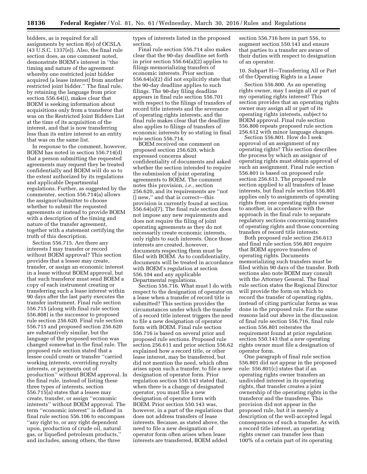bidders, as is required for all assignments by section 8(e) of OCSLA (43 U.S.C. 1337(e)). Also, the final rule section does, as one comment noted, demonstrate BOEM's interest in ''the timing and nature of the agreement whereby one restricted joint bidder acquired [a lease interest] from another restricted joint bidder.'' The final rule, by retaining the language from prior section 556.64(i), makes clear that BOEM is seeking information about acquisitions only from a transferor that was on the Restricted Joint Bidders List at the time of its acquisition of the interest, and that is now transferring less than its entire interest to an entity that was on the same list.

In response to the comment, however, BOEM has noted in section 556.714(d) that a person submitting the requested agreements may request they be treated confidentially and BOEM will do so to the extent authorized by its regulations and applicable Departmental regulations. Further, as suggested by the commenter, section 556.714(a) allows the assignor/submitter to choose whether to submit the requested agreements or instead to provide BOEM with a description of the timing and nature of the transfer agreement, together with a statement certifying the truth of this description.

Section 556.715. Are there any interests I may transfer or record without BOEM approval? This section provides that a lessee may create, transfer, or assign an economic interest in a lease without BOEM approval, but that such transferor must send BOEM a copy of each instrument creating or transferring such a lease interest within 90 days after the last party executes the transfer instrument. Final rule section 556.715 (along with final rule section 556.808) is the successor to proposed rule section 256.620. Final rule section 556.715 and proposed section 256.620 are substantively similar, but the language of the proposed section was changed somewhat in the final rule. The proposed rule section stated that a lessee could create or transfer ''carried working interests, overriding royalty interests, or payments out of production'' without BOEM approval. In the final rule, instead of listing these three types of interests, section 556.715(a) states that a lessee may create, transfer, or assign ''economic interests'' without BOEM approval. The term ''economic interest'' is defined in final rule section 556.106 to encompass ''any right to, or any right dependent upon, production of crude oil, natural gas, or liquefied petroleum products,'' and includes, among others, the three

types of interests listed in the proposed section.

Final rule section 556.714 also makes clear that the 90-day deadline set forth in prior section 556.64(a)(2) applies to filings memorializing transfers of economic interests. Prior section 556.64(a)(2) did not explicitly state that the 90-day deadline applies to such filings. The 90-day filing deadline appears in final rule section 556.701 with respect to the filings of transfers of record title interests and the severance of operating rights interests, and the final rule makes clear that the deadline also applies to filings of transfers of economic interests by so stating in final rule section 556.714.

BOEM received one comment on proposed section 256.620, which expressed concerns about confidentiality of documents and asked whether the section intended to require the submission of joint operating agreements to BOEM. The comment notes this provision, *i.e.,* section 256.620, and its requirements are ''not [] new,'' and that is correct—this provision is currently found at section 556.64(a)(7). The final rule section does not impose any new requirements and does not require the filing of joint operating agreements as they do not necessarily create economic interests, only rights to such interests. Once those interests are created, however, documents respecting them must be filed with BOEM. As to confidentiality, documents will be treated in accordance with BOEM's regulation at section 556.104 and any applicable Departmental regulations.

Section 556.716. What must I do with respect to the designation of operator on a lease when a transfer of record title is submitted? This section provides the circumstances under which the transfer of a record title interest triggers the need to file a new designation of operator form with BOEM. Final rule section 556.716 is based on several prior and proposed rule sections. Proposed rule section 256.611 and prior section 556.62 explained how a record title, or other lease interest, may be transferred, but did not mention the need, which often arises upon such a transfer, to file a new designation of operator form. Prior regulation section 550.143 stated that, when there is a change of designated operator, you must file a new designation of operator form with BOEM. Prior section 550.143 was, however, in a part of the regulations that does not address transfers of lease interests. Because, as stated above, the need to file a new designation of operator form often arises when lease interests are transferred, BOEM added

section 556.716 here in part 556, to augment section 550.143 and ensure that parties to a transfer are aware of their duties with respect to designation of an operator.

10. Subpart H—Transferring All or Part of the Operating Rights in a Lease

Section 556.800. As an operating rights owner, may I assign all or part of my operating rights interest? This section provides that an operating rights owner may assign all or part of its operating rights interests, subject to BOEM approval. Final rule section 556.800 repeats proposed rule section 256.612 with minor language changes.

Section 556.801. How do I seek approval of an assignment of my operating rights? This section describes the process by which an assignor of operating rights must obtain approval of such an assignment. Final rule section 556.801 is based on proposed rule section 256.613. The proposed rule section applied to all transfers of lease interests, but final rule section 556.801 applies only to assignments of operating rights from one operating rights owner to another, in accordance with the approach in the final rule to separate regulatory sections concerning transfers of operating rights and those concerning transfers of record title interests.

Both proposed rule section 256.613 and final rule section 556.801 require that BOEM approve transfers of operating rights. Documents memorializing such transfers must be filed within 90 days of the transfer. Both sections also note BOEM may consult with the Attorney General. The final rule section states the Regional Director will provide the form on which to record the transfer of operating rights, instead of citing particular forms as was done in the proposed rule. For the same reasons laid out above in the discussion of final rule section 556.716, final rule section 556.801 reiterates the requirement found at prior regulation section 550.143 that a new operating rights owner must file a designation of operator form.

One paragraph of final rule section 556.801 did not appear in the proposed rule: 556.801(c) states that if an operating rights owner transfers an undivided interest in its operating rights, that transfer creates a joint ownership of the operating rights in the transferor and the transferee. This provision did not appear in the proposed rule, but it is merely a description of the well-accepted legal consequences of such a transfer. As with a record title interest, an operating rights owner can transfer less than 100% of a certain part of its operating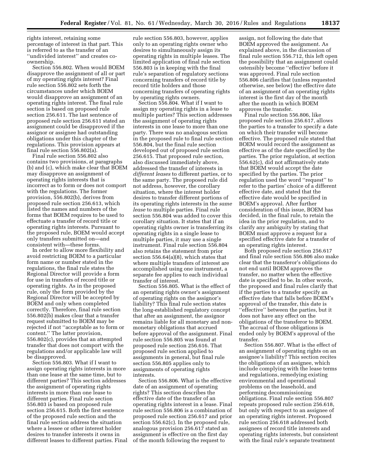rights interest, retaining some percentage of interest in that part. This is referred to as the transfer of an ''undivided interest'' and creates coownership.

Section 556.802. When would BOEM disapprove the assignment of all or part of my operating rights interest? Final rule section 556.802 sets forth the circumstances under which BOEM would disapprove an assignment of an operating rights interest. The final rule section is based on proposed rule section 256.611. The last sentence of proposed rule section 256.611 stated an assignment could be disapproved if the assignor or assignee had outstanding obligations under this chapter of the regulations. This provision appears at final rule section 556.802(a).

Final rule section 556.802 also contains two provisions, at paragraphs (b) and (c), which make clear that BOEM may disapprove an assignment of operating rights interests that is incorrect as to form or does not comport with the regulations. The former provision, 556.802(b), derives from proposed rule section 256.613, which listed the names and numbers of the forms that BOEM requires to be used to effectuate a transfer of record title or operating rights interests. Pursuant to the proposed rule, BOEM would accept only transfers submitted on—and consistent with—these forms.

In order to allow more flexibility and avoid restricting BOEM to a particular form name or number stated in the regulations, the final rule states the Regional Director will provide a form for use in transfers of record title or operating rights. As in the proposed rule, only the form provided by the Regional Director will be accepted by BOEM and only when completed correctly. Therefore, final rule section 556.802(b) makes clear that a transfer request submitted to BOEM may be rejected if not ''acceptable as to form or content.'' The latter provision, 556.802(c), provides that an attempted transfer that does not comport with the regulations and/or applicable law will be disapproved.

Section 556.803. What if I want to assign operating rights interests in more than one lease at the same time, but to different parties? This section addresses the assignment of operating rights interests in more than one lease to different parties. Final rule section 556.803 is based on proposed rule section 256.615. Both the first sentence of the proposed rule section and the final rule section address the situation where a lessee or other interest holder desires to transfer interests it owns in different leases to different parties. Final rule section 556.803, however, applies only to an operating rights owner who desires to simultaneously assign its operating rights in multiple leases. The limited application of final rule section 556.803 is in keeping with the final rule's separation of regulatory sections concerning transfers of record title by record title holders and those concerning transfers of operating rights by operating rights owners.

Section 556.804. What if I want to assign my operating rights in a lease to multiple parties? This section addresses the assignment of operating rights interests in one lease to more than one party. There was no analogous section in the proposed rule to final rule section 556.804, but the final rule section developed out of proposed rule section 256.615. That proposed rule section, also discussed immediately above, addressed the transfer of interests in *different leases* to different parties, or to the same party. The proposed rule did not address, however, the corollary situation, where the interest holder desires to transfer different portions of its operating rights interests in the *same lease* to multiple parties. Final rule section 556.804 was added to cover this corollary situation. It states that if an operating rights owner is transferring its operating rights in a single lease to multiple parties, it may use a single instrument. Final rule section 556.804 also retains the statement from prior section 556.64(a)(8), which states that where multiple transfers of interest are accomplished using one instrument, a separate fee applies to each individual transfer of interest.

Section 556.805. What is the effect of an operating rights owner's assignment of operating rights on the assignor's liability? This final rule section states the long-established regulatory concept that after an assignment, the assignor remains liable for all monetary and nonmonetary obligations that accrued before approval of the assignment. Final rule section 556.805 was found at proposed rule section 256.616. That proposed rule section applied to assignments in general, but final rule section 556.805 applies only to assignments of operating rights interests.

Section 556.806. What is the effective date of an assignment of operating rights? This section describes the effective date of the transfer of an operating rights interest in a lease. Final rule section 556.806 is a combination of proposed rule section 256.617 and prior section 556.62(c). In the proposed rule, analogous provision 256.617 stated an assignment is effective on the first day of the month following the request to

assign, not following the date that BOEM approved the assignment. As explained above, in the discussion of final rule section 556.712, this left open the possibility that an assignment could ostensibly become ''effective' before it was approved. Final rule section 556.806 clarifies that (unless requested otherwise, see below) the effective date of an assignment of an operating rights interest is the first day of the month after the month in which BOEM approves the transfer.

Final rule section 556.806, like proposed rule section 256.617, allows the parties to a transfer to specify a date on which their transfer will become effective. The proposed rule stated that BOEM would record the assignment as effective as of the date specified by the parties. The prior regulation, at section 556.62(c), did not affirmatively state that BOEM would accept the date specified by the parties. The prior regulation used the word ''request'' to refer to the parties' choice of a different effective date, and stated that the effective date would be specified in BOEM's approval. After further consideration of this issue, BOEM has decided, in the final rule, to retain the idea in the prior regulation, and to clarify any ambiguity by stating that BOEM must approve a request for a specified effective date for a transfer of an operating rights interest.

Both proposed rule section 256.617 and final rule section 556.806 also make clear that the transferor's obligations do not end until BOEM approves the transfer, no matter when the effective date is specified to be. In other words, the proposed and final rules clarify that if the parties to a transfer specify an effective date that falls before BOEM's approval of the transfer, this date is ''effective'' between the parties, but it does not have any effect on the obligations of the transferor to BOEM. The accrual of those obligations is ended only by BOEM's approval of the transfer.

Section 556.807. What is the effect of an assignment of operating rights on an assignee's liability? This section recites the obligations of an assignee, which include complying with the lease terms and regulations, remedying existing environmental and operational problems on the leasehold, and performing decommissioning obligations. Final rule section 556.807 repeats proposed rule section 256.618, but only with respect to an assignee of an operating rights interest. Proposed rule section 256.618 addressed both assignees of record title interests and operating rights interests, but consistent with the final rule's separate treatment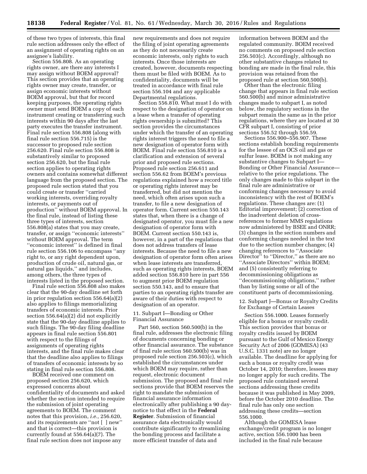of these two types of interests, this final rule section addresses only the effect of an assignment of operating rights on an assignee's liability.

Section 556.808. As an operating rights owner, are there any interests I may assign without BOEM approval? This section provides that an operating rights owner may create, transfer, or assign economic interests without BOEM approval, but that for record keeping purposes, the operating rights owner must send BOEM a copy of each instrument creating or transferring such interests within 90 days after the last party executes the transfer instrument. Final rule section 556.808 (along with final rule section 556.715) is the successor to proposed rule section 256.620. Final rule section 556.808 is substantively similar to proposed section 256.620, but the final rule section applies to operating rights owners and contains somewhat different language from the proposed section. The proposed rule section stated that you could create or transfer ''carried working interests, overriding royalty interests, or payments out of production'' without BOEM approval. In the final rule, instead of listing these three types of interests, section 556.808(a) states that you may create, transfer, or assign ''economic interests'' without BOEM approval. The term ''economic interest'' is defined in final rule section 556.106 to encompass ''any right to, or any right dependent upon, production of crude oil, natural gas, or natural gas liquids,'' and includes, among others, the three types of interests listed in the proposed section.

Final rule section 556.808 also makes clear that the 90-day deadline set forth in prior regulation section 556.64(a)(2) also applies to filings memorializing transfers of economic interests. Prior section 556.64(a)(2) did not explicitly state that the 90-day deadline applies to such filings. The 90-day filing deadline appears in final rule section 556.801 with respect to the filings of assignments of operating rights interests, and the final rule makes clear that the deadline also applies to filings of transfers of economic interests by so stating in final rule section 556.808.

BOEM received one comment on proposed section 256.620, which expressed concerns about confidentiality of documents and asked whether the section intended to require the submission of joint operating agreements to BOEM. The comment notes that this provision, *i.e.,* 256.620, and its requirements are ''not [ ] new'' and that is correct—this provision is currently found at 556.64(a)(7). The final rule section does not impose any

new requirements and does not require the filing of joint operating agreements as they do not necessarily create economic interests, only rights to such interests. Once those interests are created, however, documents respecting them must be filed with BOEM. As to confidentiality, documents will be treated in accordance with final rule section 556.104 and any applicable Departmental regulations.

Section 556.810. What must I do with respect to the designation of operator on a lease when a transfer of operating rights ownership is submitted? This section provides the circumstances under which the transfer of an operating rights interest triggers the need to file a new designation of operator form with BOEM. Final rule section 556.810 is a clarification and extension of several prior and proposed rule sections. Proposed rule section 256.611 and section 556.62 from BOEM's previous regulations explained how a record title or operating rights interest may be transferred, but did not mention the need, which often arises upon such a transfer, to file a new designation of operator form. Current section 550.143 states that, when there is a change of designated operator, you must file a new designation of operator form with BOEM. Current section 550.143 is, however, in a part of the regulations that does not address transfers of lease interests. Because the need to file a new designation of operator form often arises when lease interests are transferred, such as operating rights interests, BOEM added section 556.810 here in part 556 to augment prior BOEM regulation section 550.143, and to ensure that parties to an operating rights transfer are aware of their duties with respect to designation of an operator.

## 11. Subpart I—Bonding or Other Financial Assurance

Part 560, section 560.500(b) in the final rule, addresses the electronic filing of documents concerning bonding or other financial assurance. The substance of final rule section 560.500(b) was in proposed rule section 256.503(c), which established the circumstances under which BOEM may require, rather than request, electronic document submission. The proposed and final rule sections provide that BOEM reserves the right to mandate the submission of financial assurance information electronically after publishing a 90 daynotice to that effect in the **Federal Register**. Submission of financial assurance data electronically would contribute significantly to streamlining the bonding process and facilitate a more efficient transfer of data and

information between BOEM and the regulated community. BOEM received no comments on proposed rule section 256.503(c). Accordingly, although no other substantive changes related to bonding are made in the final rule, this provision was retained from the proposed rule at section 560.500(b).

Other than the electronic filing change that appears in final rule section 560.500(b) and minor administrative changes made to subpart I, as noted below, the regulatory sections in the subpart remain the same as in the prior regulations, where they are located at 30 CFR subpart I, consisting of prior sections 556.52 through 556.59.

Sections 556.900–556.907. These sections establish bonding requirements for the lessee of an OCS oil and gas or sulfur lease. BOEM is not making any substantive changes to Subpart I— Bonding or Other Financial Assurance relative to the prior regulations. The only changes made to this subpart in the final rule are administrative or conforming changes necessary to avoid inconsistency with the rest of BOEM's regulations. These changes are: (1) Editorial improvement; (2) correction of the inadvertent deletion of crossreferences to former MMS regulations now administered by BSEE and ONRR; (3) changes in the section numbers and conforming changes needed in the text due to the section number changes; (4) changing references to ''Associate Director" to "Director," as there are no ''Associate Directors'' within BOEM; and (5) consistently referring to decommissioning obligations as ''decommissioning obligations,'' rather than by listing some or all of the constituent parts of decommissioning.

12. Subpart J—Bonus or Royalty Credits for Exchange of Certain Leases

Section 556.1000. Leases formerly eligible for a bonus or royalty credit. This section provides that bonus or royalty credits issued by BOEM pursuant to the Gulf of Mexico Energy Security Act of 2006 (GOMESA) (43 U.S.C. 1331 note) are no longer available. The deadline for applying for such a bonus or royalty credit was October 14, 2010; therefore, lessees may no longer apply for such credits. The proposed rule contained several sections addressing these credits because it was published in May 2009, before the October 2010 deadline. The final rule has only one section addressing these credits—section 556.1000.

Although the GOMESA lease exchange/credit program is no longer active, section 556.1000 has been included in the final rule because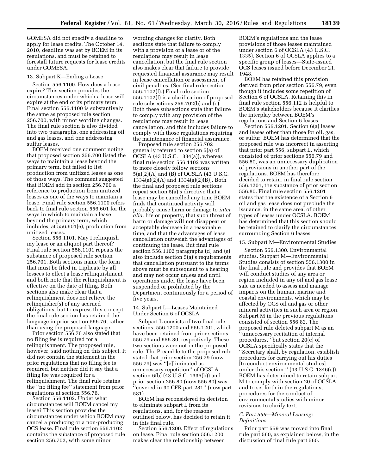GOMESA did not specify a deadline to apply for lease credits. The October 14, 2010, deadline was set by BOEM in its regulations, and must be retained to forestall future requests for lease credits under GOMESA.

### 13. Subpart K—Ending a Lease

Section 556.1100. How does a lease expire? This section provides the circumstances under which a lease will expire at the end of its primary term. Final section 556.1100 is substantively the same as proposed rule section 256.700, with minor wording changes. The final rule section is also divided into two paragraphs, one addressing oil and gas leases, and one addressing sulfur leases.

BOEM received one comment noting that proposed section 256.700 listed the ways to maintain a lease beyond the primary term, but failed to list production from unitized leases as one of those ways. The comment suggested that BOEM add in section 256.700 a reference to production from unitized leases as one of the ways to maintain a lease. Final rule section 556.1100 refers back to final rule section 556.601 for the ways in which to maintain a lease beyond the primary term, which includes, at 556.601(e), production from unitized leases.

Section 556.1101. May I relinquish my lease or an aliquot part thereof? Final rule section 556.1101 repeats the substance of proposed rule section 256.701. Both sections name the form that must be filed in triplicate by all lessees to effect a lease relinquishment and both note that the relinquishment is effective on the date of filing. Both sections also make clear that a relinquishment does not relieve the relinquisher(s) of any accrued obligations, but to express this concept the final rule section has retained the language in prior section 556.76, rather than using the proposed language.

Prior section 556.76 also stated that no filing fee is required for a relinquishment. The proposed rule, however, said nothing on this subject. It did not contain the statement in the prior regulations that no filing fee is required, but neither did it say that a filing fee was required for a relinquishment. The final rule retains the ''no filing fee'' statement from prior regulations at section 556.76.

Section 556.1102. Under what circumstances will BOEM cancel my lease? This section provides the circumstances under which BOEM may cancel a producing or a non-producing OCS lease. Final rule section 556.1102 contains the substance of proposed rule section 256.702, with some minor

wording changes for clarity. Both sections state that failure to comply with a provision of a lease or of the regulations may result in lease cancellation, but the final rule section also makes clear that failure to provide requested financial assurance may result in lease cancellation or assessment of civil penalties. (See final rule section 556.1102(f).) Final rule section 556.1102(f) is a clarification of proposed rule subsections 256.702(b) and (c). Both these subsections state that failure to comply with any provision of the regulations may result in lease cancellation, and this includes failure to comply with those regulations requiring the maintenance of financial assurance.

Proposed rule section 256.702 generally referred to section 5(a) of OCSLA (43 U.S.C. 1334(a)), whereas final rule section 556.1102 was written to more closely follow sections 5(a)(2)(A) and (B) of OCSLA (43 U.S.C. 1334(a)(2)(A) and 1334(a)(2)(B)). Both the final and proposed rule sections repeat section 5(a)'s directive that a lease may be cancelled any time BOEM finds that continued activity will probably cause harm or damage to *inter alia,* life or property, that such threat of harm or damage will not disappear or acceptably decrease in a reasonable time, and that the advantages of lease cancellation outweigh the advantages of continuing the lease. But final rule section 556.1102 paragraphs (d) and (e) also include section 5(a)'s requirements that cancellation pursuant to the terms above must be subsequent to a hearing and may not occur unless and until operations under the lease have been suspended or prohibited by the Department continuously for a period of five years.

# 14. Subpart L—Leases Maintained Under Section 6 of OCSLA

Subpart L consists of two final rule sections, 556.1200 and 556.1201, which have been retained from prior sections 556.79 and 556.80, respectively. These two sections were not in the proposed rule. The Preamble to the proposed rule stated that prior section 256.79 (now 556.79) was ''[e]liminated as unnecessary repetition'' of OCSLA section 6(b) (43 U.S.C. 1335(b)) and prior section 256.80 (now 556.80) was ''covered in 30 CFR part 281'' (now part 581).

BOEM has reconsidered its decision to eliminate subpart L from its regulations, and, for the reasons outlined below, has decided to retain it in this final rule.

Section 556.1200. Effect of regulations on lease. Final rule section 556.1200 makes clear the relationship between

BOEM's regulations and the lease provisions of those leases maintained under section 6 of OCSLA (43 U.S.C. 1335). Section 6 of OCSLA applies to a specific group of leases—State-issued OCS leases issued before December 21, 1948.

BOEM has retained this provision, derived from prior section 556.79, even though it includes some repetition of Section 6 of OCSLA. Retaining this in final rule section 556.112 is helpful to BOEM's stakeholders because it clarifies the interplay between BOEM's regulations and Section 6 leases.

Section 556.1201. Section 6(a) leases and leases other than those for oil, gas, or sulfur. BOEM has determined that the proposed rule was incorrect in asserting that prior part 556, subpart L, which consisted of prior sections 556.79 and 556.80, was an unnecessary duplication of provisions in another part of the regulations. BOEM has therefore decided to retain, in final rule section 556.1201, the substance of prior section 556.80. Final rule section 556.1201 states that the existence of a Section 6 oil and gas lease does not preclude the issuance, in the same area, of other types of leases under OCSLA. BOEM has determined that this section should be retained to clarify the circumstances surrounding Section 6 leases.

### 15. Subpart M—Environmental Studies

Section 556.1300. Environmental studies. Subpart M—Environmental Studies consists of section 556.1300 in the final rule and provides that BOEM will conduct studies of any area or region included in any oil and gas lease sale as needed to assess and manage impacts on the human, marine and coastal environments, which may be affected by OCS oil and gas or other mineral activities in such area or region. Subpart M in the previous regulations consisted of section 556.82. The proposed rule deleted subpart M as an ''unnecessary recitation of internal procedures,'' but section 20(c) of OCSLA specifically states that the ''Secretary shall, by regulation, establish procedures for carrying out his duties [to conduct environmental studies] under this section.'' (43 U.S.C. 1346(c)). BOEM has determined to retain subpart M to comply with section 20 of OCSLA and to set forth in the regulations, procedures for the conduct of environmental studies with minor revisions to clarify text.

### *C. Part 559—Mineral Leasing: Definitions*

Prior part 559 was moved into final rule part 560, as explained below, in the discussion of final rule part 560.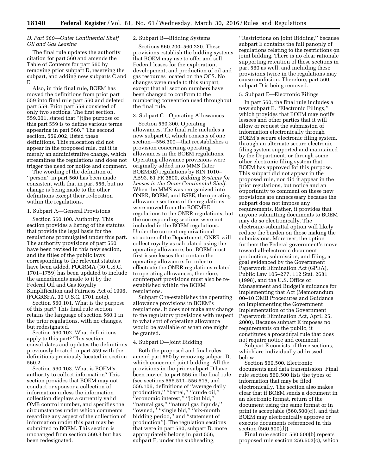# *D. Part 560—Outer Continental Shelf Oil and Gas Leasing*

The final rule updates the authority citation for part 560 and amends the Table of Contents for part 560 by removing prior subpart D, reserving the subpart, and adding new subparts C and E.

Also, in this final rule, BOEM has moved the definitions from prior part 559 into final rule part 560 and deleted part 559. Prior part 559 consisted of only two sections. The first section, 559.001, stated that ''[t]he purpose of this part 559 is to define various terms appearing in part 560.'' The second section, 559.002, listed these definitions. This relocation did not appear in the proposed rule, but it is merely an administrative change, which streamlines the regulations and does not trigger the need for notice and comment.

The wording of the definition of ''person'' in part 560 has been made consistent with that in part 556, but no change is being made to the other definitions except their re-location within the regulations.

# 1. Subpart A—General Provisions

Section 560.100. Authority. This section provides a listing of the statutes that provide the legal basis for the regulations promulgated under this part. The authority provisions of part 560 have been revised in this new section, and the titles of the public laws corresponding to the relevant statutes have been added. FOGRMA (30 U.S.C. 1701–1759) has been updated to include the amendments made to it by the Federal Oil and Gas Royalty Simplification and Fairness Act of 1996, (FOGRSFA, 30 U.S.C. 1701 note).

Section 560.101. What is the purpose of this part? This final rule section retains the language of section 560.1 in the prior regulations, with no changes, but redesignated.

Section 560.102. What definitions apply to this part? This section consolidates and updates the definitions previously located in part 559 with the definitions previously located in section 560.2.

Section 560.103. What is BOEM's authority to collect information? This section provides that BOEM may not conduct or sponsor a collection of information unless the information collection displays a currently valid OMB control number, and specifies the circumstances under which comments regarding any aspect of the collection of information under this part may be submitted to BOEM. This section is unchanged from section 560.3 but has been redesignated.

### 2. Subpart B—Bidding Systems

Sections 560.200–560.230. These provisions establish the bidding systems that BOEM may use to offer and sell Federal leases for the exploration, development, and production of oil and gas resources located on the OCS. No changes were made to this subpart, except that all section numbers have been changed to conform to the numbering convention used throughout the final rule.

### 3. Subpart C—Operating Allowances

Section 560.300. Operating allowances. The final rule includes a new subpart C, which consists of one section—556.300—that reestablishes a provision concerning operating allowances in the BOEM regulations. Operating allowance provisions were originally added into MMS (later BOEMRE) regulations by RIN 1010– AB93, 61 FR 3800, *Bidding Systems for Leases in the Outer Continental Shelf*. When the MMS was reorganized into ONRR, BOEM, and BSEE, the operating allowance sections of the regulations were moved from the BOEMRE regulations to the ONRR regulations, but the corresponding sections were not included in the BOEM regulations. Under the current organizational structure of the Department, ONRR will collect royalty as calculated using the operating allowance, but BOEM must first issue leases that contain the operating allowance. In order to effectuate the ONRR regulations related to operating allowances, therefore, counterpart provisions must also be reestablished within the BOEM regulations.

Subpart C re-establishes the operating allowance provisions in BOEM's regulations. It does not make any change to the regulatory provisions with respect to what sort of operating allowance would be available or when one might be granted.

# 4. Subpart D—Joint Bidding

Both the proposed and final rules amend part 560 by removing subpart D, which concerned joint bidding. All the provisions in the prior subpart D have been moved to part 556 in the final rule (see sections 556.511–556.515, and 556.106, definitions of ''average daily production," "barrel," "crude oil," 'economic interest," "joint bid," ''natural gas,'' ''natural gas liquids,'' ''owned,'' ''single bid,'' ''six-month bidding period,'' and ''statement of production''). The regulation sections that were in part 560, subpart D, more appropriately belong in part 556, subpart E, under the subheading,

''Restrictions on Joint Bidding,'' because subpart E contains the full panoply of regulations relating to the restrictions on joint bidding. There is no clear rationale supporting retention of these sections in part 560 as well, and including these provisions twice in the regulations may cause confusion. Therefore, part 560, subpart D is being removed.

### 5. Subpart E—Electronic Filings

In part 560, the final rule includes a new subpart E, ''Electronic Filings,'' which provides that BOEM may notify lessees and other parties that it will allow or request the submission of information electronically through BOEM's secure electronic filing system, through an alternate secure electronic filing system supported and maintained by the Department, or through some other electronic filing system that BOEM has approved for this purpose. This subpart did not appear in the proposed rule, nor did it appear in the prior regulations, but notice and an opportunity to comment on these new provisions are unnecessary because the subpart does not impose any requirements. Rather, it provides that anyone submitting documents to BOEM may do so electronically. The electronic-submittal option will likely reduce the burden on those making the submissions. Moreover, the option furthers the Federal government's move toward all-electronic document production, submission, and filing, a goal evidenced by the Government Paperwork Elimination Act (GPEA), Public Law 105–277, 112 Stat. 2681 (1998), and the U.S. Office of Management and Budget's guidance for implementing that Act (Memorandum 00–10 OMB Procedures and Guidance on Implementing the Government Implementation of the Government Paperwork Elimination Act, April 25, 2000). Because subpart E imposes no requirements on the public, it constitutes a procedural rule that does not require notice and comment.

Subpart E consists of three sections, which are individually addressed below.

Section 560.500. Electronic documents and data transmission. Final rule section 560.500 lists the types of information that may be filed electronically. The section also makes clear that if BOEM sends a document in an electronic format, return of the document using the same format or in print is acceptable (560.500(c)), and that BOEM may electronically approve or execute documents referenced in this section (560.500(d)).

Final rule section 560.500(b) repeats proposed rule section 256.503(c), which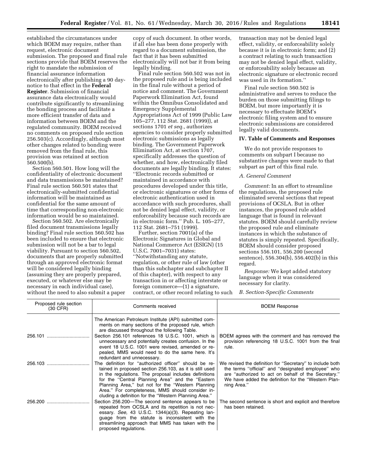established the circumstances under which BOEM may require, rather than request, electronic document submission. The proposed and final rule sections provide that BOEM reserves the right to mandate the submission of financial assurance information electronically after publishing a 90 daynotice to that effect in the **Federal Register**. Submission of financial assurance data electronically would contribute significantly to streamlining the bonding process and facilitate a more efficient transfer of data and information between BOEM and the regulated community. BOEM received no comments on proposed rule section 256.503(c). Accordingly, although most other changes related to bonding were removed from the final rule, this provision was retained at section 560.500(b).

Section 560.501. How long will the confidentiality of electronic document and data transmissions be maintained? Final rule section 560.501 states that electronically-submitted confidential information will be maintained as confidential for the same amount of time that corresponding non-electronic information would be so maintained.

Section 560.502. Are electronically filed document transmissions legally binding? Final rule section 560.502 has been included to ensure that electronic submission will not be a bar to legal viability. Pursuant to section 560.502, documents that are properly submitted through an approved electronic format will be considered legally binding (assuming they are properly prepared, executed, or whatever else may be necessary in each individual case), without the need to also submit a paper

copy of such document. In other words, if all else has been done properly with regard to a document submission, the fact that it has been submitted electronically will not bar it from being legally binding.

Final rule section 560.502 was not in the proposed rule and is being included in the final rule without a period of notice and comment. The Government Paperwork Elimination Act, found within the Omnibus Consolidated and Emergency Supplemental Appropriations Act of 1999 (Public Law 105–277, 112 Stat. 2681 (1999)), at sections 1701 *et seq.,* authorizes agencies to consider properly submitted electronic submissions as legally binding. The Government Paperwork Elimination Act, at section 1707, specifically addresses the question of whether, and how, electronically filed documents are legally binding. It states: ''Electronic records submitted or maintained in accordance with procedures developed under this title, or electronic signatures or other forms of electronic authentication used in accordance with such procedures, shall not be denied legal effect, validity, or enforceability because such records are in electronic form.'' Pub. L. 105–277, 112 Stat. 2681–751 (1999).

Further, section 7001(a) of the Electronic Signatures in Global and National Commerce Act (ESIGN) (15 U.S.C. 7001–7031) states: ''Notwithstanding any statute, regulation, or other rule of law (other than this subchapter and subchapter II of this chapter), with respect to any transaction in or affecting interstate or foreign commerce—(1) a signature, contract, or other record relating to such transaction may not be denied legal effect, validity, or enforceability solely because it is in electronic form; and (2) a contract relating to such transaction may not be denied legal effect, validity, or enforceability solely because an electronic signature or electronic record was used in its formation.''

Final rule section 560.502 is administrative and serves to reduce the burden on those submitting filings to BOEM, but more importantly it is necessary to effectuate BOEM's electronic filing system and to ensure electronic submissions are considered legally valid documents.

# **IV. Table of Comments and Responses**

We do not provide responses to comments on subpart I because no substantive changes were made to that subpart as part of this final rule.

### *A. General Comment*

*Comment:* In an effort to streamline the regulations, the proposed rule eliminated several sections that repeat provisions of OCSLA. But in other instances, the proposed rule added language that is found in relevant statutes. BOEM should carefully review the proposed rule and eliminate instances in which the substance of statutes is simply repeated. Specifically, BOEM should consider proposed sections 556.101, 556.200 (second sentence), 556.304(b), 556.402(b) in this regard.

*Response:* We kept added statutory language when it was considered necessary for clarity.

*B. Section-Specific Comments* 

| Proposed rule section<br>$(30 \text{ CFR})$ | Comments received                                                                                                                                                                                                                                                                                                                                                                                                   | <b>BOEM Response</b>                                                                                                                                                                                                                         |
|---------------------------------------------|---------------------------------------------------------------------------------------------------------------------------------------------------------------------------------------------------------------------------------------------------------------------------------------------------------------------------------------------------------------------------------------------------------------------|----------------------------------------------------------------------------------------------------------------------------------------------------------------------------------------------------------------------------------------------|
|                                             | The American Petroleum Institute (API) submitted com-<br>ments on many sections of the proposed rule, which<br>are discussed throughout the following Table.<br>Section 256.101 references 18 U.S.C. 1001, which is<br>unnecessary and potentially creates confusion. In the<br>event 18 U.S.C. 1001 were revised, amended or re-<br>pealed, MMS would need to do the same here. It's<br>redundant and unnecessary. | BOEM agrees with the comment and has removed the<br>provision referencing 18 U.S.C. 1001 from the final<br>rule.                                                                                                                             |
|                                             | The definition for "authorized officer" should be re-<br>tained in proposed section 256.103, as it is still used<br>in the regulations. The proposal includes definitions<br>for the "Central Planning Area" and the "Eastern<br>Planning Area," but not for the "Western Planning<br>Area." For completeness, MMS should consider in-<br>cluding a definition for the "Western Planning Area."                     | We revised the definition for "Secretary" to include both<br>the terms "official" and "designated employee" who<br>are "authorized to act on behalf of the Secretary."<br>We have added the definition for the "Western Plan-<br>ning Area." |
| 256.200                                     | Section 256.200—The second sentence appears to be<br>repeated from OCSLA and its repetition is not nec-<br>essary. See, 43 U.S.C. 1344(a)(3). Repeating lan-<br>guage from the statute is inconsistent with the<br>streamlining approach that MMS has taken with the<br>proposed regulations.                                                                                                                       | The second sentence is short and explicit and therefore<br>has been retained.                                                                                                                                                                |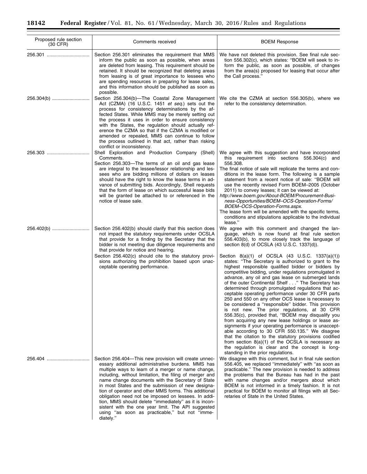÷.

 $\equiv$ 

| Proposed rule section<br>(30 CFR) | Comments received                                                                                                                                                                                                                                                                                                                                                                                                                                                                                                                                                                                                                   | <b>BOEM Response</b>                                                                                                                                                                                                                                                                                                                                                                                                                                                                                                                                                                                                                                                                                                                                                                                                                                                                                                                                                                                                                                                                                                                                                                                           |
|-----------------------------------|-------------------------------------------------------------------------------------------------------------------------------------------------------------------------------------------------------------------------------------------------------------------------------------------------------------------------------------------------------------------------------------------------------------------------------------------------------------------------------------------------------------------------------------------------------------------------------------------------------------------------------------|----------------------------------------------------------------------------------------------------------------------------------------------------------------------------------------------------------------------------------------------------------------------------------------------------------------------------------------------------------------------------------------------------------------------------------------------------------------------------------------------------------------------------------------------------------------------------------------------------------------------------------------------------------------------------------------------------------------------------------------------------------------------------------------------------------------------------------------------------------------------------------------------------------------------------------------------------------------------------------------------------------------------------------------------------------------------------------------------------------------------------------------------------------------------------------------------------------------|
| .256.301                          | Section 256.301 eliminates the requirement that MMS<br>inform the public as soon as possible, when areas<br>are deleted from leasing. This requirement should be<br>retained. It should be recognized that deleting areas<br>from leasing is of great importance to lessees who<br>are spending resources in preparing for lease sales,<br>and this information should be published as soon as                                                                                                                                                                                                                                      | We have not deleted this provision. See final rule sec-<br>tion 556.302(c), which states: "BOEM will seek to in-<br>form the public, as soon as possible, of changes<br>from the area(s) proposed for leasing that occur after<br>the Call process."                                                                                                                                                                                                                                                                                                                                                                                                                                                                                                                                                                                                                                                                                                                                                                                                                                                                                                                                                           |
| 256.304(b)                        | possible.<br>Section 256.304(b)-The Coastal Zone Management<br>Act (CZMA) (16 U.S.C. 1451 et seq.) sets out the<br>process for consistency determinations by the af-<br>fected States. While MMS may be merely setting out<br>the process it uses in order to ensure consistency<br>with the States, the regulation should actually ref-<br>erence the CZMA so that if the CZMA is modified or<br>amended or repealed, MMS can continue to follow<br>the process outlined in that act, rather than risking<br>conflict or inconsistency.                                                                                            | We cite the CZMA at section 556.305(b), where we<br>refer to the consistency determination.                                                                                                                                                                                                                                                                                                                                                                                                                                                                                                                                                                                                                                                                                                                                                                                                                                                                                                                                                                                                                                                                                                                    |
| 256.303                           | Shell Exploration and Production Company (Shell)<br>Comments.<br>Section 256.303—The terms of an oil and gas lease<br>are integral to the lessee/lessor relationship and les-<br>sees who are bidding millions of dollars on leases<br>should have the right to know the lease terms in ad-<br>vance of submitting bids. Accordingly, Shell requests<br>that the form of lease on which successful lease bids<br>will be granted be attached to or referenced in the<br>notice of lease sale.                                                                                                                                       | We agree with this suggestion and have incorporated<br>this requirement into sections 556.304(c) and<br>556.308.<br>The final notice of sale will replicate the terms and con-<br>ditions in the lease form. The following is a sample<br>statement from a recent notice of sale: "BOEM will<br>use the recently revised Form BOEM-2005 (October<br>2011) to convey leases; it can be viewed at:<br>http://www.boem.gov/About-BOEM/Procurement-Busi-<br>ness-Opportunities/BOEM-OCS-Operation-Forms/<br>BOEM-OCS-Operation-Forms.aspx.<br>The lease form will be amended with the specific terms,<br>conditions and stipulations applicable to the individual<br>lease."                                                                                                                                                                                                                                                                                                                                                                                                                                                                                                                                       |
| 256.402(b)                        | Section 256.402(b) should clarify that this section does<br>not impact the statutory requirements under OCSLA<br>that provide for a finding by the Secretary that the<br>bidder is not meeting due diligence requirements and<br>that provide for notice and hearing.<br>Section 256.402(c) should cite to the statutory provi-<br>sions authorizing the prohibition based upon unac-<br>ceptable operating performance.                                                                                                                                                                                                            | We agree with this comment and changed the lan-<br>guage, which is now found at final rule section<br>556.403(b), to more closely track the language of<br>section 8(d) of OCSLA (43 U.S.C. 1337(d)).<br>Section 8(a)(1) of OCSLA (43 U.S.C. 1337(a)(1))<br>states: "The Secretary is authorized to grant to the<br>highest responsible qualified bidder or bidders by<br>competitive bidding, under regulations promulgated in<br>advance, any oil and gas lease on submerged lands<br>of the outer Continental Shelf" The Secretary has<br>determined through promulgated regulations that ac-<br>ceptable operating performance under 30 CFR parts<br>250 and 550 on any other OCS lease is necessary to<br>be considered a "responsible" bidder. This provision<br>is not new. The prior regulations, at 30 CFR<br>556.35(c), provided that, "BOEM may disqualify you<br>from acquiring any new lease holdings or lease as-<br>signments if your operating performance is unaccept-<br>able according to 30 CFR 550.135." We disagree<br>that the citation to the statutory provisions codified<br>from section $8(a)(1)$ of the OCSLA is necessary as<br>the regulation is clear and the concept is long- |
| 256.404                           | Section 256.404-This new provision will create unnec-<br>essary additional administrative burdens. MMS has<br>multiple ways to learn of a merger or name change,<br>including, without limitation, the filing of merger and<br>name change documents with the Secretary of State<br>in most States and the submission of new designa-<br>tion of operator and other MMS forms. This additional<br>obligation need not be imposed on lessees. In addi-<br>tion, MMS should delete "immediately" as it is incon-<br>sistent with the one year limit. The API suggested<br>using "as soon as practicable," but not "imme-<br>diately." | standing in the prior regulations.<br>We disagree with this comment, but in final rule section<br>556.405, we replaced "immediately" with "as soon as<br>practicable." The new provision is needed to address<br>the problems that the Bureau has had in the past<br>with name changes and/or mergers about which<br>BOEM is not informed in a timely fashion. It is not<br>practical for BOEM to monitor all filings with all Sec-<br>retaries of State in the United States.                                                                                                                                                                                                                                                                                                                                                                                                                                                                                                                                                                                                                                                                                                                                 |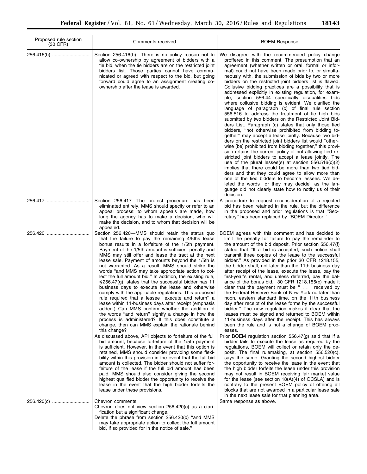| Proposed rule section<br>(30 CFR) | Comments received                                                                                                                                                                                                                                                                                                                                                                                                                                                                                                                                                                                                                                                                                                                                                                                                                                                                                                                                                                                                                                                                                                                                                                                                                                                                                                                                                                                                                                                                                                                                                                                                                                                         | <b>BOEM Response</b>                                                                                                                                                                                                                                                                                                                                                                                                                                                                                                                                                                                                                                                                                                                                                                                                                                                                                                                                                                                                                                                                                                                                                                                                                                                                                                                                                                                                                                                                                                                                                                                                                                                               |
|-----------------------------------|---------------------------------------------------------------------------------------------------------------------------------------------------------------------------------------------------------------------------------------------------------------------------------------------------------------------------------------------------------------------------------------------------------------------------------------------------------------------------------------------------------------------------------------------------------------------------------------------------------------------------------------------------------------------------------------------------------------------------------------------------------------------------------------------------------------------------------------------------------------------------------------------------------------------------------------------------------------------------------------------------------------------------------------------------------------------------------------------------------------------------------------------------------------------------------------------------------------------------------------------------------------------------------------------------------------------------------------------------------------------------------------------------------------------------------------------------------------------------------------------------------------------------------------------------------------------------------------------------------------------------------------------------------------------------|------------------------------------------------------------------------------------------------------------------------------------------------------------------------------------------------------------------------------------------------------------------------------------------------------------------------------------------------------------------------------------------------------------------------------------------------------------------------------------------------------------------------------------------------------------------------------------------------------------------------------------------------------------------------------------------------------------------------------------------------------------------------------------------------------------------------------------------------------------------------------------------------------------------------------------------------------------------------------------------------------------------------------------------------------------------------------------------------------------------------------------------------------------------------------------------------------------------------------------------------------------------------------------------------------------------------------------------------------------------------------------------------------------------------------------------------------------------------------------------------------------------------------------------------------------------------------------------------------------------------------------------------------------------------------------|
| 256.416(b)                        | Section 256.416(b)—There is no policy reason not to<br>allow co-ownership by agreement of bidders with a<br>tie bid, when the tie bidders are on the restricted joint<br>bidders list. Those parties cannot have commu-<br>nicated or agreed with respect to the bid, but going<br>forward could agree to an assignment creating co-<br>ownership after the lease is awarded.                                                                                                                                                                                                                                                                                                                                                                                                                                                                                                                                                                                                                                                                                                                                                                                                                                                                                                                                                                                                                                                                                                                                                                                                                                                                                             | We disagree with the recommended policy change<br>proffered in this comment. The presumption that an<br>agreement (whether written or oral, formal or infor-<br>mal) could not have been made prior to, or simulta-<br>neously with, the submission of bids by two or more<br>bidders on the restricted joint bidders list is flawed.<br>Collusive bidding practices are a possibility that is<br>addressed explicitly in existing regulation, for exam-<br>ple, section 556.44 specifically disqualifies bids<br>where collusive bidding is evident. We clarified the<br>language of paragraph (c) of final rule section<br>556.516 to address the treatment of tie high bids<br>submitted by two bidders on the Restricted Joint Bid-<br>ders List. Paragraph (c) states that only those tied<br>bidders, "not otherwise prohibited from bidding to-<br>gether" may accept a lease jointly. Because two bid-<br>ders on the restricted joint bidders list would "other-<br>wise [be] prohibited from bidding together," this provi-<br>sion retains the current policy of not allowing tied re-<br>stricted joint bidders to accept a lease jointly. The<br>use of the plural lessee(s) at section $556.516(c)(2)$<br>implies that there could be more than two tied bid-<br>ders and that they could agree to allow more than<br>one of the tied bidders to become lessees. We de-<br>leted the words "or they may decide" as the lan-<br>guage did not clearly state how to notify us of their<br>decision.                                                                                                                                                                    |
| 256.417                           | Section 256.417—The protest procedure has been<br>eliminated entirely. MMS should specify or refer to an<br>appeal process: to whom appeals are made, how<br>long the agency has to make a decision, who will<br>make the decision, and to whom that decision will be<br>appealed.                                                                                                                                                                                                                                                                                                                                                                                                                                                                                                                                                                                                                                                                                                                                                                                                                                                                                                                                                                                                                                                                                                                                                                                                                                                                                                                                                                                        | A procedure to request reconsideration of a rejected<br>bid has been retained in the rule, but the difference<br>in the proposed and prior regulations is that "Sec-<br>retary" has been replaced by "BOEM Director."                                                                                                                                                                                                                                                                                                                                                                                                                                                                                                                                                                                                                                                                                                                                                                                                                                                                                                                                                                                                                                                                                                                                                                                                                                                                                                                                                                                                                                                              |
| 256.420                           | Section 256.420—MMS should retain the status quo<br>that the failure to pay the remaining 4/5ths lease<br>bonus results in a forfeiture of the 1/5th payment.<br>Payment of the 1/5th amount is sufficient penalty and<br>MMS may still offer and lease the tract at the next<br>lease sale. Payment of amounts beyond the 1/5th is<br>not warranted. As a result, MMS should strike the<br>words "and MMS may take appropriate action to col-<br>lect the full amount bid." In addition, the existing rule,<br>$\S 256.47(g)$ , states that the successful bidder has 11<br>business days to execute the lease and otherwise<br>comply with the applicable regulations. This proposed<br>rule required that a lessee "execute and return" a<br>lease within 11-business days after receipt (emphasis<br>added.) Can MMS confirm whether the addition of<br>the words "and return" signify a change in how the<br>process is administered? If this does constitute a<br>change, then can MMS explain the rationale behind<br>this change?<br>As discussed above, API objects to forfeiture of the full<br>bid amount, because forfeiture of the 1/5th payment<br>is sufficient. However, in the event that this option is<br>retained, MMS should consider providing some flexi-<br>bility within this provision in the event that the full bid<br>amount is collected. The bidder should not suffer for-<br>feiture of the lease if the full bid amount has been<br>paid. MMS should also consider giving the second<br>highest qualified bidder the opportunity to receive the<br>lease in the event that the high bidder forfeits the<br>lease under these provisions. | BOEM agrees with this comment and has decided to<br>limit the penalty for failure to pay the remainder to<br>the amount of the bid deposit. Prior section 556.47(f)<br>stated that "If a bid is accepted, such notice shall<br>transmit three copies of the lease to the successful<br>bidder." As provided in the prior 30 CFR 1218.155,<br>the bidder shall, not later than the 11th business day<br>after receipt of the lease, execute the lease, pay the<br>first-year's rental, and unless deferred, pay the bal-<br>ance of the bonus bid." 30 CFR 1218.155(c) made it<br>clear that the payment must be " received by<br>the Federal Reserve Bank of New York no later than<br>noon, eastern standard time, on the 11th business<br>day after receipt of the lease forms by the successful<br>bidder." The new regulation makes it clear that the<br>leases must be signed and returned to BOEM within<br>11-business days after the receipt. This has always<br>been the rule and is not a change of BOEM proc-<br>esses.<br>Prior BOEM regulation section 556.47(g) said that if a<br>bidder fails to execute the lease as required by the<br>regulations, BOEM will collect or retain only the de-<br>posit. The final rulemaking, at section $556.520(c)$ ,<br>says the same. Granting the second highest bidder<br>the opportunity to receive the lease in the event that<br>the high bidder forfeits the lease under this provision<br>may not result in BOEM receiving fair market value<br>for the lease (see section $18(A)(4)$ of OCSLA) and is<br>contrary to the present BOEM policy of offering all<br>blocks that are not awarded in a particular lease sale |
| 256.420(c)                        | Chevron comments:<br>Chevron does not view section 256.420(c) as a clari-<br>fication but a significant change.<br>Delete the phrase from section 256.420(c) "and MMS<br>may take appropriate action to collect the full amount<br>bid, if so provided for in the notice of sale."                                                                                                                                                                                                                                                                                                                                                                                                                                                                                                                                                                                                                                                                                                                                                                                                                                                                                                                                                                                                                                                                                                                                                                                                                                                                                                                                                                                        | in the next lease sale for that planning area.<br>Same response as above.                                                                                                                                                                                                                                                                                                                                                                                                                                                                                                                                                                                                                                                                                                                                                                                                                                                                                                                                                                                                                                                                                                                                                                                                                                                                                                                                                                                                                                                                                                                                                                                                          |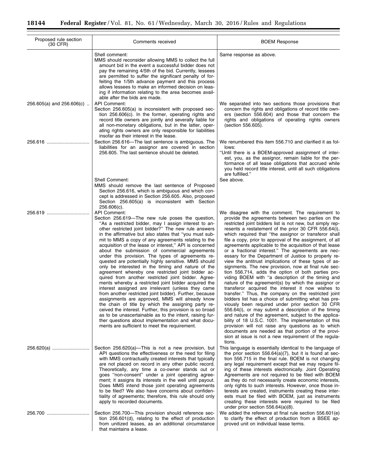÷.

 $\equiv$ 

| Proposed rule section<br>(30 CFR) | Comments received                                                                                                                                                                                                                                                                                                                                                                                                                                                                                                                                                                                                                                                                                                                                                                                                                                                                                                                                                                                                                                                                                                                                                                                                     | <b>BOEM Response</b>                                                                                                                                                                                                                                                                                                                                                                                                                                                                                                                                                                                                                                                                                                                                                                                                                                                                                                                                                                                                                                                                                                                                                                                                                                                                                                                                                                        |
|-----------------------------------|-----------------------------------------------------------------------------------------------------------------------------------------------------------------------------------------------------------------------------------------------------------------------------------------------------------------------------------------------------------------------------------------------------------------------------------------------------------------------------------------------------------------------------------------------------------------------------------------------------------------------------------------------------------------------------------------------------------------------------------------------------------------------------------------------------------------------------------------------------------------------------------------------------------------------------------------------------------------------------------------------------------------------------------------------------------------------------------------------------------------------------------------------------------------------------------------------------------------------|---------------------------------------------------------------------------------------------------------------------------------------------------------------------------------------------------------------------------------------------------------------------------------------------------------------------------------------------------------------------------------------------------------------------------------------------------------------------------------------------------------------------------------------------------------------------------------------------------------------------------------------------------------------------------------------------------------------------------------------------------------------------------------------------------------------------------------------------------------------------------------------------------------------------------------------------------------------------------------------------------------------------------------------------------------------------------------------------------------------------------------------------------------------------------------------------------------------------------------------------------------------------------------------------------------------------------------------------------------------------------------------------|
|                                   | Shell comment:<br>MMS should reconsider allowing MMS to collect the full<br>amount bid in the event a successful bidder does not<br>pay the remaining 4/5th of the bid. Currently, lessees<br>are permitted to suffer the significant penalty of for-<br>feiting the 1/5th advance payment and this process<br>allows lessees to make an informed decision on leas-<br>ing if information relating to the area becomes avail-<br>able after the bids are made.                                                                                                                                                                                                                                                                                                                                                                                                                                                                                                                                                                                                                                                                                                                                                        | Same response as above.                                                                                                                                                                                                                                                                                                                                                                                                                                                                                                                                                                                                                                                                                                                                                                                                                                                                                                                                                                                                                                                                                                                                                                                                                                                                                                                                                                     |
| 256.605(a) and 256.606(c)         | <b>API Comment:</b><br>Section 256.605(a) is inconsistent with proposed sec-<br>tion 256.606(c). In the former, operating rights and<br>record title owners are jointly and severally liable for<br>all non-monetary obligations, but in the latter, oper-<br>ating rights owners are only responsible for liabilities<br>insofar as their interest in the lease.                                                                                                                                                                                                                                                                                                                                                                                                                                                                                                                                                                                                                                                                                                                                                                                                                                                     | We separated into two sections those provisions that<br>concern the rights and obligations of record title own-<br>ers (section 556.604) and those that concern the<br>rights and obligations of operating rights owners<br>(section 556.605).                                                                                                                                                                                                                                                                                                                                                                                                                                                                                                                                                                                                                                                                                                                                                                                                                                                                                                                                                                                                                                                                                                                                              |
| 256.616                           | Section 256.616—The last sentence is ambiguous. The<br>liabilities for an assignor are covered in section<br>256.605. The last sentence should be deleted.                                                                                                                                                                                                                                                                                                                                                                                                                                                                                                                                                                                                                                                                                                                                                                                                                                                                                                                                                                                                                                                            | We renumbered this item 556.710 and clarified it as fol-<br>lows:<br>"Until there is a BOEM-approved assignment of inter-<br>est, you, as the assignor, remain liable for the per-<br>formance of all lease obligations that accrued while<br>you held record title interest, until all such obligations<br>are fulfilled."                                                                                                                                                                                                                                                                                                                                                                                                                                                                                                                                                                                                                                                                                                                                                                                                                                                                                                                                                                                                                                                                 |
|                                   | Shell Comment:<br>MMS should remove the last sentence of Proposed<br>Section 256.616, which is ambiguous and which con-<br>cept is addressed in Section 256.605. Also, proposed<br>Section 256.605(a) is inconsistent with Section<br>256.606(c).                                                                                                                                                                                                                                                                                                                                                                                                                                                                                                                                                                                                                                                                                                                                                                                                                                                                                                                                                                     | See above.                                                                                                                                                                                                                                                                                                                                                                                                                                                                                                                                                                                                                                                                                                                                                                                                                                                                                                                                                                                                                                                                                                                                                                                                                                                                                                                                                                                  |
| 256.619                           | <b>API Comment:</b><br>Section 256.619-The new rule poses the question,<br>"As a restricted bidder, may I assign interest to an-<br>other restricted joint bidder?" The new rule answers<br>in the affirmative but also states that "you must sub-<br>mit to MMS a copy of any agreements relating to the<br>acquisition of the lease or interest," API is concerned<br>about the submission of commercial agreements<br>under this provision. The types of agreements re-<br>quested are potentially highly sensitive. MMS should<br>only be interested in the timing and nature of the<br>agreement whereby one restricted joint bidder ac-<br>quired from another restricted joint bidder. Agree-<br>ments whereby a restricted joint bidder acquired the<br>interest assigned are irrelevant (unless they came<br>from another restricted joint bidder). Further, because<br>assignments are approved, MMS will already know<br>the chain of title by which the assigning party re-<br>ceived the interest. Further, this provision is so broad<br>as to be unascertainable as to the intent, raising fur-<br>ther questions about implementation and what docu-<br>ments are sufficient to meet the requirement. | We disagree with the comment. The requirement to<br>provide the agreements between two parties on the<br>restricted joint bidders list is not new, but simply rep-<br>resents a restatement of the prior 30 CFR 556.64(i),<br>which required that "the assignor or transferor shall<br>file a copy, prior to approval of the assignment, of all<br>agreements applicable to the acquisition of that lease<br>or a fractional interest." The agreements are nec-<br>essary for the Department of Justice to properly re-<br>view the antitrust implications of these types of as-<br>signments. The new provision, now at final rule sec-<br>tion 556.714, adds the option of both parties pro-<br>viding BOEM with "a description of the timing and<br>nature of the agreement(s) by which the assignor or<br>transferor acquired the interest it now wishes to<br>transfer." Thus, the company on the restricted joint<br>bidders list has a choice of submitting what has pre-<br>viously been required under prior section 30 CFR<br>556.64(i), or may submit a description of the timing<br>and nature of the agreement, subject to the applica-<br>bility of 18 U.S.C. 1001. The implementation of this<br>provision will not raise any questions as to which<br>documents are needed as that portion of the provi-<br>sion at issue is not a new requirement of the regula-<br>tions. |
| 256.620(a)                        | Section 256.620(a)—This is not a new provision, but<br>API questions the effectiveness or the need for filing<br>with MMS contractually created interests that typically<br>are not placed on record in any other public record.<br>Theoretically, any time a co-owner stands out or<br>goes "non-consent" under a joint operating agree-<br>ment; it assigns its interests in the well until payout.<br>Does MMS intend those joint operating agreements<br>to be filed? We also have concerns about confiden-<br>tiality of agreements; therefore, this rule should only<br>apply to recorded documents.                                                                                                                                                                                                                                                                                                                                                                                                                                                                                                                                                                                                            | This language is essentially identical to the language of<br>the prior section $556.64(a)(7)$ , but it is found at sec-<br>tion 556.715 in the final rule. BOEM is not changing<br>any legal requirement except that we may require fil-<br>ing of these interests electronically. Joint Operating<br>Agreements are not required to be filed with BOEM<br>as they do not necessarily create economic interests,<br>only rights to such interests. However, once those in-<br>terests are created, instruments creating these inter-<br>ests must be filed with BOEM, just as instruments<br>creating these interests were required to be filed<br>under prior section $556.64(a)(8)$ .                                                                                                                                                                                                                                                                                                                                                                                                                                                                                                                                                                                                                                                                                                     |
|                                   | Section 256.700—This provision should reference sec-<br>tion 256.601(d), relating to the effect of production<br>from unitized leases, as an additional circumstance<br>that maintains a lease.                                                                                                                                                                                                                                                                                                                                                                                                                                                                                                                                                                                                                                                                                                                                                                                                                                                                                                                                                                                                                       | We added the reference at final rule section 556.601(e)<br>to clarify the effect of production from a BSEE ap-<br>proved unit on individual lease terms.                                                                                                                                                                                                                                                                                                                                                                                                                                                                                                                                                                                                                                                                                                                                                                                                                                                                                                                                                                                                                                                                                                                                                                                                                                    |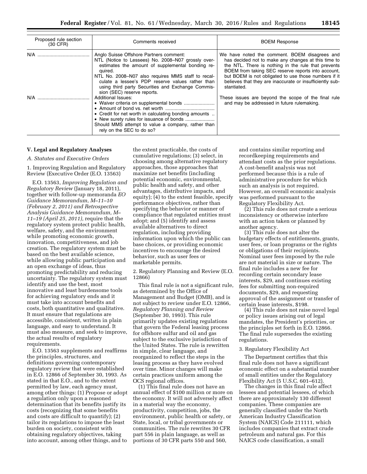| Proposed rule section<br>(30 CFR) | Comments received                                                                                                                                                                                                                                                                                                                                                                                                                                                                                                            | <b>BOEM Response</b>                                                                                                                                                                                                                                                                                                                                                                                                                                      |
|-----------------------------------|------------------------------------------------------------------------------------------------------------------------------------------------------------------------------------------------------------------------------------------------------------------------------------------------------------------------------------------------------------------------------------------------------------------------------------------------------------------------------------------------------------------------------|-----------------------------------------------------------------------------------------------------------------------------------------------------------------------------------------------------------------------------------------------------------------------------------------------------------------------------------------------------------------------------------------------------------------------------------------------------------|
| N/A                               | Anglo Suisse Offshore Partners comment:<br>NTL (Notice to Lessees) No. 2008-N07 grossly over-<br>estimates the amount of supplemental bonding re-<br>quired.<br>NTL No. 2008-N07 also requires MMS staff to recal-<br>culate a lessee's PDP reserve values rather than<br>using third party Securities and Exchange Commis-<br>sion (SEC) reserve reports.<br>Additional Issues:<br>• Credit for net worth in calculating bonding amounts<br>Should MMS attempt to value a company, rather than<br>rely on the SEC to do so? | We have noted the comment. BOEM disagrees and<br>has decided not to make any changes at this time to<br>the NTL. There is nothing in the rule that prevents<br>BOEM from taking SEC reserve reports into account,<br>but BOEM is not obligated to use those numbers if it<br>believes that they are inaccurate or insufficiently sub-<br>stantiated.<br>These issues are beyond the scope of the final rule<br>and may be addressed in future rulemaking. |

### **V. Legal and Regulatory Analyses**

### *A. Statutes and Executive Orders*

1. Improving Regulation and Regulatory Review (Executive Order (E.O. 13563)

E.O. 13563, *Improving Regulation and Regulatory Review* (January 18, 2011), together with follow-up memoranda *EO Guidance Memorandum, M–11–10 (February 2, 2011) and Retrospective Analysis Guidance Memorandum, M– 11–19 (April 25, 2011),* require that the regulatory system protect public health, welfare, safety, and the environment while promoting economic growth, innovation, competitiveness, and job creation. The regulatory system must be based on the best available science, while allowing public participation and an open exchange of ideas, thus promoting predictability and reducing uncertainty. The regulatory system must identify and use the best, most innovative and least burdensome tools for achieving regulatory ends and it must take into account benefits and costs, both quantitative and qualitative. It must ensure that regulations are accessible, consistent, written in plain language, and easy to understand. It must also measure, and seek to improve, the actual results of regulatory requirements.

E.O. 13563 supplements and reaffirms the principles, structures, and definitions governing contemporary regulatory review that were established in E.O. 12866 of September 30, 1993. As stated in that E.O., and to the extent permitted by law, each agency must, among other things: (1) Propose or adopt a regulation only upon a reasoned determination that its benefits justify its costs (recognizing that some benefits and costs are difficult to quantify); (2) tailor its regulations to impose the least burden on society, consistent with obtaining regulatory objectives, taking into account, among other things, and to

the extent practicable, the costs of cumulative regulations; (3) select, in choosing among alternative regulatory approaches, those approaches that maximize net benefits (including potential economic, environmental, public health and safety, and other advantages, distributive impacts, and equity); (4) to the extent feasible, specify performance objectives, rather than specifying the behavior or manner of compliance that regulated entities must adopt; and (5) identify and assess available alternatives to direct regulation, including providing information upon which the public can base choices, or providing economic incentives to encourage the desired behavior, such as user fees or marketable permits.

2. Regulatory Planning and Review (E.O. 12866)

This final rule is not a significant rule, as determined by the Office of Management and Budget (OMB), and is not subject to review under E.O. 12866, *Regulatory Planning and Review*  (September 30, 1993). This rule primarily updates existing regulations that govern the Federal leasing process for offshore sulfur and oil and gas subject to the exclusive jurisdiction of the United States. The rule is rewritten in simple, clear language, and reorganized to reflect the steps in the leasing process as they have evolved over time. Minor changes will make certain practices uniform among the OCS regional offices.

(1) This final rule does not have an annual effect of \$100 million or more on the economy. It will not adversely affect in a material way the economy, productivity, competition, jobs, the environment, public health or safety, or State, local, or tribal governments or communities. The rule rewrites 30 CFR part 556 in plain language, as well as portions of 30 CFR parts 550 and 560,

and contains similar reporting and recordkeeping requirements and attendant costs as the prior regulations. A cost-benefit analysis was not performed because this is a rule of administrative procedure for which such an analysis is not required. However, an overall economic analysis was performed pursuant to the Regulatory Flexibility Act.

(2) This rule does not create a serious inconsistency or otherwise interfere with an action taken or planned by another agency.

(3) This rule does not alter the budgetary effects of entitlements, grants, user fees, or loan programs or the rights or obligations of their recipients. Nominal user fees imposed by the rule are not material in size or nature. The final rule includes a new fee for recording certain secondary lease interests, \$29, and continues existing fees for submitting non-required documents, \$29, and requesting approval of the assignment or transfer of certain lease interests, \$198.

(4) This rule does not raise novel legal or policy issues arising out of legal mandates, the President's priorities, or the principles set forth in E.O. 12866. The final rule supersedes the existing regulations.

### 3. Regulatory Flexibility Act

The Department certifies that this final rule does not have a significant economic effect on a substantial number of small entities under the Regulatory Flexibility Act (5 U.S.C. 601–612).

The changes in this final rule affect lessees and potential lessees, of which there are approximately 130 different companies. These companies are generally classified under the North American Industry Classification System (NAICS) Code 211111, which includes companies that extract crude petroleum and natural gas. For this NAICS code classification, a small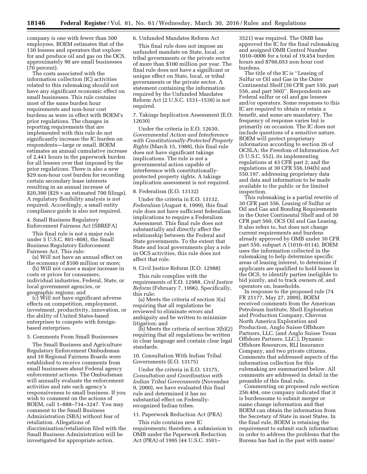company is one with fewer than 500 employees. BOEM estimates that of the 130 lessees and operators that explore for and produce oil and gas on the OCS, approximately 90 are small businesses (70 percent).

The costs associated with the information collection (IC) activities related to this rulemaking should not have any significant economic effect on small businesses. This rule contains most of the same burden hour requirements and non-hour cost burdens as were in effect with BOEM's prior regulations. The changes in reporting requirements that are implemented with this rule do not significantly increase the IC burden on respondents—large or small. BOEM estimates an annual cumulative increase of 2,441 hours in the paperwork burden for all lessees over that imposed by the prior regulations. There is also a new \$29 non-hour cost burden for recording certain secondary lease interests resulting in an annual increase of  $$20,300$  ( $$29 \times an estimated 700$  filings). A regulatory flexibility analysis is not required. Accordingly, a small entity compliance guide is also not required.

4. Small Business Regulatory Enforcement Fairness Act (SBREFA)

This final rule is not a major rule under 5 U.S.C. 801–808), the Small Business Regulatory Enforcement Fairness Act. This rule:

(a) Will not have an annual effect on the economy of \$100 million or more;

(b) Will not cause a major increase in costs or prices for consumers, individual industries, Federal, State, or local government agencies, or geographic regions; and

(c) Will not have significant adverse effects on competition, employment, investment, productivity, innovation, or the ability of United States-based enterprises to compete with foreignbased enterprises.

5. Comments From Small Businesses

The Small Business and Agriculture Regulatory Enforcement Ombudsman and 10 Regional Fairness Boards were established to receive comments from small businesses about Federal agency enforcement actions. The Ombudsman will annually evaluate the enforcement activities and rate each agency's responsiveness to small business. If you wish to comment on the actions of BOEM, call 1–888–734–3247. You may comment to the Small Business Administration (SBA) without fear of retaliation. Allegations of discrimination/retaliation filed with the Small Business Administration will be investigated for appropriate action.

6. Unfunded Mandates Reform Act

This final rule does not impose an unfunded mandate on State, local, or tribal governments or the private sector of more than \$100 million per year. The final rule does not have a significant or unique effect on State, local, or tribal governments or the private sector. A statement containing the information required by the Unfunded Mandates Reform Act (2 U.S.C. 1531–1538) is not required.

7. Takings Implication Assessment (E.O. 12630)

Under the criteria in E.O. 12630, *Governmental Action and Interference with Constitutionally-Protected Property Rights* (March 15, 1988), this final rule does not have significant takings implications. The rule is not a governmental action capable of interference with constitutionallyprotected property rights. A takings implication assessment is not required.

# 8. Federalism (E.O. 13132)

Under the criteria in E.O. 13132, *Federalism* (August 4, 1999), this final rule does not have sufficient federalism implications to require a Federalism Assessment. This final rule does not substantially and directly affect the relationship between the Federal and State governments. To the extent that State and local governments play a role in OCS activities, this rule does not affect that role.

9. Civil Justice Reform (E.O. 12988)

This rule complies with the requirements of E.O. 12988, *Civil Justice Reform* (February 7, 1996). Specifically, this rule:

(a) Meets the criteria of section 3(a) requiring that all regulations be reviewed to eliminate errors and ambiguity and be written to minimize litigation; and

 $(b)$  Meets the criteria of section  $3(b)(2)$ requiring that all regulations be written in clear language and contain clear legal standards.

# 10. Consultation With Indian Tribal Governments (E.O. 13175)

Under the criteria in E.O. 13175, *Consultation and Coordination with Indian Tribal Governments* (November 9, 2000), we have evaluated this final rule and determined it has no substantial effect on Federallyrecognized Indian tribes.

# 11. Paperwork Reduction Act (PRA)

This rule contains new IC requirements; therefore, a submission to OMB under the Paperwork Reduction Act (PRA) of 1995 (44 U.S.C. 3501–

3521) was required. The OMB has approved the IC for the final rulemaking and assigned OMB Control Number 1010–0006 for a total of 19,454 burden hours and \$766,053 non-hour cost burdens.

The title of the IC is ''Leasing of Sulfur or Oil and Gas in the Outer Continental Shelf (30 CFR part 550, part 556, and part 560)''. Respondents are Federal sulfur or oil and gas lessees and/or operators. Some responses to this IC are required to obtain or retain a benefit, and some are mandatory. The frequency of response varies but is primarily on occasion. The IC does not include questions of a sensitive nature. BOEM will protect proprietary information according to section 26 of OCSLA; the Freedom of Information Act (5 U.S.C. 552), its implementing regulations at 43 CFR part 2; and the regulations at 30 CFR 556.104(b) and 550.197, addressing proprietary data and data and information to be made available to the public or for limited inspection.

This rulemaking is a partial rewrite of 30 CFR part 556, Leasing of Sulfur or Oil and Gas and Bonding Requirements in the Outer Continental Shelf and of 30 CFR part 560, OCS Oil and Gas Leasing. It also refers to, but does not change current requirements and burdens already approved by OMB under 30 CFR part 550, subpart A (1010–0114). BOEM uses the information collected in the rulemaking to help determine specific areas of leasing interest, to determine if applicants are qualified to hold leases in the OCS, to identify parties ineligible to bid jointly, and to track owners of, and operators on, leaseholds.

In response to the proposed rule (74 FR 25177, May 27, 2009), BOEM received comments from the American Petroleum Institute, Shell Exploration and Production Company, Chevron North America Exploration and Production, Anglo Suisse Offshore Partners, LLC. (and Anglo Suisse Texas Offshore Partners, LLC.), Dynamic Offshore Resources, RLI Insurance Company, and two private citizens. Comments that addressed aspects of the information collection for this rulemaking are summarized below. All comments are addressed in detail in the preamble of this final rule.

Commenting on proposed rule section 256.404, one company indicated that it is burdensome to submit merger or name change information and that BOEM can obtain the information from the Secretary of State in most States. In the final rule, BOEM is retaining the requirement to submit such information in order to address the problems that the Bureau has had in the past with name/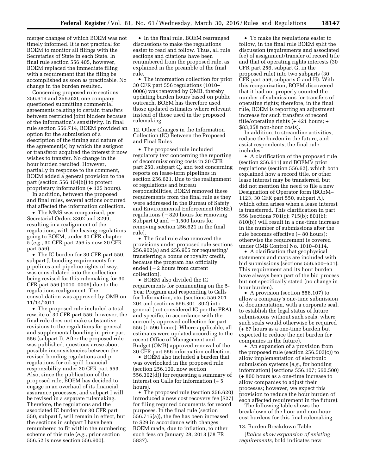merger changes of which BOEM was not timely informed. It is not practical for BOEM to monitor all filings with the Secretaries of State in each State. In final rule section 556.405, however, BOEM replaced the immediate filing with a requirement that the filing be accomplished as soon as practicable. No change in the burden resulted.

Concerning proposed rule sections 256.619 and 256.620, one company questioned submitting commercial agreements relating to certain transfers between restricted joint bidders because of the information's sensitivity. In final rule section 556.714, BOEM provided an option for the submission of a description of the timing and nature of the agreement(s) by which the assignor or transferor acquired the interest it now wishes to transfer. No change in the hour burden resulted. However, partially in response to the comment, BOEM added a general provision to the part (section 556.104(b)) to protect proprietary information ( $+$  125 hours).

In addition, between the proposed and final rules, several actions occurred that affected the information collection.

• The MMS was reorganized, per Secretarial Orders 3302 and 3299, resulting in a realignment of the regulations, with the leasing regulations going to BOEM, under 30 CFR chapter 5 (*e.g.,* 30 CFR part 256 is now 30 CFR part 556).

• The IC burden for 30 CFR part 550, subpart J, bonding requirements for pipelines and pipeline rights-of-way, was consolidated into the collection being revised for this rulemaking for 30 CFR part 556 (1010–0006) due to the regulations realignment. The consolidation was approved by OMB on 11/14/2011.

• The proposed rule included a total rewrite of 30 CFR part 556; however, the final rule does not make substantive revisions to the regulations for general and supplemental bonding in prior part 556 (subpart I). After the proposed rule was published, questions arose about possible inconsistencies between the revised bonding regulations and p regulations for oil-spill financial responsibility under 30 CFR part 553. Also, since the publication of the proposed rule, BOEM has decided to engage in an overhaul of its financial assurance processes, and subpart I will be revised in a separate rulemaking. Therefore, the regulations and the associated IC burden for 30 CFR part 550, subpart I, will remain in effect, but the sections in subpart I have been renumbered to fit within the numbering scheme of this rule (*e.g.,* prior section 556.52 is now section 556.900).

• In the final rule, BOEM rearranged discussions to make the regulations easier to read and follow. Thus, all rule sections and citations have been renumbered from the proposed rule, as explained in the preamble of the final rule.

• The information collection for prior 30 CFR part 556 regulations (1010– 0006) was renewed by OMB, thereby updating burden hours based on public outreach. BOEM has therefore used those updated estimates where relevant instead of those used in the proposed rulemaking.

12. Other Changes in the Information Collection (IC) Between the Proposed and Final Rules

• The proposed rule included regulatory text concerning the reporting of decommissioning costs in 30 CFR part 250, subpart Q, and text concerning reports on lease-term pipelines in section 256.621. Due to the realignment of regulations and bureau responsibilities, BOEM removed these requirements from the final rule as they were addressed in the Bureau of Safety and Environmental Enforcement (BSEE) regulations  $(-820$  hours for removing Subpart Q and  $-1,500$  hours for removing section 256.621 in the final rule).

• The final rule also removed the provisions under proposed rule sections 256.902(a) and 256.905 for requesting/ transferring a bonus or royalty credit, because the program has officially ended  $(-2$  hours from current collection).

• BOEM also divided the IC requirements for commenting on the 5- Year Program and responding to Calls for Information, etc. (sections 556.201– 204 and sections 556.301–302) into general (not considered IC per the PRA) and specific, in accordance with the currently approved collection for part 556 (+ 596 hours). Where applicable, all estimates were updated according to the recent Office of Management and Budget (OMB) approved renewal of the 30 CFR part 556 information collection.

• BOEM also included a burden that was overlooked in the proposed rule (section 256.100, now section 556.302(d)) for requesting a summary of interest on Calls for Information (+ 5 hours).

• The proposed rule (section 256.620) introduced a new cost recovery fee (\$27) for filing required documents for record purposes. In the final rule (section 556.715(a)), the fee has been increased to \$29 in accordance with changes BOEM made, due to inflation, to other such fees on January 28, 2013 (78 FR 5837).

• To make the regulations easier to follow, in the final rule BOEM split the discussion (requirements and associated fee) of assignment/transfer of record title and that of operating rights interests (30 CFR part 256, subpart G, in the proposed rule) into two subparts (30 CFR part 556, subparts G and H). With this reorganization, BOEM discovered that it had not properly counted the number of submissions for transfers of operating rights; therefore, in the final rule, BOEM is reporting an adjustment increase for such transfers of record title/operating rights (+ 421 hours; + \$83,358 non-hour costs).

In addition, to streamline activities, reduce the burden in the future, and assist respondents, the final rule includes:

• A clarification of the proposed rule (section 256.611) and BOEM's prior regulations (section 556.62), which both explained how a record title, or other lease interest may be transferred, but did not mention the need to file a new Designation of Operator form (BOEM– 1123, 30 CFR part 550, subpart A), which often arises when a lease interest is transferred. This clarification in part 556 (sections 701(c); 715(b); 801(b); 810(b)) will result in a one-time increase in the number of submissions after the rule becomes effective (+ 80 hours); otherwise the requirement is covered under OMB Control No. 1010–0114.

• A clarification that geophysical statements and maps are included with bid submissions (sections 556.500–501). This requirement and its hour burden have always been part of the bid process but not specifically stated (no change in hour burden).

• A provision (section 556.107) to allow a company's one-time submission of documentation, with a corporate seal, to establish the legal status of future submissions without such seals, where such seals would otherwise be required (+ 67 hours as a one-time burden but expected to reduce the net burden for companies in the future).

• An expansion of a provision from the proposed rule (section 256.503(c)) to allow implementation of electronic submission systems (*e.g.,* for bonding information) (sections 556.107; 560.500) (+ 800 hours as a one-time increase to allow companies to adjust their processes; however, we expect this provision to reduce the hour burden of each affected requirement in the future).

The following table shows the breakdown of the hour and non-hour cost burdens for this final rulemaking.

### 13. Burden Breakdown Table

[*Italics show expansion of existing requirements;* bold indicates new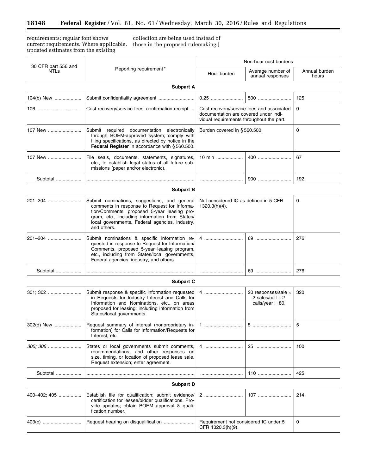requirements; regular font shows current requirements. Where applicable, updated estimates from the existing

 $\equiv$ 

collection are being used instead of those in the proposed rulemaking.]

|                                    |                                                                                                                                                                                                                                                                | Non-hour cost burdens                                                                                           |                                                                              |                        |
|------------------------------------|----------------------------------------------------------------------------------------------------------------------------------------------------------------------------------------------------------------------------------------------------------------|-----------------------------------------------------------------------------------------------------------------|------------------------------------------------------------------------------|------------------------|
| 30 CFR part 556 and<br><b>NTLs</b> | Reporting requirement*                                                                                                                                                                                                                                         | Hour burden                                                                                                     | Average number of<br>annual responses                                        | Annual burden<br>hours |
|                                    | <b>Subpart A</b>                                                                                                                                                                                                                                               |                                                                                                                 |                                                                              |                        |
| 104(b) New                         | Submit confidentiality agreement                                                                                                                                                                                                                               | 0.25                                                                                                            | 500                                                                          | 125                    |
|                                    | Cost recovery/service fees; confirmation receipt                                                                                                                                                                                                               | documentation are covered under indi-<br>vidual requirements throughout the part.                               | Cost recovery/service fees and associated                                    | 0                      |
| 107 New                            | Submit required documentation electronically<br>through BOEM-approved system; comply with<br>filing specifications, as directed by notice in the<br>Federal Register in accordance with §560.500.                                                              | Burden covered in §560.500.                                                                                     |                                                                              | 0                      |
| 107 New                            | File seals, documents, statements, signatures,<br>etc., to establish legal status of all future sub-<br>missions (paper and/or electronic).                                                                                                                    | 10 min                                                                                                          | 400                                                                          | 67                     |
| Subtotal                           |                                                                                                                                                                                                                                                                |                                                                                                                 | 900                                                                          | 192                    |
|                                    | <b>Subpart B</b>                                                                                                                                                                                                                                               |                                                                                                                 |                                                                              |                        |
| 201-204                            | Submit nominations, suggestions, and general<br>comments in response to Request for Informa-<br>tion/Comments, proposed 5-year leasing pro-<br>gram, etc., including information from States/<br>local governments, Federal agencies, industry,<br>and others. | Not considered IC as defined in 5 CFR<br>1320.3(h)(4).                                                          |                                                                              | 0                      |
| 201-204                            | Submit nominations & specific information re-<br>quested in response to Request for Information/<br>Comments, proposed 5-year leasing program,<br>etc., including from States/local governments,<br>Federal agencies, industry, and others.                    | 4                                                                                                               | 69                                                                           | 276                    |
| Subtotal                           |                                                                                                                                                                                                                                                                |                                                                                                                 | 69                                                                           | 276                    |
|                                    | <b>Subpart C</b>                                                                                                                                                                                                                                               |                                                                                                                 |                                                                              |                        |
| 301; 302                           | Submit response & specific information requested<br>in Requests for Industry Interest and Calls for<br>Information and Nominations, etc., on areas<br>proposed for leasing; including information from<br>States/local governments.                            | 4                                                                                                               | 20 responses/sale $\times$<br>2 sales/call $\times$ 2<br>calls/year = $80$ . | 320                    |
| 302(d) New                         | Request summary of interest (nonproprietary in-<br>formation) for Calls for Information/Requests for<br>Interest, etc.                                                                                                                                         | $1 \,\, \ldots \,\, \ldots \,\, \ldots \,\, \ldots \,\, \ldots \,\, \ldots \,\, \ldots \,\, \ldots \,\, \ldots$ |                                                                              | 5                      |
|                                    | States or local governments submit comments,<br>recommendations, and other responses on<br>size, timing, or location of proposed lease sale.<br>Request extension; enter agreement.                                                                            | 4                                                                                                               | 25                                                                           | 100                    |
| Subtotal                           |                                                                                                                                                                                                                                                                |                                                                                                                 | 110                                                                          | 425                    |
|                                    | Subpart D                                                                                                                                                                                                                                                      |                                                                                                                 |                                                                              |                        |
| 400-402; 405                       | Establish file for qualification; submit evidence/<br>certification for lessee/bidder qualifications. Pro-<br>vide updates; obtain BOEM approval & quali-<br>fication number.                                                                                  | 2                                                                                                               | $107$                                                                        | 214                    |
|                                    |                                                                                                                                                                                                                                                                | Requirement not considered IC under 5<br>CFR 1320.3(h)(9).                                                      |                                                                              | 0                      |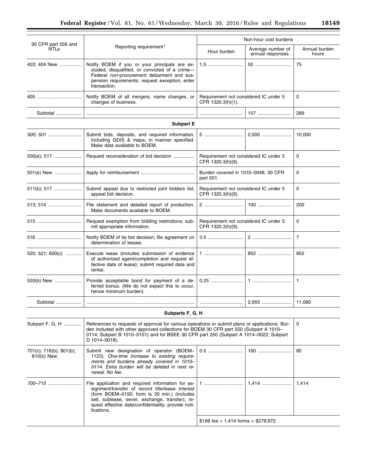|                                        |                                                                                                                                                                                                                                                                                                     | Non-hour cost burdens                                      |                                       |                        |
|----------------------------------------|-----------------------------------------------------------------------------------------------------------------------------------------------------------------------------------------------------------------------------------------------------------------------------------------------------|------------------------------------------------------------|---------------------------------------|------------------------|
| 30 CFR part 556 and<br><b>NTLs</b>     | Reporting requirement*                                                                                                                                                                                                                                                                              | Hour burden                                                | Average number of<br>annual responses | Annual burden<br>hours |
| 403; 404 New                           | Notify BOEM if you or your principals are ex-<br>cluded, disqualified, or convicted of a crime-<br>Federal non-procurement debarment and sus-<br>pension requirements; request exception; enter<br>transaction.                                                                                     |                                                            | 50                                    | 75                     |
| 405                                    | Notify BOEM of all mergers, name changes, or<br>changes of business.                                                                                                                                                                                                                                | Requirement not considered IC under 5<br>CFR 1320.3(h)(1). |                                       | 0                      |
| Subtotal                               |                                                                                                                                                                                                                                                                                                     |                                                            | 157                                   | 289                    |
|                                        | Subpart E                                                                                                                                                                                                                                                                                           |                                                            |                                       |                        |
| 500; 501                               | Submit bids, deposits, and required information,<br>including GDIS & maps; in manner specified.<br>Make data available to BOEM.                                                                                                                                                                     |                                                            | 2,000                                 | 10,000                 |
| 500(e); 517                            | Request reconsideration of bid decision                                                                                                                                                                                                                                                             | Requirement not considered IC under 5<br>CFR 1320.3(h)(9). |                                       | 0                      |
| 501(e) New                             |                                                                                                                                                                                                                                                                                                     | Burden covered in 1010-0048, 30 CFR<br>part 551.           |                                       | 0                      |
| 511(b); 517                            | Submit appeal due to restricted joint bidders list;<br>appeal bid decision.                                                                                                                                                                                                                         | Requirement not considered IC under 5<br>CFR 1320.3(h)(9). |                                       | 0                      |
| 513; 514                               | File statement and detailed report of production.<br>Make documents available to BOEM.                                                                                                                                                                                                              | 2                                                          | $100$                                 | 200                    |
|                                        | Request exemption from bidding restrictions; sub-<br>mit appropriate information.                                                                                                                                                                                                                   | Requirement not considered IC under 5<br>CFR 1320.3(h)(9). |                                       | 0                      |
| 516                                    | Notify BOEM of tie bid decision; file agreement on<br>determination of lessee.                                                                                                                                                                                                                      |                                                            | 2                                     | $\overline{7}$         |
| 520; 521; 600(c)                       | Execute lease (includes submission of evidence<br>of authorized agent/completion and request ef-<br>fective date of lease); submit required data and<br>rental.                                                                                                                                     | 1                                                          | 852                                   | 852                    |
| 520(b) New                             | Provide acceptable bond for payment of a de-<br>ferred bonus. (We do not expect this to occur,<br>hence minimum burden).                                                                                                                                                                            |                                                            |                                       | $\mathbf{1}$           |
| Subtotal                               |                                                                                                                                                                                                                                                                                                     |                                                            | 2,955                                 | 11.060                 |
|                                        | Subparts F, G, H                                                                                                                                                                                                                                                                                    |                                                            |                                       |                        |
| Subpart F, G, H                        | References to requests of approval for various operations or submit plans or applications. Bur-<br>den included with other approved collections for BOEM 30 CFR part 550 (Subpart A 1010-<br>0114; Subpart B 1010-0151) and for BSEE 30 CFR part 250 (Subpart A 1014-0022; Subpart<br>D 1014-0018). |                                                            | 0                                     |                        |
| 701(c); 716(b); 801(b);<br>810(b) New. | Submit new designation of operator (BOEM-<br>1123). One-time increase to existing require-<br>ments and burdens already covered in 1010-<br>0114. Extra burden will be deleted in next re-<br>newal. No fee.                                                                                        | 0.5                                                        | 160                                   | 80                     |
| 700-715                                | File application and required information for as-<br>signment/transfer of record title/lease interest<br>(form BOEM-0150; form is 30 min.) (includes<br>sell, sublease, sever, exchange, transfer); re-<br>quest effective date/confidentiality; provide noti-<br>fications.                        |                                                            | 1,414                                 | 1,414                  |
|                                        |                                                                                                                                                                                                                                                                                                     | \$198 fee $\times$ 1,414 forms = \$279,972                 |                                       |                        |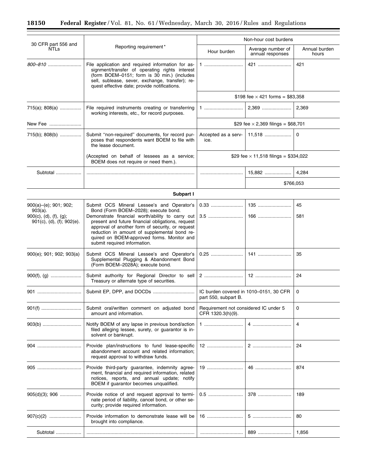Ξ

 $\equiv$ 

|                                                              |                                                                                                                                                                                                                                                                                         | Non-hour cost burdens                                          |                                              |                        |
|--------------------------------------------------------------|-----------------------------------------------------------------------------------------------------------------------------------------------------------------------------------------------------------------------------------------------------------------------------------------|----------------------------------------------------------------|----------------------------------------------|------------------------|
| 30 CFR part 556 and<br><b>NTLs</b>                           | Reporting requirement*                                                                                                                                                                                                                                                                  | Hour burden                                                    | Average number of<br>annual responses        | Annual burden<br>hours |
| $800 - 810$                                                  | File application and required information for as-<br>signment/transfer of operating rights interest<br>(form BOEM-0151; form is 30 min.) (includes<br>sell, sublease, sever, exchange, transfer); re-<br>quest effective date; provide notifications.                                   | 1                                                              | 421                                          | 421                    |
|                                                              |                                                                                                                                                                                                                                                                                         |                                                                | \$198 fee $\times$ 421 forms = \$83,358      |                        |
| 715(a); 808(a)                                               | File required instruments creating or transferring<br>working interests, etc., for record purposes.                                                                                                                                                                                     |                                                                |                                              | 2,369                  |
| New Fee                                                      |                                                                                                                                                                                                                                                                                         |                                                                | \$29 fee $\times$ 2,369 filings = \$68,701   |                        |
| 715(b); 808(b)                                               | Submit "non-required" documents, for record pur-<br>poses that respondents want BOEM to file with<br>the lease document.                                                                                                                                                                | Accepted as a serv-<br>ice.                                    | 11,518                                       | 0                      |
|                                                              | (Accepted on behalf of lessees as a service;<br>BOEM does not require or need them.).                                                                                                                                                                                                   |                                                                | \$29 fee $\times$ 11,518 filings = \$334,022 |                        |
| Subtotal                                                     |                                                                                                                                                                                                                                                                                         |                                                                | 15,882                                       | 4,284                  |
|                                                              |                                                                                                                                                                                                                                                                                         |                                                                |                                              | \$766,053              |
|                                                              | Subpart I                                                                                                                                                                                                                                                                               |                                                                |                                              |                        |
| $900(a)$ –(e); 901; 902;<br>$903(a)$ .                       | Submit OCS Mineral Lessee's and Operator's<br>Bond (Form BOEM-2028); execute bond.                                                                                                                                                                                                      | 3.5                                                            |                                              | 45                     |
| $900(c)$ , (d), (f), (g);<br>$901(c)$ , (d), (f); $902(e)$ . | Demonstrate financial worth/ability to carry out<br>present and future financial obligations, request<br>approval of another form of security, or request<br>reduction in amount of supplemental bond re-<br>quired on BOEM-approved forms. Monitor and<br>submit required information. |                                                                | 166                                          | 581                    |
| 900(e); 901; 902; 903(a)                                     | Submit OCS Mineral Lessee's and Operator's<br>Supplemental Plugging & Abandonment Bond<br>(Form BOEM-2028A); execute bond.                                                                                                                                                              | 0.25                                                           | 141                                          | 35                     |
|                                                              | Submit authority for Regional Director to sell<br>Treasury or alternate type of securities.                                                                                                                                                                                             | 2                                                              |                                              | 24                     |
| 901                                                          | Submit EP, DPP, and DOCDs                                                                                                                                                                                                                                                               | IC burden covered in 1010-0151, 30 CFR<br>part 550, subpart B. |                                              | 0                      |
| 901(f)                                                       | Submit oral/written comment on adjusted bond<br>amount and information.                                                                                                                                                                                                                 | Requirement not considered IC under 5<br>CFR 1320.3(h)(9).     |                                              | 0                      |
| 903(b)                                                       | Notify BOEM of any lapse in previous bond/action<br>filed alleging lessee, surety, or guarantor is in-<br>solvent or bankrupt.                                                                                                                                                          |                                                                | 4                                            | 4                      |
| 904                                                          | Provide plan/instructions to fund lease-specific<br>abandonment account and related information;<br>request approval to withdraw funds.                                                                                                                                                 |                                                                | 2                                            | 24                     |
| 905                                                          | Provide third-party guarantee, indemnity agree-<br>ment, financial and required information, related<br>notices, reports, and annual update; notify<br>BOEM if guarantor becomes unqualified.                                                                                           | 19                                                             |                                              | 874                    |
| $905(d)(3); 906$                                             | Provide notice of and request approval to termi-<br>nate period of liability, cancel bond, or other se-<br>curity; provide required information.                                                                                                                                        |                                                                | 378                                          | 189                    |
|                                                              | Provide information to demonstrate lease will be<br>brought into compliance.                                                                                                                                                                                                            | 16                                                             |                                              | 80                     |
| Subtotal                                                     |                                                                                                                                                                                                                                                                                         |                                                                | 889                                          | 1,856                  |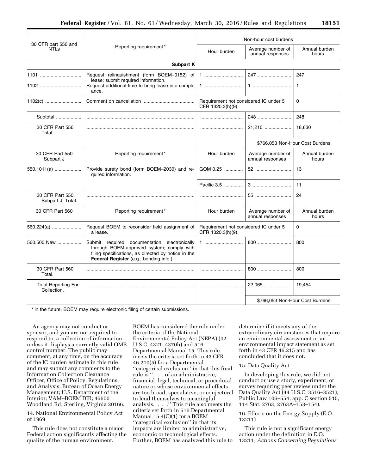|                                                                                                                                                                                                            |                                                                                                     |                                                                        | Non-hour cost burdens                 |                                 |  |
|------------------------------------------------------------------------------------------------------------------------------------------------------------------------------------------------------------|-----------------------------------------------------------------------------------------------------|------------------------------------------------------------------------|---------------------------------------|---------------------------------|--|
| 30 CFR part 556 and<br>NTI <sub>S</sub>                                                                                                                                                                    | Reporting requirement*                                                                              | Hour burden                                                            | Average number of<br>annual responses | Annual burden<br>hours          |  |
|                                                                                                                                                                                                            | <b>Subpart K</b>                                                                                    |                                                                        |                                       |                                 |  |
| 1101                                                                                                                                                                                                       | Request relinquishment (form BOEM-0152) of                                                          |                                                                        | 247                                   | 247                             |  |
|                                                                                                                                                                                                            | lease; submit required information.<br>Request additional time to bring lease into compli-<br>ance. |                                                                        |                                       | $\mathbf{1}$                    |  |
|                                                                                                                                                                                                            |                                                                                                     | Requirement not considered IC under 5<br>CFR 1320.3(h)(9).             |                                       | 0                               |  |
| Subtotal                                                                                                                                                                                                   |                                                                                                     |                                                                        | 248                                   | 248                             |  |
| 30 CFR Part 556<br>Total.                                                                                                                                                                                  |                                                                                                     |                                                                        | 21,210                                | 18,630                          |  |
|                                                                                                                                                                                                            |                                                                                                     |                                                                        |                                       | \$766,053 Non-Hour Cost Burdens |  |
| 30 CFR Part 550<br>Subpart J                                                                                                                                                                               | Reporting requirement*                                                                              | Hour burden                                                            | Average number of<br>annual responses | Annual burden<br>hours          |  |
| 550.1011(a)                                                                                                                                                                                                | Provide surety bond (form BOEM-2030) and re-<br>quired information.                                 | GOM 0.25                                                               | 52                                    | 13                              |  |
|                                                                                                                                                                                                            |                                                                                                     | Pacific 3.5                                                            | 3                                     | 11                              |  |
| 30 CFR Part 550,<br>Subpart J, Total.                                                                                                                                                                      |                                                                                                     |                                                                        | 55                                    | 24                              |  |
| 30 CFR Part 560                                                                                                                                                                                            | Reporting requirement*                                                                              | Hour burden                                                            | Average number of<br>annual responses | Annual burden<br>hours          |  |
| 560.224(a)                                                                                                                                                                                                 | Request BOEM to reconsider field assignment of<br>a lease.                                          | Requirement not considered IC under 5<br>$\Omega$<br>CFR 1320.3(h)(9). |                                       |                                 |  |
| Submit required documentation electronically<br>560.500 New<br>through BOEM-approved system; comply with<br>filing specifications, as directed by notice in the<br>Federal Register (e.g., bonding info.). |                                                                                                     | 1                                                                      | 800                                   | 800                             |  |
| 30 CFR Part 560<br>Total.                                                                                                                                                                                  |                                                                                                     |                                                                        | 800                                   | 800                             |  |
| <b>Total Reporting For</b><br>Collection.                                                                                                                                                                  |                                                                                                     |                                                                        | 22,065                                | 19,454                          |  |
|                                                                                                                                                                                                            |                                                                                                     |                                                                        |                                       | \$766,053 Non-Hour Cost Burdens |  |
|                                                                                                                                                                                                            |                                                                                                     |                                                                        |                                       |                                 |  |

\* In the future, BOEM may require electronic filing of certain submissions.

An agency may not conduct or sponsor, and you are not required to respond to, a collection of information unless it displays a currently valid OMB control number. The public may comment, at any time, on the accuracy of the IC burden estimate in this rule and may submit any comments to the Information Collection Clearance Officer, Office of Policy, Regulations, and Analysis; Bureau of Ocean Energy Management; U.S. Department of the Interior; VAM–BOEM DIR; 45600 Woodland Rd, Sterling, Virginia 20166.

14. National Environmental Policy Act of 1969

This rule does not constitute a major Federal action significantly affecting the quality of the human environment.

BOEM has considered the rule under the criteria of the National Environmental Policy Act (NEPA) (42 U.S.C. 4321–4370h) and 516 Departmental Manual 15. This rule meets the criteria set forth in 43 CFR 46.210(5) for a Departmental "categorical exclusion" in that this final rule is ''. . . of an administrative, financial, legal, technical, or procedural nature or whose environmental effects are too broad, speculative, or conjectural to lend themselves to meaningful analysis. . . .'' This rule also meets the criteria set forth in 516 Departmental Manual 15.4(C)(1) for a BOEM "categorical exclusion" in that its impacts are limited to administrative, economic or technological effects. Further, BOEM has analyzed this rule to

determine if it meets any of the extraordinary circumstances that require an environmental assessment or an environmental impact statement as set forth in 43 CFR 46.215 and has concluded that it does not.

# 15. Data Quality Act

In developing this rule, we did not conduct or use a study, experiment, or survey requiring peer review under the Data Quality Act (44 U.S.C. 3516–3521), Public Law 106–554, app. C section 515, 114 Stat. 2763, 2763A–153–154).

### 16. Effects on the Energy Supply (E.O. 13211)

This rule is not a significant energy action under the definition in E.O. 13211, *Actions Concerning Regulations*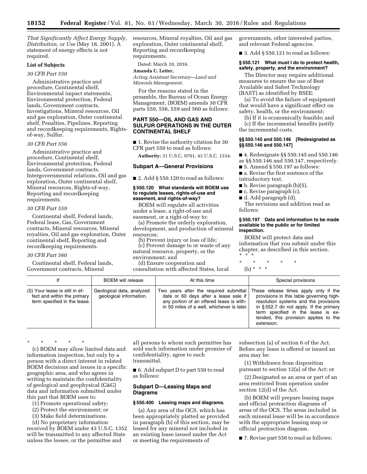*That Significantly Affect Energy Supply, Distribution, or Use* (May 18, 2001). A statement of energy effects is not required.

# **List of Subjects**

### *30 CFR Part 550*

Administrative practice and procedure, Continental shelf, Environmental impact statements, Environmental protection, Federal lands, Government contracts, Investigations, Mineral resources, Oil and gas exploration, Outer continental shelf, Penalties, Pipelines, Reporting and recordkeeping requirements, Rightsof-way, Sulfur.

# *30 CFR Part 556*

Administrative practice and procedure, Continental shelf, Environmental protection, Federal lands, Government contracts, Intergovernmental relations, Oil and gas exploration, Outer continental shelf, Mineral resources, Rights-of-way, Reporting and recordkeeping requirements.

### *30 CFR Part 559*

Continental shelf, Federal lands, Federal lease, Gas, Government contracts, Mineral resources, Mineral royalties, Oil and gas exploration, Outer continental shelf, Reporting and recordkeeping requirements.

### *30 CFR Part 560*

Continental shelf, Federal lands, Government contracts, Mineral

resources, Mineral royalties, Oil and gas exploration, Outer continental shelf, Reporting and recordkeeping requirements.

Dated: March 10, 2016.

### **Amanda C. Leiter,**

*Acting Assistant Secretary—Land and Minerals Management.* 

For the reasons stated in the preamble, the Bureau of Ocean Energy Management, (BOEM) amends 30 CFR parts 550, 556, 559 and 560 as follows:

# **PART 550—OIL AND GAS AND SULFUR OPERATIONS IN THE OUTER CONTINENTAL SHELF**

■ 1. Revise the authority citation for 30 CFR part 550 to read as follows:

**Authority:** 31 U.S.C. 9701, 43 U.S.C. 1334.

### **Subpart A—General Provisions**

 $\blacksquare$  2. Add § 550.120 to read as follows:

### **§ 550.120 What standards will BOEM use to regulate leases, rights-of-use and easement, and rights-of-way?**

BOEM will regulate all activities under a lease, a right-of-use and easement, or a right-of-way to:

(a) Promote the orderly exploration, development, and production of mineral resources;

(b) Prevent injury or loss of life; (c) Prevent damage to or waste of any natural resource, property, or the

environment; and

(d) Ensure cooperation and consultation with affected States, local governments, other interested parties, and relevant Federal agencies.

 $\blacksquare$  3. Add  $\S$  550.121 to read as follows:

# **§ 550.121 What must I do to protect health, safety, property, and the environment?**

The Director may require additional measures to ensure the use of Best Available and Safest Technology (BAST) as identified by BSEE:

(a) To avoid the failure of equipment that would have a significant effect on safety, health, or the environment;

(b) If it is economically feasible; and (c) If the incremental benefits justify the incremental costs.

### **§§ 550.145 and 550.146 [Redesignated as §§ 550.146 and 550.147]**

■ 4. Redesignate §§ 550.145 and 550.146 as §§ 550.146 and 550.147, respectively.

■ 5. Amend § 550.197 as follows:

■ a. Revise the first sentence of the

introductory text.

- $\blacksquare$  b. Revise paragraph (b)(5).
- c. Revise paragraph (c).

■ d. Add paragraph (d).

The revisions and addition read as follows:

### **§ 550.197 Data and information to be made available to the public or for limited inspection.**

BOEM will protect data and information that you submit under this chapter, as described in this section. \* \* \*

\* \* \* \* \*

(b) \* \* \*

| lf                                                                                            | <b>BOEM</b> will release                             | At this time                                                                                                                                                              | Special provisions                                                                                                                                                                                                                                                   |
|-----------------------------------------------------------------------------------------------|------------------------------------------------------|---------------------------------------------------------------------------------------------------------------------------------------------------------------------------|----------------------------------------------------------------------------------------------------------------------------------------------------------------------------------------------------------------------------------------------------------------------|
| (5) Your lease is still in ef-<br>fect and within the primary<br>term specified in the lease. | Geological data, analyzed<br>geological information. | Two years after the required submittal<br>date or 60 days after a lease sale if<br>any portion of an offered lease is with-<br>in 50 miles of a well, whichever is later. | These release times apply only if the<br>provisions in this table governing high-<br>resolution systems and the provisions<br>in $§$ 552.7 do not apply. If the primary<br>term specified in the lease is ex-<br>tended, this provision applies to the<br>extension. |

\* \* \* \* \* (c) BOEM may allow limited data and information inspection, but only by a person with a direct interest in related BOEM decisions and issues in a specific geographic area, and who agrees in writing to maintain the confidentiality of geological and geophysical (G&G) data and information submitted under this part that BOEM uses to:

- (1) Promote operational safety;
- (2) Protect the environment; or
- (3) Make field determinations.
- (d) No proprietary information

received by BOEM under 43 U.S.C. 1352 will be transmitted to any affected State unless the lessee, or the permittee and

all persons to whom such permittee has sold such information under promise of confidentiality, agree to such transmittal.

■ 6. Add subpart D to part 550 to read as follows:

# **Subpart D—Leasing Maps and Diagrams**

# **§ 550.400 Leasing maps and diagrams.**

(a) Any area of the OCS, which has been appropriately platted as provided in paragraph (b) of this section, may be leased for any mineral not included in an existing lease issued under the Act or meeting the requirements of

subsection (a) of section 6 of the Act. Before any lease is offered or issued an area may be:

(1) Withdrawn from disposition pursuant to section 12(a) of the Act; or

(2) Designated as an area or part of an area restricted from operation under section 12(d) of the Act.

(b) BOEM will prepare leasing maps and official protraction diagrams of areas of the OCS. The areas included in each mineral lease will be in accordance with the appropriate leasing map or official protraction diagram.

■ 7. Revise part 556 to read as follows: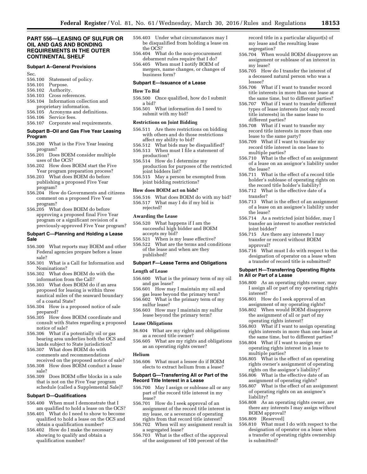# **PART 556—LEASING OF SULFUR OR OIL AND GAS AND BONDING REQUIREMENTS IN THE OUTER CONTINENTAL SHELF**

### **Subpart A–General Provisions**

- Sec.<br>556.100 556.100 Statement of policy.<br>556.101 Purpose.
- Purpose.
- 556.102 Authority.
- 556.103 Cross references.
- 556.104 Information collection and
- proprietary information.
- 556.105 Acronyms and definitions.<br>556.106 Service fees
- Service fees.
- 556.107 Corporate seal requirements.

# **Subpart B–Oil and Gas Five Year Leasing Program**

- 556.200 What is the Five Year leasing program?
- 556.201 Does BOEM consider multiple uses of the OCS?
- 556.202 How does BOEM start the Five Year program preparation process?
- 556.203 What does BOEM do before publishing a proposed Five Year program?
- 556.204 How do Governments and citizens comment on a proposed Five Year program?
- 556.205 What does BOEM do before approving a proposed final Five Year program or a significant revision of a previously-approved Five Year program?

# **Subpart C—Planning and Holding a Lease Sale**

- 556.300 What reports may BOEM and other Federal agencies prepare before a lease sale?
- 556.301 What is a Call for Information and Nominations?
- 556.302 What does BOEM do with the information from the Call?
- 556.303 What does BOEM do if an area proposed for leasing is within three nautical miles of the seaward boundary of a coastal State?
- 556.304 How is a proposed notice of sale prepared?
- 556.305 How does BOEM coordinate and consult with States regarding a proposed notice of sale?
- 556.306 What if a potentially oil or gas bearing area underlies both the OCS and lands subject to State jurisdiction?
- 556.307 What does BOEM do with comments and recommendations received on the proposed notice of sale?
- 556.308 How does BOEM conduct a lease sale?
- 556.309 Does BOEM offer blocks in a sale that is not on the Five Year program schedule (called a Supplemental Sale)?

### **Subpart D—Qualifications**

- 556.400 When must I demonstrate that I am qualified to hold a lease on the OCS?
- 556.401 What do I need to show to become qualified to hold a lease on the OCS and obtain a qualification number?
- 556.402 How do I make the necessary showing to qualify and obtain a qualification number?
- 556.403 Under what circumstances may I be disqualified from holding a lease on the OCS?
- 556.404 What do the non-procurement debarment rules require that I do?
- 556.405 When must I notify BOEM of mergers, name changes, or changes of business form?

### **Subpart E—Issuance of a Lease**

### **How To Bid**

- 556.500 Once qualified, how do I submit a bid?
- 556.501 What information do I need to submit with my bid?

### **Restrictions on Joint Bidding**

- 556.511 Are there restrictions on bidding with others and do those restrictions affect my ability to bid?
- 556.512 What bids may be disqualified? 556.513 When must I file a statement of
- production? 556.514 How do I determine my production for purposes of the restricted joint bidders list?
- 556.515 May a person be exempted from joint bidding restrictions?

### **How does BOEM act on bids?**

- 556.516 What does BOEM do with my bid?
- 556.517 What may I do if my bid is

# rejected? **Awarding the Lease**

- 556.520 What happens if I am the successful high bidder and BOEM accepts my bid?
- 556.521 When is my lease effective?
- 556.522 What are the terms and conditions of the lease and when are they published?

### **Subpart F—Lease Terms and Obligations**

### **Length of Lease**

- 556.600 What is the primary term of my oil and gas lease?
- 556.601 How may I maintain my oil and gas lease beyond the primary term?
- 556.602 What is the primary term of my sulfur lease?
- 556.603 How may I maintain my sulfur lease beyond the primary term?

### **Lease Obligations**

- 56.604 What are my rights and obligations as a record title owner?
- 556.605 What are my rights and obligations as an operating rights owner?

### **Helium**

556.606 What must a lessee do if BOEM elects to extract helium from a lease?

### **Subpart G—Transferring All or Part of the Record Title Interest in a Lease**

- 556.700 May I assign or sublease all or any part of the record title interest in my lease?
- 556.701 How do I seek approval of an assignment of the record title interest in my lease, or a severance of operating rights from that record title interest?
- 556.702 When will my assignment result in a segregated lease?
- 556.703 What is the effect of the approval of the assignment of 100 percent of the

record title in a particular aliquot(s) of my lease and the resulting lease segregation?

- 556.704 When would BOEM disapprove an assignment or sublease of an interest in my lease?
- 556.705 How do I transfer the interest of a deceased natural person who was a lessee?
- 556.706 What if I want to transfer record title interests in more than one lease at the same time, but to different parties?
- 556.707 What if I want to transfer different types of lease interests (not only record title interests) in the same lease to different parties?
- 556.708 What if I want to transfer my record title interests in more than one lease to the same party?
- 556.709 What if I want to transfer my record title interest in one lease to multiple parties?
- 556.710 What is the effect of an assignment of a lease on an assignor's liability under the lease?
- 556.711 What is the effect of a record title holder's sublease of operating rights on the record title holder's liability?
- 556.712 What is the effective date of a transfer?
- 556.713 What is the effect of an assignment of a lease on an assignee's liability under the lease?
- 556.714 As a restricted joint bidder, may I transfer an interest to another restricted joint bidder?
- 556.715 Are there any interests I may transfer or record without BOEM approval?
- 556.716 What must I do with respect to the designation of operator on a lease when a transfer of record title is submitted?

### **Subpart H—Transferring Operating Rights in All or Part of a Lease**

- 556.800 As an operating rights owner, may I assign all or part of my operating rights interest?
- 556.801 How do I seek approval of an assignment of my operating rights?
- 556.802 When would BOEM disapprove the assignment of all or part of my operating rights interest?
- 556.803 What if I want to assign operating rights interests in more than one lease at the same time, but to different parties?
- 556.804 What if I want to assign my operating rights interest in a lease to multiple parties?
- 556.805 What is the effect of an operating rights owner's assignment of operating rights on the assignor's liability?
- 556.806 What is the effective date of an assignment of operating rights?
- 556.807 What is the effect of an assignment of operating rights on an assignee's liability?
- 556.808 As an operating rights owner, are there any interests I may assign without BOEM approval?
- 556.809 [Reserved]
- 556.810 What must I do with respect to the designation of operator on a lease when a transfer of operating rights ownership is submitted?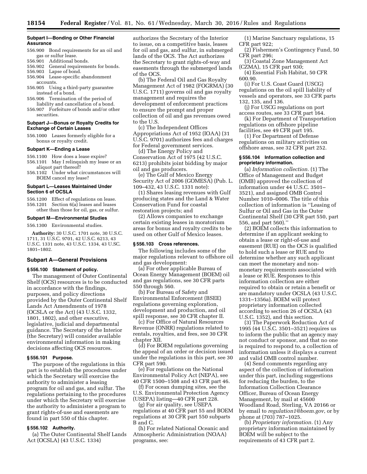# **Subpart I—Bonding or Other Financial Assurance**

- 556.900 Bond requirements for an oil and gas or sulfur lease.
- 
- 556.901 Additional bonds. 556.902 General requirements for bonds.<br>556.903 Lanse of bond
- Lapse of bond.
- 556.904 Lease-specific abandonment accounts.
- 556.905 Using a third-party guarantee instead of a bond.
- 556.906 Termination of the period of
- liability and cancellation of a bond. 556.907 Forfeiture of bonds and/or other securities.

### **Subpart J—Bonus or Royalty Credits for Exchange of Certain Leases**

556.1000 Leases formerly eligible for a bonus or royalty credit.

### **Subpart K—Ending a Lease**

- 556.1100 How does a lease expire? 556.1101 May I relinquish my lease or an
- aliquot part thereof? 556.1102 Under what circumstances will
- BOEM cancel my lease? **Subpart L—Leases Maintained Under**

# **Section 6 of OCSLA**

- 556.1200 Effect of regulations on lease.
- 556.1201 Section 6(a) leases and leases other than those for oil, gas, or sulfur.

# **Subpart M—Environmental Studies**

556.1300 Environmental studies.

**Authority:** 30 U.S.C. 1701 note, 30 U.S.C. 1711, 31 U.S.C. 9701, 42 U.S.C. 6213, 43 U.S.C. 1331 note, 43 U.S.C. 1334, 43 U.SC. 1801–1802.

### **Subpart A—General Provisions**

### **§ 556.100 Statement of policy.**

The management of Outer Continental Shelf (OCS) resources is to be conducted in accordance with the findings, purposes, and policy directions provided by the Outer Continental Shelf Lands Act Amendments of 1978 (OCSLA or the Act) (43 U.S.C. 1332, 1801, 1802), and other executive, legislative, judicial and departmental guidance. The Secretary of the Interior (the Secretary) will consider available environmental information in making decisions affecting OCS resources.

### **§ 556.101 Purpose.**

The purpose of the regulations in this part is to establish the procedures under which the Secretary will exercise the authority to administer a leasing program for oil and gas, and sulfur. The regulations pertaining to the procedures under which the Secretary will exercise the authority to administer a program to grant rights-of-use and easements are found in part 550 of this chapter.

### **§ 556.102 Authority.**

(a) The Outer Continental Shelf Lands Act (OCSLA) (43 U.S.C. 1334)

authorizes the Secretary of the Interior to issue, on a competitive basis, leases for oil and gas, and sulfur, in submerged lands of the OCS. The Act authorizes the Secretary to grant rights-of-way and easements through the submerged lands of the OCS.

(b) The Federal Oil and Gas Royalty Management Act of 1982 (FOGRMA) (30 U.S.C. 1711) governs oil and gas royalty management and requires the development of enforcement practices to ensure the prompt and proper collection of oil and gas revenues owed to the U.S.

(c) The Independent Offices Appropriations Act of 1952 (IOAA) (31 U.S.C. 9701) authorizes fees and charges for Federal government services.

(d) The Energy Policy and Conservation Act of 1975 (42 U.S.C. 6213) prohibits joint bidding by major oil and gas producers.

(e) The Gulf of Mexico Energy Security Act of 2006 (GOMESA) (Pub. L. 109–432, 43 U.S.C. 1331 note):

(1) Shares leasing revenues with Gulf producing states and the Land & Water Conservation Fund for coastal restoration projects; and

(2) Allows companies to exchange certain existing leases in moratorium areas for bonus and royalty credits to be used on other Gulf of Mexico leases.

### **§ 556.103 Cross references.**

The following includes some of the major regulations relevant to offshore oil and gas development:

(a) For other applicable Bureau of Ocean Energy Management (BOEM) oil and gas regulations, see 30 CFR parts 550 through 560.

(b) For Bureau of Safety and Environmental Enforcement (BSEE) regulations governing exploration, development and production, and oil spill response, see 30 CFR chapter II.

(c) For Office of Natural Resources Revenue (ONRR) regulations related to rentals, royalties, and fees, see 30 CFR chapter XII.

(d) For BOEM regulations governing the appeal of an order or decision issued under the regulations in this part, see 30 CFR part 590.

(e) For regulations on the National Environmental Policy Act (NEPA), see 40 CFR 1500–1508 and 43 CFR part 46.

(f) For ocean dumping sites, see the U.S. Environmental Protection Agency (USEPA) listing—40 CFR part 228.

(g) For air quality, see USEPA regulations at 40 CFR part 55 and BOEM regulations at 30 CFR part 550 subparts B and C.

(h) For related National Oceanic and Atmospheric Administration (NOAA) programs, see:

(1) Marine Sanctuary regulations, 15 CFR part 922;

(2) Fishermen's Contingency Fund, 50 CFR part 296;

(3) Coastal Zone Management Act (CZMA), 15 CFR part 930;

(4) Essential Fish Habitat, 50 CFR 600.90.

(i) For U.S. Coast Guard (USCG) regulations on the oil spill liability of vessels and operators, see 33 CFR parts 132, 135, and 136.

(j) For USCG regulations on port access routes, see 33 CFR part 164.

(k) For Department of Transportation regulations on offshore pipeline facilities, see 49 CFR part 195.

(1) For Department of Defense regulations on military activities on offshore areas, see 32 CFR part 252.

### **§ 556.104 Information collection and proprietary information.**

(a) *Information collection.* (1) The Office of Management and Budget (OMB) approved the collection of information under 44 U.S.C. 3501– 3521), and assigned OMB Control Number 1010–0006. The title of this collection of information is ''Leasing of Sulfur or Oil and Gas in the Outer Continental Shelf (30 CFR part 550, part 556, and part 560).''

(2) BOEM collects this information to determine if an applicant seeking to obtain a lease or right-of-use and easement (RUE) on the OCS is qualified to hold such a lease or RUE and to determine whether any such applicant can meet the monetary and nonmonetary requirements associated with a lease or RUE. Responses to this information collection are either required to obtain or retain a benefit or are mandatory under OCSLA (43 U.S.C. 1331–1356a). BOEM will protect proprietary information collected according to section 26 of OCSLA (43 U.S.C. 1352), and this section.

(3) The Paperwork Reduction Act of 1995 (44 U.S.C. 3501–3521) requires us to inform the public that an agency may not conduct or sponsor, and that no one is required to respond to, a collection of information unless it displays a current and valid OMB control number.

(4) Send comments regarding any aspect of the collection of information under this part, including suggestions for reducing the burden, to the Information Collection Clearance Officer, Bureau of Ocean Energy Management, by mail at 45600 Woodland Road, Sterling, VA 20166 or by email to *[regulation1@boem.gov](mailto:regulation1@boem.gov)*, or by phone at (703) 787–1025.

(b) *Proprietary information.* (1) Any proprietary information maintained by BOEM will be subject to the requirements of 43 CFR part 2.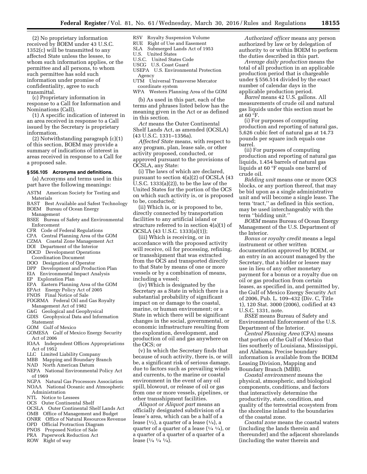(2) No proprietary information received by BOEM under 43 U.S.C. 1352(c) will be transmitted to any affected State unless the lessee, to whom such information applies, or the permittee and all persons, to whom such permittee has sold such information under promise of confidentiality, agree to such transmittal.

(c) Proprietary information in response to a Call for Information and Nominations (Call).

(1) A specific indication of interest in an area received in response to a Call issued by the Secretary is proprietary information.

(2) Notwithstanding paragraph (c)(1) of this section, BOEM may provide a summary of indications of interest in areas received in response to a Call for a proposed sale.

### **§ 556.105 Acronyms and definitions.**

(a) Acronyms and terms used in this part have the following meanings:

- ASTM American Society for Testing and Materials
- BAST Best Available and Safest Technology BOEM Bureau of Ocean Energy
- Management
- BSEE Bureau of Safety and Environmental Enforcement
- CFR Code of Federal Regulations
- CPA Central Planning Area of the GOM
- CZMA Coastal Zone Management Act
- DOI Department of the Interior
- DOCD Development Operations
- Coordination Document
- DOO Designation of Operator<br>DPP Development and Produc
- Development and Production Plan
- EIA Environmental Impact Analysis
- EP Exploration Plan
- EPA Eastern Planning Area of the GOM
- EPAct Energy Policy Act of 2005
- FNOS Final Notice of Sale
- FOGRMA Federal Oil and Gas Royalty Management Act of 1982
- G&G Geological and Geophysical
- GDIS Geophysical Data and Information **Statement**
- GOM Gulf of Mexico
- GOMESA Gulf of Mexico Energy Security Act of 2006
- IOAA Independent Offices Appropriations Act of 1952
- LLC Limited Liability Company<br>MBB Mapping and Boundary Br
- Mapping and Boundary Branch
- NAD North American Datum
- NEPA National Environmental Policy Act of 1969
- NGPA Natural Gas Processors Association
- NOAA National Oceanic and Atmospheric Administration
- NTL Notice to Lessees
- OCS Outer Continental Shelf
- OCSLA Outer Continental Shelf Lands Act
- OMB Office of Management and Budget
- ONRR Office of Natural Resources Revenue
- OPD Official Protraction Diagram
- PNOS Proposed Notice of Sale
- PRA Paperwork Reduction Act
- ROW Right of way
- RSV Royalty Suspension Volume
- RUE Right of Use and Easement
- SLA Submerged Lands Act of 1953
- U.S. United States
- U.S.C. United States Code
- USCG U.S. Coast Guard
- USEPA U.S. Environmental Protection Agency
- UTM Universal Transverse Mercator coordinate system
- WPA Western Planning Area of the GOM

(b) As used in this part, each of the terms and phrases listed below has the meaning given in the Act or as defined in this section.

*Act* means the Outer Continental Shelf Lands Act, as amended (OCSLA) (43 U.S.C. 1331–1356a).

*Affected State* means, with respect to any program, plan, lease sale, or other activity proposed, conducted, or approved pursuant to the provisions of OCSLA, any State:

(i) The laws of which are declared, pursuant to section 4(a)(2) of OCSLA (43  $\overline{U}$ .S.C. 1333(a)(2)), to be the law of the United States for the portion of the OCS on which such activity is, or is proposed to be, conducted;

(ii) Which is, or is proposed to be, directly connected by transportation facilities to any artificial island or structure referred to in section 4(a)(1) of OCSLA (43 U.S.C. 1333(a)(1));

(iii) Which is receiving, or in accordance with the proposed activity will receive, oil for processing, refining, or transshipment that was extracted from the OCS and transported directly to that State by means of one or more vessels or by a combination of means, including a vessel;

(iv) Which is designated by the Secretary as a State in which there is a substantial probability of significant impact on or damage to the coastal, marine, or human environment; or a State in which there will be significant changes in the social, governmental, or economic infrastructure resulting from the exploration, development, and production of oil and gas anywhere on the OCS; or

(v) In which the Secretary finds that because of such activity, there is, or will be, a significant risk of serious damage, due to factors such as prevailing winds and currents, to the marine or coastal environment in the event of any oil spill, blowout, or release of oil or gas from one or more vessels, pipelines, or other transshipment facilities.

*Aliquot or Aliquot part* means an officially designated subdivision of a lease's area, which can be a half of a lease  $(1/2)$ , a quarter of a lease  $(1/4)$ , a quarter of a quarter of a lease (1⁄4 1⁄4), or a quarter of a quarter of a quarter of a lease  $(1/4 \frac{1}{4} \frac{1}{4})$ .

*Authorized officer* means any person authorized by law or by delegation of authority to or within BOEM to perform the duties described in this part.

*Average daily production* means the total of all production in an applicable production period that is chargeable under § 556.514 divided by the exact number of calendar days in the applicable production period.

*Barrel* means 42 U.S. gallons. All measurements of crude oil and natural gas liquids under this section must be at 60 °F.

(i) For purposes of computing production and reporting of natural gas, 5,626 cubic feet of natural gas at 14.73 pounds per square inch equals one barrel.

(ii) For purposes of computing production and reporting of natural gas liquids, 1.454 barrels of natural gas liquids at 60 °F equals one barrel of crude oil.

*Bidding unit* means one or more OCS blocks, or any portion thereof, that may be bid upon as a single administrative unit and will become a single lease. The term 'tract,'' as defined in this section, may be used interchangeably with the term ''bidding unit.''

*BOEM* means Bureau of Ocean Energy Management of the U.S. Department of the Interior.

*Bonus or royalty credit* means a legal instrument or other written documentation approved by BOEM, or an entry in an account managed by the Secretary, that a bidder or lessee may use in lieu of any other monetary payment for a bonus or a royalty due on oil or gas production from certain leases, as specified in, and permitted by, the Gulf of Mexico Energy Security Act of 2006, Pub. L. 109–432 (Div. C, Title 1), 120 Stat. 3000 (2006), codified at 43 U.S.C. 1331, note.

*BSEE* means Bureau of Safety and Environmental Enforcement of the U.S. Department of the Interior.

*Central Planning Area* (CPA) means that portion of the Gulf of Mexico that lies southerly of Louisiana, Mississippi, and Alabama. Precise boundary information is available from the BOEM Leasing Division, Mapping and Boundary Branch (MBB).

*Coastal environment* means the physical, atmospheric, and biological components, conditions, and factors that interactively determine the productivity, state, condition, and quality of the terrestrial ecosystem from the shoreline inland to the boundaries of the coastal zone.

*Coastal zone* means the coastal waters (including the lands therein and thereunder) and the adjacent shorelands (including the water therein and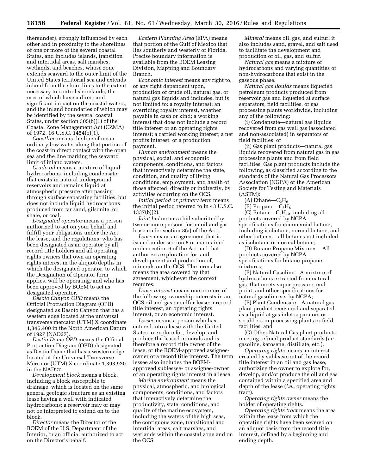thereunder), strongly influenced by each other and in proximity to the shorelines of one or more of the several coastal States, and includes islands, transition and intertidal areas, salt marshes, wetlands, and beaches, whose zone extends seaward to the outer limit of the United States territorial sea and extends inland from the shore lines to the extent necessary to control shorelands, the uses of which have a direct and significant impact on the coastal waters, and the inland boundaries of which may be identified by the several coastal States, under section 305(b)(1) of the Coastal Zone Management Act (CZMA) of 1972, 16 U.S.C. 1454(b)(1).

*Coastline* means the line of mean ordinary low water along that portion of the coast in direct contact with the open sea and the line marking the seaward limit of inland waters.

*Crude oil* means a mixture of liquid hydrocarbons, including condensate that exists in natural underground reservoirs and remains liquid at atmospheric pressure after passing through surface separating facilities, but does not include liquid hydrocarbons produced from tar sand, gilsonite, oil shale, or coal.

*Designated operator* means a person authorized to act on your behalf and fulfill your obligations under the Act, the lease, and the regulations, who has been designated as an operator by all record title holders and all operating rights owners that own an operating rights interest in the aliquot/depths in which the designated operator, to which the Designation of Operator form applies, will be operating, and who has been approved by BOEM to act as designated operator.

*Desoto Canyon OPD* means the Official Protraction Diagram (OPD) designated as Desoto Canyon that has a western edge located at the universal transverse mercator (UTM) X coordinate 1,346,400 in the North American Datum of 1927 (NAD27).

*Destin Dome OPD* means the Official Protraction Diagram (OPD) designated as Destin Dome that has a western edge located at the Universal Transverse Mercator (UTM) X coordinate 1,393,920 in the NAD27.

*Development block* means a block, including a block susceptible to drainage, which is located on the same general geologic structure as an existing lease having a well with indicated hydrocarbons; a reservoir may or may not be interpreted to extend on to the block.

*Director* means the Director of the BOEM of the U.S. Department of the Interior, or an official authorized to act on the Director's behalf.

*Eastern Planning Area* (EPA) means that portion of the Gulf of Mexico that lies southerly and westerly of Florida. Precise boundary information is available from the BOEM Leasing Division, Mapping and Boundary Branch.

*Economic interest* means any right to, or any right dependent upon, production of crude oil, natural gas, or natural gas liquids and includes, but is not limited to: a royalty interest; an overriding royalty interest, whether payable in cash or kind; a working interest that does not include a record title interest or an operating rights interest; a carried working interest; a net profits interest; or a production payment.

*Human environment* means the physical, social, and economic components, conditions, and factors that interactively determine the state, condition, and quality of living conditions, employment, and health of those affected, directly or indirectly, by activities occurring on the OCS.

*Initial period or primary term* means the initial period referred to in 43 U.S.C. 1337(b)(2).

*Joint bid* means a bid submitted by two or more persons for an oil and gas lease under section 8(a) of the Act.

*Lease* means an agreement that is issued under section 8 or maintained under section 6 of the Act and that authorizes exploration for, and development and production of, minerals on the OCS. The term also means the area covered by that agreement, whichever the context requires.

*Lease interest* means one or more of the following ownership interests in an OCS oil and gas or sulfur lease: a record title interest, an operating rights interest, or an economic interest.

*Lessee* means a person who has entered into a lease with the United States to explore for, develop, and produce the leased minerals and is therefore a record title owner of the lease, or the BOEM-approved assigneeowner of a record title interest. The term lessee also includes the BOEMapproved sublessee- or assignee-owner of an operating rights interest in a lease.

*Marine environment* means the physical, atmospheric, and biological components, conditions, and factors that interactively determine the productivity, state, conditions, and quality of the marine ecosystem, including the waters of the high seas, the contiguous zone, transitional and intertidal areas, salt marshes, and wetlands within the coastal zone and on the OCS.

*Mineral* means oil, gas, and sulfur; it also includes sand, gravel, and salt used to facilitate the development and production of oil, gas, and sulfur.

*Natural gas* means a mixture of hydrocarbons and varying quantities of non-hydrocarbons that exist in the gaseous phase.

*Natural gas liquids* means liquefied petroleum products produced from reservoir gas and liquefied at surface separators, field facilities, or gas processing plants worldwide, including any of the following:

(i) Condensate—natural gas liquids recovered from gas well gas (associated and non-associated) in separators or field facilities; or

(ii) Gas plant products—natural gas liquids recovered from natural gas in gas processing plants and from field facilities. Gas plant products include the following, as classified according to the standards of the Natural Gas Processors Association (NGPA) or the American Society for Testing and Materials (ASTM):

 $(A)$  Ethane— $C_2H_6$ 

(B) Propane—C3H8

 $(C)$  Butane— $C_4H_{10}$ , including all products covered by NGPA specifications for commercial butane, including isobutane, normal butane, and other butanes—all butanes not included as isobutane or normal butane;

(D) Butane-Propane Mixtures—All products covered by NGPA specifications for butane-propane mixtures;

(E) Natural Gasoline—A mixture of hydrocarbons extracted from natural gas, that meets vapor pressure, end point, and other specifications for natural gasoline set by NGPA;

(F) Plant Condensate—A natural gas plant product recovered and separated as a liquid at gas inlet separators or scrubbers in processing plants or field facilities; and

(G) Other Natural Gas plant products meeting refined product standards (*i.e.,*  gasoline, kerosene, distillate, etc.).

*Operating rights* means an interest created by sublease out of the record title interest in an oil and gas lease, authorizing the owner to explore for, develop, and/or produce the oil and gas contained within a specified area and depth of the lease (*i.e.,* operating rights tract).

*Operating rights owner* means the holder of operating rights.

*Operating rights tract* means the area within the lease from which the operating rights have been severed on an aliquot basis from the record title interest, defined by a beginning and ending depth.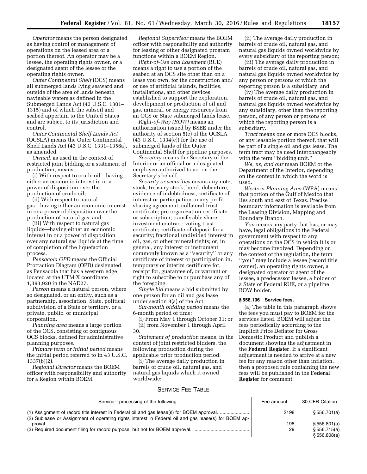*Operator* means the person designated as having control or management of operations on the leased area or a portion thereof. An operator may be a lessee, the operating rights owner, or a designated agent of the lessee or the operating rights owner.

*Outer Continental Shelf* (OCS) means all submerged lands lying seaward and outside of the area of lands beneath navigable waters as defined in the Submerged Lands Act (43 U.S.C. 1301– 1315) and of which the subsoil and seabed appertain to the United States and are subject to its jurisdiction and control.

*Outer Continental Shelf Lands Act*  (OCSLA) means the Outer Continental Shelf Lands Act (43 U.S.C. 1331–1356a), as amended.

*Owned,* as used in the context of restricted joint bidding or a statement of production, means:

(i) With respect to crude oil—having either an economic interest in or a power of disposition over the production of crude oil;

(ii) With respect to natural gas—having either an economic interest in or a power of disposition over the production of natural gas; and

(iii) With respect to natural gas liquids—having either an economic interest in or a power of disposition over any natural gas liquids at the time of completion of the liquefaction process.

*Pensacola OPD* means the Official Protraction Diagram (OPD) designated as Pensacola that has a western edge located at the UTM X coordinate 1,393,920 in the NAD27.

*Person* means a natural person, where so designated, or an entity, such as a partnership, association, State, political subdivision of a State or territory, or a private, public, or municipal corporation.

*Planning area* means a large portion of the OCS, consisting of contiguous OCS blocks, defined for administrative planning purposes.

*Primary term or initial period* means the initial period referred to in 43 U.S.C. 1337(b)(2).

*Regional Director* means the BOEM officer with responsibility and authority for a Region within BOEM.

*Regional Supervisor* means the BOEM officer with responsibility and authority for leasing or other designated program functions within a BOEM Region.

*Right-of-Use and Easement* (RUE) means a right to use a portion of the seabed at an OCS site other than on a lease you own, for the construction and/ or use of artificial islands, facilities, installations, and other devices, established to support the exploration, development or production of oil and gas, mineral, or energy resources from an OCS or State submerged lands lease.

*Right-of-Way (ROW)* means an authorization issued by BSEE under the authority of section 5(e) of the OCSLA (43 U.S.C. 1334(e)) for the use of submerged lands of the Outer Continental Shelf for pipeline purposes.

*Secretary* means the Secretary of the Interior or an official or a designated employee authorized to act on the Secretary's behalf.

*Security or securities* means any note, stock, treasury stock, bond, debenture, evidence of indebtedness, certificate of interest or participation in any profitsharing agreement; collateral-trust certificate; pre-organization certificate or subscription; transferable share; investment contract; voting-trust certificate; certificate of deposit for a security; fractional undivided interest in oil, gas, or other mineral rights; or, in general, any interest or instrument commonly known as a ''security'' or any certificate of interest or participation in, temporary or interim certificate for, receipt for, guarantee of, or warrant or right to subscribe to or purchase any of the foregoing.

*Single bid* means a bid submitted by one person for an oil and gas lease under section 8(a) of the Act.

*Six-month bidding period* means the 6-month period of time:

(i) From May 1 through October 31; or (ii) from November 1 through April 30.

*Statement of production* means, in the context of joint restricted bidders, the following production during the applicable prior production period:

(i) The average daily production in barrels of crude oil, natural gas, and natural gas liquids which it owned worldwide;

(ii) The average daily production in barrels of crude oil, natural gas, and natural gas liquids owned worldwide by every subsidiary of the reporting person;

(iii) The average daily production in barrels of crude oil, natural gas, and natural gas liquids owned worldwide by any person or persons of which the reporting person is a subsidiary; and

(iv) The average daily production in barrels of crude oil, natural gas, and natural gas liquids owned worldwide by any subsidiary, other than the reporting person, of any person or persons of which the reporting person is a subsidiary.

*Tract* means one or more OCS blocks, or any leasable portion thereof, that will be part of a single oil and gas lease. The term tract may be used interchangeably with the term ''bidding unit.''

*We, us, and our* mean BOEM or the Department of the Interior, depending on the context in which the word is used.

*Western Planning Area* (WPA) means that portion of the Gulf of Mexico that lies south and east of Texas. Precise boundary information is available from the Leasing Division, Mapping and Boundary Branch.

*You* means any party that has, or may have, legal obligations to the Federal government with respect to any operations on the OCS in which it is or may become involved. Depending on the context of the regulation, the term ''you'' may include a lessee (record title owner), an operating rights owner, a designated operator or agent of the lessee, a predecessor lessee, a holder of a State or Federal RUE, or a pipeline ROW holder.

### **§ 556.106 Service fees.**

(a) The table in this paragraph shows the fees you must pay to BOEM for the services listed. BOEM will adjust the fees periodically according to the Implicit Price Deflator for Gross Domestic Product and publish a document showing the adjustment in the **Federal Register**. If a significant adjustment is needed to arrive at a new fee for any reason other than inflation, then a proposed rule containing the new fees will be published in the **Federal Register** for comment.

# SERVICE FEE TABLE

| Service-processing of the following:                                                                                                                                                               | Fee amount | 30 CFR Citation |
|----------------------------------------------------------------------------------------------------------------------------------------------------------------------------------------------------|------------|-----------------|
| (1) Assignment of record title interest in Federal oil and gas lease(s) for BOEM approval.<br>(2) Sublease or Assignment of operating rights interest in Federal oil and gas lease(s) for BOEM ap- | \$198      | §556.701(a)     |
|                                                                                                                                                                                                    | 198        | \$556.801(a)    |
|                                                                                                                                                                                                    | 29         | \$556.715(a)    |
|                                                                                                                                                                                                    |            | \$556.808(a)    |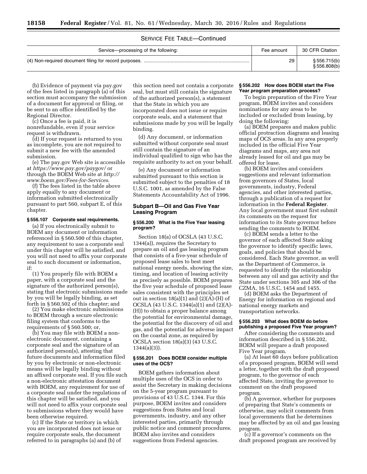# SERVICE FEE TABLE—Continued

| Service—processing of the following: | Fee amount | 30 CFR Citation              |
|--------------------------------------|------------|------------------------------|
|                                      | 29         | \$556.715(b)<br>\$556.808(b) |

(b) Evidence of payment via pay.gov of the fees listed in paragraph (a) of this section must accompany the submission of a document for approval or filing, or be sent to an office identified by the Regional Director.

(c) Once a fee is paid, it is nonrefundable, even if your service request is withdrawn.

(d) If your request is returned to you as incomplete, you are not required to submit a new fee with the amended submission.

(e) The pay.gov Web site is accessible at *<https://www.pay.gov/paygov/>*or through the BOEM Web site at *[http://](http://www.boem.gov/Fees-for-Services) [www.boem.gov/Fees-for-Services](http://www.boem.gov/Fees-for-Services)*.

(f) The fees listed in the table above apply equally to any document or information submitted electronically pursuant to part 560, subpart E, of this chapter.

# **§ 556.107 Corporate seal requirements.**

(a) If you electronically submit to BOEM any document or information referenced in § 560.500 of this chapter, any requirement to use a corporate seal under this chapter will be satisfied, and you will not need to affix your corporate seal to such document or information, if:

(1) You properly file with BOEM a paper, with a corporate seal and the signature of the authorized person(s), stating that electronic submissions made by you will be legally binding, as set forth in § 560.502 of this chapter; and

(2) You make electronic submissions to BOEM through a secure electronic filing system that conforms to the requirements of § 560.500; or,

(b) You may file with BOEM a nonelectronic document, containing a corporate seal and the signature of an authorized person(s), attesting that future documents and information filed by you by electronic or non-electronic means will be legally binding without an affixed corporate seal. If you file such a non-electronic attestation document with BOEM, any requirement for use of a corporate seal under the regulations of this chapter will be satisfied, and you will not need to affix your corporate seal to submissions where they would have been otherwise required.

(c) If the State or territory in which you are incorporated does not issue or require corporate seals, the document referred to in paragraphs (a) and (b) of

this section need not contain a corporate seal, but must still contain the signature of the authorized person(s), a statement that the State in which you are incorporated does not issue or require corporate seals, and a statement that submissions made by you will be legally binding.

(d) Any document, or information submitted without corporate seal must still contain the signature of an individual qualified to sign who has the requisite authority to act on your behalf.

(e) Any document or information submitted pursuant to this section is submitted subject to the penalties of 18 U.S.C. 1001, as amended by the False Statements Accountability Act of 1996.

# **Subpart B—Oil and Gas Five Year Leasing Program**

### **§ 556.200 What is the Five Year leasing program?**

Section 18(a) of OCSLA (43 U.S.C. 1344(a)), requires the Secretary to prepare an oil and gas leasing program that consists of a five-year schedule of proposed lease sales to best meet national energy needs, showing the size, timing, and location of leasing activity as precisely as possible. BOEM prepares the five year schedule of proposed lease sales consistent with the principles set out in section  $18(a)(1)$  and  $(2)(A)-(H)$  of OCSLA (43 U.S.C. 1344(a)(1) and (2)(A)- (H)) to obtain a proper balance among the potential for environmental damage, the potential for the discovery of oil and gas, and the potential for adverse impact on the coastal zone, as required by OCSLA section 18(a)(3) (43 U.S.C. 1344(a)(3)).

### **§ 556.201 Does BOEM consider multiple uses of the OCS?**

BOEM gathers information about multiple uses of the OCS in order to assist the Secretary in making decisions on the 5-year program pursuant to provisions of 43 U.S.C. 1344. For this purpose, BOEM invites and considers suggestions from States and local governments, industry, and any other interested parties, primarily through public notice and comment procedures. BOEM also invites and considers suggestions from Federal agencies.

### **§ 556.202 How does BOEM start the Five Year program preparation process?**

To begin preparation of the Five Year program, BOEM invites and considers nominations for any areas to be included or excluded from leasing, by doing the following:

(a) BOEM prepares and makes public official protraction diagrams and leasing maps of OCS areas. In any area properly included in the official Five Year diagrams and maps, any area not already leased for oil and gas may be offered for lease.

(b) BOEM invites and considers suggestions and relevant information from governors of States, local governments, industry, Federal agencies, and other interested parties, through a publication of a request for information in the **Federal Register**. Any local government must first submit its comments on the request for information to its State governor before sending the comments to BOEM.

(c) BOEM sends a letter to the governor of each affected State asking the governor to identify specific laws, goals, and policies that should be considered. Each State governor, as well as the Department of Commerce, is requested to identify the relationship between any oil and gas activity and the State under sections 305 and 306 of the CZMA, 16 U.S.C. 1454 and 1455.

(d) BOEM asks the Department of Energy for information on regional and national energy markets and transportation networks.

### **§ 556.203 What does BOEM do before publishing a proposed Five Year program?**

After considering the comments and information described in § 556.202, BOEM will prepare a draft proposed Five Year program.

(a) At least 60 days before publication of a proposed program, BOEM will send a letter, together with the draft proposed program, to the governor of each affected State, inviting the governor to comment on the draft proposed program.

(b) A governor, whether for purposes of preparing that State's comments or otherwise, may solicit comments from local governments that he determines may be affected by an oil and gas leasing program.

(c) If a governor's comments on the draft proposed program are received by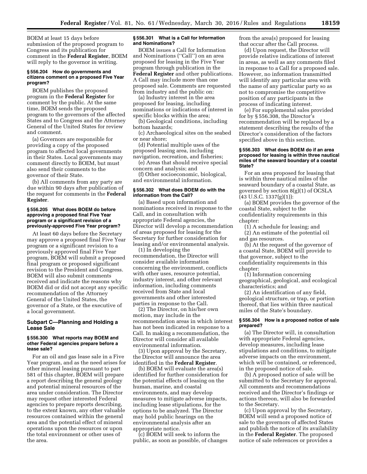BOEM at least 15 days before submission of the proposed program to Congress and its publication for comment in the **Federal Register**, BOEM will reply to the governor in writing.

### **§ 556.204 How do governments and citizens comment on a proposed Five Year program?**

BOEM publishes the proposed program in the **Federal Register** for comment by the public. At the same time, BOEM sends the proposed program to the governors of the affected States and to Congress and the Attorney General of the United States for review and comment.

(a) Governors are responsible for providing a copy of the proposed program to affected local governments in their States. Local governments may comment directly to BOEM, but must also send their comments to the governor of their State.

(b) All comments from any party are due within 90 days after publication of the request for comments in the **Federal Register**.

### **§ 556.205 What does BOEM do before approving a proposed final Five Year program or a significant revision of a previously-approved Five Year program?**

At least 60 days before the Secretary may approve a proposed final Five Year program or a significant revision to a previously approved final Five Year program, BOEM will submit a proposed final program or proposed significant revision to the President and Congress. BOEM will also submit comments received and indicate the reasons why BOEM did or did not accept any specific recommendation of the Attorney General of the United States, the governor of a State, or the executive of a local government.

### **Subpart C—Planning and Holding a Lease Sale**

### **§ 556.300 What reports may BOEM and other Federal agencies prepare before a lease sale?**

For an oil and gas lease sale in a Five Year program, and as the need arises for other mineral leasing pursuant to part 581 of this chapter, BOEM will prepare a report describing the general geology and potential mineral resources of the area under consideration. The Director may request other interested Federal agencies to prepare reports describing, to the extent known, any other valuable resources contained within the general area and the potential effect of mineral operations upon the resources or upon the total environment or other uses of the area.

### **§ 556.301 What is a Call for Information and Nominations?**

BOEM issues a Call for Information and Nominations (''Call'') on an area proposed for leasing in the Five Year program through publication in the **Federal Register** and other publications. A Call may include more than one proposed sale. Comments are requested from industry and the public on:

(a) Industry interest in the area proposed for leasing, including nominations or indications of interest in specific blocks within the area;

(b) Geological conditions, including bottom hazards;

(c) Archaeological sites on the seabed or near shore;

(d) Potential multiple uses of the proposed leasing area, including navigation, recreation, and fisheries;

(e) Areas that should receive special concern and analysis; and

(f) Other socioeconomic, biological, and environmental information.

### **§ 556.302 What does BOEM do with the information from the Call?**

(a) Based upon information and nominations received in response to the Call, and in consultation with appropriate Federal agencies, the Director will develop a recommendation of areas proposed for leasing for the Secretary for further consideration for leasing and/or environmental analysis.

(1) In developing the recommendation, the Director will consider available information concerning the environment, conflicts with other uses, resource potential, industry interest, and other relevant information, including comments received from State and local governments and other interested parties in response to the Call.

(2) The Director, on his/her own motion, may include in the recommendation areas in which interest has not been indicated in response to a Call. In making a recommendation, the Director will consider all available environmental information.

(3) Upon approval by the Secretary, the Director will announce the area identified in the **Federal Register**.

(b) BOEM will evaluate the area(s) identified for further consideration for the potential effects of leasing on the human, marine, and coastal environments, and may develop measures to mitigate adverse impacts, including lease stipulations, for the options to be analyzed. The Director may hold public hearings on the environmental analysis after an appropriate notice.

(c) BOEM will seek to inform the public, as soon as possible, of changes from the area(s) proposed for leasing that occur after the Call process.

(d) Upon request, the Director will provide relative indications of interest in areas, as well as any comments filed in response to a Call for a proposed sale. However, no information transmitted will identify any particular area with the name of any particular party so as not to compromise the competitive position of any participants in the process of indicating interest.

(e) For supplemental sales provided for by § 556.308, the Director's recommendation will be replaced by a statement describing the results of the Director's consideration of the factors specified above in this section.

### **§ 556.303 What does BOEM do if an area proposed for leasing is within three nautical miles of the seaward boundary of a coastal State?**

For an area proposed for leasing that is within three nautical miles of the seaward boundary of a coastal State, as governed by section 8(g)(1) of OCSLA (43 U.S.C. 1337(g)(1)):

(a) BOEM provides the governor of the coastal State, subject to the confidentiality requirements in this chapter:

(1) A schedule for leasing; and

(2) An estimate of the potential oil and gas resources.

(b) At the request of the governor of a coastal State, BOEM will provide to that governor, subject to the confidentiality requirements in this chapter:

(1) Information concerning geographical, geological, and ecological characteristics; and

(2) An identification of any field, geological structure, or trap, or portion thereof, that lies within three nautical miles of the State's boundary.

### **§ 556.304 How is a proposed notice of sale prepared?**

(a) The Director will, in consultation with appropriate Federal agencies, develop measures, including lease stipulations and conditions, to mitigate adverse impacts on the environment, which will be contained, or referenced, in the proposed notice of sale.

(b) A proposed notice of sale will be submitted to the Secretary for approval. All comments and recommendations received and the Director's findings or actions thereon, will also be forwarded to the Secretary.

(c) Upon approval by the Secretary, BOEM will send a proposed notice of sale to the governors of affected States and publish the notice of its availability in the **Federal Register**. The proposed notice of sale references or provides a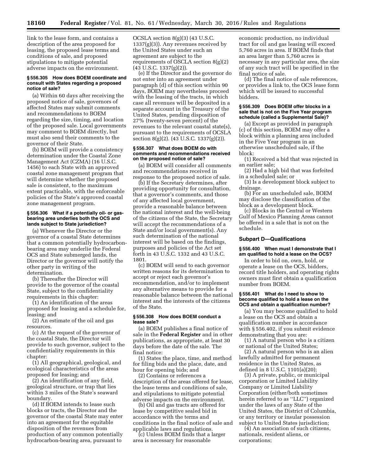link to the lease form, and contains a description of the area proposed for leasing, the proposed lease terms and conditions of sale, and proposed stipulations to mitigate potential adverse impacts on the environment.

### **§ 556.305 How does BOEM coordinate and consult with States regarding a proposed notice of sale?**

(a) Within 60 days after receiving the proposed notice of sale, governors of affected States may submit comments and recommendations to BOEM regarding the size, timing, and location of the proposed sale. Local governments may comment to BOEM directly, but must also send their comments to the governor of their State.

(b) BOEM will provide a consistency determination under the Coastal Zone Management Act (CZMA) (16 U.S.C. 1456) to each State with an approved coastal zone management program that will determine whether the proposed sale is consistent, to the maximum extent practicable, with the enforceable policies of the State's approved coastal zone management program.

### **§ 556.306 What if a potentially oil- or gasbearing area underlies both the OCS and lands subject to State jurisdiction?**

(a) Whenever the Director or the governor of a coastal State determines that a common potentially hydrocarbonbearing area may underlie the Federal OCS and State submerged lands, the Director or the governor will notify the other party in writing of the determination.

(b) Thereafter the Director will provide to the governor of the coastal State, subject to the confidentiality requirements in this chapter:

(1) An identification of the areas proposed for leasing and a schedule for, leasing; and

(2) An estimate of the oil and gas resources.

(c) At the request of the governor of the coastal State, the Director will provide to such governor, subject to the confidentiality requirements in this chapter:

(1) All geographical, geological, and ecological characteristics of the areas proposed for leasing; and

(2) An identification of any field, geological structure, or trap that lies within 3 miles of the State's seaward boundary.

(d) If BOEM intends to lease such blocks or tracts, the Director and the governor of the coastal State may enter into an agreement for the equitable disposition of the revenues from production of any common potentially hydrocarbon-bearing area, pursuant to

OCSLA section 8(g)(3) (43 U.S.C. 1337(g)(3)). Any revenues received by the United States under such an agreement are subject to the requirements of OSCLA section 8(g)(2) (43 U.S.C. 1337(g)(2)).

(e) If the Director and the governor do not enter into an agreement under paragraph (d) of this section within 90 days, BOEM may nevertheless proceed with the leasing of the tracts, in which case all revenues will be deposited in a separate account in the Treasury of the United States, pending disposition of 27% (twenty-seven percent) of the revenues to the relevant coastal state(s), pursuant to the requirements of OCSLA section 8(g)(2). (43 U.S.C. 1337(g)(2)).

### **§ 556.307 What does BOEM do with comments and recommendations received on the proposed notice of sale?**

(a) BOEM will consider all comments and recommendations received in response to the proposed notice of sale.

(b) If the Secretary determines, after providing opportunity for consultation, that a governor's comments, and those of any affected local government, provide a reasonable balance between the national interest and the well-being of the citizens of the State, the Secretary will accept the recommendations of a State and/or local government(s). Any such determination of the national interest will be based on the findings, purposes and policies of the Act set forth in 43 U.S.C. 1332 and 43 U.S.C. 1801.

(c) BOEM will send to each governor written reasons for its determination to accept or reject each governor's recommendation, and/or to implement any alternative means to provide for a reasonable balance between the national interest and the interests of the citizens of the State.

# **§ 556.308 How does BOEM conduct a lease sale?**

(a) BOEM publishes a final notice of sale in the **Federal Register** and in other publications, as appropriate, at least 30 days before the date of the sale. The final notice:

(1) States the place, time, and method for filing bids and the place, date, and hour for opening bids; and

(2) Contains or references a description of the areas offered for lease, the lease terms and conditions of sale, and stipulations to mitigate potential adverse impacts on the environment.

(b) Oil and gas tracts are offered for lease by competitive sealed bid in accordance with the terms and conditions in the final notice of sale and applicable laws and regulations.

(c) Unless BOEM finds that a larger area is necessary for reasonable

economic production, no individual tract for oil and gas leasing will exceed 5,760 acres in area. If BOEM finds that an area larger than 5,760 acres is necessary in any particular area, the size of any such tract will be specified in the final notice of sale.

(d) The final notice of sale references, or provides a link to, the OCS lease form which will be issued to successful bidders.

# **§ 556.309 Does BOEM offer blocks in a sale that is not on the Five Year program schedule (called a Supplemental Sale)?**

(a) Except as provided in paragraph (c) of this section, BOEM may offer a block within a planning area included in the Five Year program in an otherwise unscheduled sale, if the block:

(1) Received a bid that was rejected in an earlier sale;

(2) Had a high bid that was forfeited in a scheduled sale; or

(3) Is a development block subject to drainage.

(b) For an unscheduled sale, BOEM may disclose the classification of the block as a development block.

(c) Blocks in the Central or Western Gulf of Mexico Planning Areas cannot be offered in a sale that is not on the schedule.

# **Subpart D—Qualifications**

### **§ 556.400 When must I demonstrate that I am qualified to hold a lease on the OCS?**

In order to bid on, own, hold, or operate a lease on the OCS, bidders, record title holders, and operating rights owners must first obtain a qualification number from BOEM.

### **§ 556.401 What do I need to show to become qualified to hold a lease on the OCS and obtain a qualification number?**

(a) You may become qualified to hold a lease on the OCS and obtain a qualification number in accordance with § 556.402, if you submit evidence demonstrating that you are:

(1) A natural person who is a citizen or national of the United States;

(2) A natural person who is an alien lawfully admitted for permanent residence in the United States, as defined in 8 U.S.C. 1101(a)(20);

(3) A private, public, or municipal corporation or Limited Liability Company or Limited Liability Corporation (either/both sometimes herein referred to as ''LLC'') organized under the laws of any State of the United States, the District of Columbia, or any territory or insular possession subject to United States jurisdiction;

(4) An association of such citizens, nationals, resident aliens, or corporations;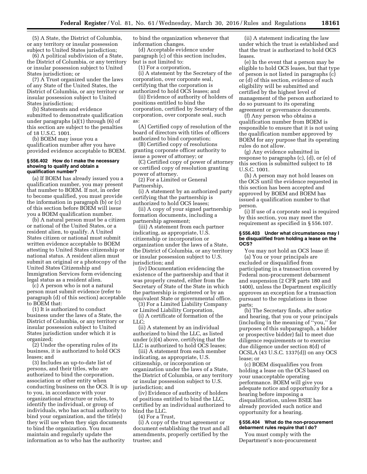(5) A State, the District of Columbia, or any territory or insular possession subject to United States jurisdiction;

(6) A political subdivision of a State, the District of Columbia, or any territory or insular possession subject to United States jurisdiction; or

(7) A Trust organized under the laws of any State of the United States, the District of Columbia, or any territory or insular possession subject to United States jurisdiction;

(b) Statements and evidence submitted to demonstrate qualification under paragraphs (a)(1) through (6) of this section are subject to the penalties of 18 U.S.C. 1001.

(b) BOEM may issue you a qualification number after you have provided evidence acceptable to BOEM.

### **§ 556.402 How do I make the necessary showing to qualify and obtain a qualification number?**

(a) If BOEM has already issued you a qualification number, you may present that number to BOEM. If not, in order to become qualified, you must provide the information in paragraph (b) or (c) of this section before BOEM will issue you a BOEM qualification number.

(b) A natural person must be a citizen or national of the United States, or a resident alien, to qualify. A United States citizen or national must submit written evidence acceptable to BOEM attesting to United States citizenship or national status. A resident alien must submit an original or a photocopy of the United States Citizenship and Immigration Services form evidencing legal status as a resident alien.

(c) A person who is not a natural person must submit evidence (refer to paragraph (d) of this section) acceptable to BOEM that:

(1) It is authorized to conduct business under the laws of a State, the District of Columbia, or any territory or insular possession subject to United States jurisdiction under which it is organized;

(2) Under the operating rules of its business, it is authorized to hold OCS leases; and

(3) Includes an up-to-date list of persons, and their titles, who are authorized to bind the corporation, association or other entity when conducting business on the OCS. It is up to you, in accordance with your organizational structure or rules, to identify the individual, or group of individuals, who has actual authority to bind your organization, and the title(s) they will use when they sign documents to bind the organization. You must maintain and regularly update the information as to who has the authority

to bind the organization whenever that information changes.

(d) Acceptable evidence under paragraph (c) of this section includes, but is not limited to:

(1) For a corporation,

(i) A statement by the Secretary of the corporation, over corporate seal, certifying that the corporation is authorized to hold OCS leases; and

(ii) Evidence of authority of holders of positions entitled to bind the corporation, certified by Secretary of the corporation, over corporate seal, such as:

(A) Certified copy of resolution of the board of directors with titles of officers authorized to bind corporation;

(B) Certified copy of resolutions granting corporate officer authority to issue a power of attorney; or

(C) Certified copy of power of attorney or certified copy of resolution granting power of attorney.

(2) For a Limited or General Partnership,

(i) A statement by an authorized party certifying that the partnership is authorized to hold OCS leases;

(ii) A copy of your signed partnership formation documents, including a partnership agreement;

(iii) A statement from each partner indicating, as appropriate, U.S. citizenship or incorporation or organization under the laws of a State, the District of Columbia, or any territory or insular possession subject to U.S. jurisdiction; and

(iv) Documentation evidencing the existence of the partnership and that it was properly created, either from the Secretary of State of the State in which the partnership is registered or by an equivalent State or governmental office.

(3) For a Limited Liability Company or Limited Liability Corporation,

(i) A certificate of formation of the LLC;

(ii) A statement by an individual authorized to bind the LLC, as listed under (c)(4) above, certifying that the LLC is authorized to hold OCS leases;

(iii) A statement from each member indicating, as appropriate, U.S. citizenship, or incorporation or organization under the laws of a State, the District of Columbia, or any territory or insular possession subject to U.S. jurisdiction; and

(iv) Evidence of authority of holders of positions entitled to bind the LLC, certified by an individual authorized to bind the LLC.

(4) For a Trust,

(i) A copy of the trust agreement or document establishing the trust and all amendments, properly certified by the trustee; and

(ii) A statement indicating the law under which the trust is established and that the trust is authorized to hold OCS leases.

(e) In the event that a person may be eligible to hold OCS leases, but that type of person is not listed in paragraphs (c) or (d) of this section, evidence of such eligibility will be submitted and certified by the highest level of management of the person authorized to do so pursuant to its operating agreement or governance documents.

(f) Any person who obtains a qualification number from BOEM is responsible to ensure that it is not using the qualification number approved by BOEM for any purpose that its operating rules do not allow.

(g) Any evidence submitted in response to paragraphs (c), (d), or (e) of this section is submitted subject to 18 U.S.C. 1001.

(h) A person may not hold leases on the OCS until the evidence requested in this section has been accepted and approved by BOEM and BOEM has issued a qualification number to that person.

(i) If use of a corporate seal is required by this section, you may meet the requirement as specified in § 556.107.

### **§ 556.403 Under what circumstances may I be disqualified from holding a lease on the OCS?**

You may not hold an OCS lease if: (a) You or your principals are excluded or disqualified from participating in a transaction covered by Federal non-procurement debarment and suspension (2 CFR parts 180 and 1400), unless the Department explicitly approves an exception for a transaction pursuant to the regulations in those parts;

(b) The Secretary finds, after notice and hearing, that you or your principals (including in the meaning of ''you,'' for purposes of this subparagraph, a bidder or prospective bidder) fail to meet due diligence requirements or to exercise due diligence under section 8(d) of OCSLA (43 U.S.C. 1337(d)) on any OCS lease; or

(c) BOEM disqualifies you from holding a lease on the OCS based on your unacceptable operating performance. BOEM will give you adequate notice and opportunity for a hearing before imposing a disqualification, unless BSEE has already provided such notice and opportunity for a hearing.

### **§ 556.404 What do the non-procurement debarment rules require that I do?**

You must comply with the Department's non-procurement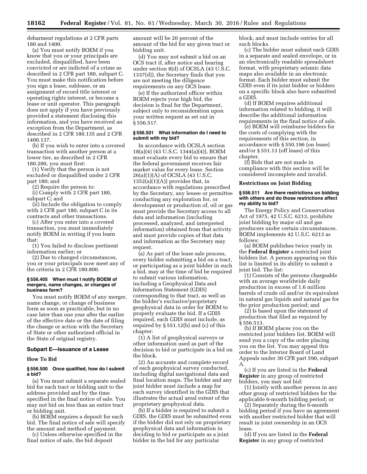debarment regulations at 2 CFR parts 180 and 1400.

(a) You must notify BOEM if you know that you or your principals are excluded, disqualified, have been convicted or are indicted of a crime as described in 2 CFR part 180, subpart C. You must make this notification before you sign a lease, sublease, or an assignment of record title interest or operating rights interest, or become a lease or unit operator. This paragraph does not apply if you have previously provided a statement disclosing this information, and you have received an exception from the Department, as described in 2 CFR 180.135 and 2 CFR 1400.137.

(b) If you wish to enter into a covered transaction with another person at a lower tier, as described in 2 CFR 180.200, you must first:

(1) Verify that the person is not excluded or disqualified under 2 CFR part 180; and

(2) Require the person to:

(i) Comply with 2 CFR part 180, subpart C; and

(ii) Include the obligation to comply with 2 CFR part 180, subpart C in its contracts and other transactions.

(c) After you enter into a covered transaction, you must immediately notify BOEM in writing if you learn that:

(1) You failed to disclose pertinent information earlier; or

(2) Due to changed circumstances, you or your principals now meet any of the criteria in 2 CFR 180.800.

### **§ 556.405 When must I notify BOEM of mergers, name changes, or changes of business form?**

You must notify BOEM of any merger, name change, or change of business form as soon as practicable, but in no case later than one year after the earlier of the effective date or the date of filing the change or action with the Secretary of State or other authorized official in the State of original registry.

### **Subpart E—Issuance of a Lease**

### **How To Bid**

### **§ 556.500 Once qualified, how do I submit a bid?**

(a) You must submit a separate sealed bid for each tract or bidding unit to the address provided and by the time specified in the final notice of sale. You may not bid on less than an entire tract or bidding unit.

(b) BOEM requires a deposit for each bid. The final notice of sale will specify the amount and method of payment.

(c) Unless otherwise specified in the final notice of sale, the bid deposit

amount will be 20 percent of the amount of the bid for any given tract or bidding unit.

(d) You may not submit a bid on an OCS tract if, after notice and hearing under section 8(d) of OCSLA (43 U.S.C. 1337(d)), the Secretary finds that you are not meeting the diligence requirements on any OCS lease.

(e) If the authorized officer within BOEM rejects your high bid, the decision is final for the Department, subject only to reconsideration upon your written request as set out in § 556.517.

# **§ 556.501 What information do I need to submit with my bid?**

In accordance with OCSLA section 18(a)(4) (43 U.S.C. 1344(a)(4)), BOEM must evaluate every bid to ensure that the federal government receives fair market value for every lease. Section 26(a)(1)(A) of OCSLA (43 U.S.C.  $1352(a)(1)(A)$  provides that, in accordance with regulations prescribed by the Secretary, any lessee or permittee conducting any exploration for, or development or production of, oil or gas must provide the Secretary access to all data and information (including processed, analyzed, and interpreted information) obtained from that activity and must provide copies of that data and information as the Secretary may request.

(a) As part of the lease sale process, every bidder submitting a bid on a tract, or participating as a joint bidder in such a bid, may at the time of bid be required to submit various information, including a Geophysical Data and Information Statement (GDIS) corresponding to that tract, as well as the bidder's exclusive/proprietary geophysical data in order for BOEM to properly evaluate the bid. If a GDIS required, each GDIS must include, as required by § 551.12(b) and (c) of this chapter:

(1) A list of geophysical surveys or other information used as part of the decision to bid or participate in a bid on the block.

(2) An accurate and complete record of each geophysical survey conducted, including digital navigational data and final location maps. The bidder and any joint bidder must include a map for each survey identified in the GDIS that illustrates the actual areal extent of the proprietary geophysical data.

(b) If a bidder is required to submit a GDIS, the GDIS must be submitted even if the bidder did not rely on proprietary geophysical data and information in deciding to bid or participate as a joint bidder in the bid for any particular

block, and must include entries for all such blocks.

(c) The bidder must submit each GDIS in a separate and sealed envelope, or in an electronically readable spreadsheet format, with proprietary seismic data maps also available in an electronic format. Each bidder must submit the GDIS even if its joint bidder or bidders on a specific block also have submitted a GDIS.

(d) If BOEM requires additional information related to bidding, it will describe the additional information requirements in the final notice of sale.

(e) BOEM will reimburse bidders for the costs of complying with the requirements of this section, in accordance with § 550.196 (on lease) and/or § 551.13 (off lease) of this chapter.

(f) Bids that are not made in compliance with this section will be considered incomplete and invalid.

### **Restrictions on Joint Bidding**

### **§ 556.511 Are there restrictions on bidding with others and do those restrictions affect my ability to bid?**

The Energy Policy and Conservation Act of 1975, 42 U.S.C. 6213, prohibits joint bidding by major oil and gas producers under certain circumstances. BOEM implements 42 U.S.C. 6213 as follows:

(a) BOEM publishes twice yearly in the **Federal Register** a restricted joint bidders list. A person appearing on this list is limited in its ability to submit a joint bid. The list:

(1) Consists of the persons chargeable with an average worldwide daily production in excess of 1.6 million barrels of crude oil and/or its equivalent in natural gas liquids and natural gas for the prior production period; and

(2) Is based upon the statement of production that filed as required by § 556.513.

(b) If BOEM places you on the restricted joint bidders list, BOEM will send you a copy of the order placing you on the list. You may appeal this order to the Interior Board of Land Appeals under 30 CFR part 590, subpart A.

(c) If you are listed in the **Federal Register** in any group of restricted bidders, you may not bid:

(1) Jointly with another person in any other group of restricted bidders for the applicable 6-month bidding period; or

(2) Separately during the 6-month bidding period if you have an agreement with another restricted bidder that will result in joint ownership in an OCS lease.

(d) If you are listed in the **Federal Register** in any group of restricted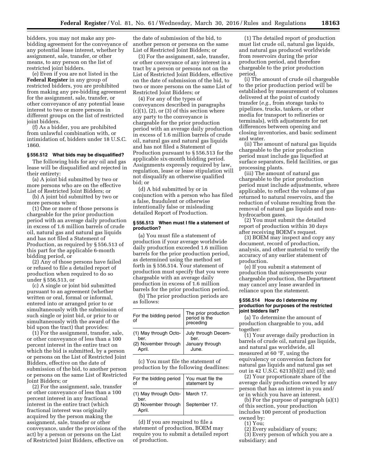bidders, you may not make any prebidding agreement for the conveyance of any potential lease interest, whether by assignment, sale, transfer, or other means, to any person on the list of restricted joint bidders.

(e) Even if you are not listed in the **Federal Register** in any group of restricted bidders, you are prohibited from making any pre-bidding agreement for the assignment, sale, transfer, or other conveyance of any potential lease interest to two or more persons in different groups on the list of restricted joint bidders.

(f) As a bidder, you are prohibited from unlawful combination with, or intimidation of, bidders under 18 U.S.C. 1860.

### **§ 556.512 What bids may be disqualified?**

The following bids for any oil and gas lease will be disqualified and rejected in their entirety:

(a) A joint bid submitted by two or more persons who are on the effective List of Restricted Joint Bidders; or

(b) A joint bid submitted by two or more persons when:

(1) One or more of those persons is chargeable for the prior production period with an average daily production in excess of 1.6 million barrels of crude oil, natural gas and natural gas liquids and has not filed a Statement of Production, as required by § 556.513 of this part for the applicable 6-month bidding period, or

(2) Any of those persons have failed or refused to file a detailed report of production when required to do so under § 556.513, or

(c) A single or joint bid submitted pursuant to an agreement (whether written or oral, formal or informal, entered into or arranged prior to or simultaneously with the submission of such single or joint bid, or prior to or simultaneously with the award of the bid upon the tract) that provides:

(1) For the assignment, transfer, sale, or other conveyance of less than a 100 percent interest in the entire tract on which the bid is submitted, by a person or persons on the List of Restricted Joint Bidders, effective on the date of submission of the bid, to another person or persons on the same List of Restricted Joint Bidders; or

(2) For the assignment, sale, transfer or other conveyance of less than a 100 percent interest in any fractional interest in the entire tract (which fractional interest was originally acquired by the person making the assignment, sale, transfer or other conveyance, under the provisions of the act) by a person or persons on the List of Restricted Joint Bidders, effective on

the date of submission of the bid, to another person or persons on the same List of Restricted Joint Bidders; or

(3) For the assignment, sale, transfer, or other conveyance of any interest in a tract by a person or persons not on the List of Restricted Joint Bidders, effective on the date of submission of the bid, to two or more persons on the same List of Restricted Joint Bidders; or

(4) For any of the types of conveyances described in paragraphs  $(c)(1)$ ,  $(2)$ , or  $(3)$  of this section where any party to the conveyance is chargeable for the prior production period with an average daily production in excess of 1.6 million barrels of crude oil, natural gas and natural gas liquids and has not filed a Statement of Production pursuant to § 556.513 for the applicable six-month bidding period. Assignments expressly required by law, regulation, lease or lease stipulation will not disqualify an otherwise qualified bid; or

(d) A bid submitted by or in conjunction with a person who has filed a false, fraudulent or otherwise intentionally false or misleading detailed Report of Production.

### **§ 556.513 When must I file a statement of production?**

(a) You must file a statement of production if your average worldwide daily production exceeded 1.6 million barrels for the prior production period, as determined using the method set forth in  $\S 556.514$ . Your statement of production must specify that you were chargeable with an average daily production in excess of 1.6 million barrels for the prior production period.

(b) The prior production periods are as follows:

| For the bidding period<br>of                                    | The prior production<br>period is the<br>preceding      |
|-----------------------------------------------------------------|---------------------------------------------------------|
| (1) May through Octo-<br>her.<br>(2) November through<br>April. | July through Decem-<br>her.<br>January through<br>June. |

(c) You must file the statement of production by the following deadlines:

| For the bidding period $\left  \begin{array}{c} \text{You must file the} \\ \text{statement by} \end{array} \right $ |  |
|----------------------------------------------------------------------------------------------------------------------|--|
| (1) May through Octo-   March 17.<br>ber.<br>(2) November through   September 17.<br>April.                          |  |
|                                                                                                                      |  |

(d) If you are required to file a statement of production, BOEM may require you to submit a detailed report of production.

(1) The detailed report of production must list crude oil, natural gas liquids, and natural gas produced worldwide from reservoirs during the prior production period, and therefore chargeable to the prior production period.

(i) The amount of crude oil chargeable to the prior production period will be established by measurement of volumes delivered at the point of custody transfer (*e.g.,* from storage tanks to pipelines, trucks, tankers, or other media for transport to refineries or terminals), with adjustments for net differences between opening and closing inventories, and basic sediment and water.

(ii) The amount of natural gas liquids chargeable to the prior production period must include gas liquefied at surface separators, field facilities, or gas processing plants.

(iii) The amount of natural gas chargeable to the prior production period must include adjustments, where applicable, to reflect the volume of gas returned to natural reservoirs, and the reduction of volume resulting from the removal of natural gas liquids and nonhydrocarbon gases.

(2) You must submit the detailed report of production within 30 days after receiving BOEM's request.

(3) BOEM may inspect and copy any document, record of production, analysis, and other material to verify the accuracy of any earlier statement of production.

(e) If you submit a statement of production that misrepresents your chargeable production, the Department may cancel any lease awarded in reliance upon the statement.

### **§ 556.514 How do I determine my production for purposes of the restricted joint bidders list?**

(a) To determine the amount of production chargeable to you, add together:

(1) Your average daily production in barrels of crude oil, natural gas liquids, and natural gas worldwide, all measured at 60 °F, using the equivalency or conversion factors for natural gas liquids and natural gas set out in 42 U.S.C. 6213(b)(2) and (3); and

(2) Your proportionate share of the average daily production owned by any person that has an interest in you and/ or in which you have an interest.

(b) For the purpose of paragraph (a)(1) of this section, your production includes 100 percent of production owned by:

- (1) You;
- (2) Every subsidiary of yours;

(3) Every person of which you are a subsidiary; and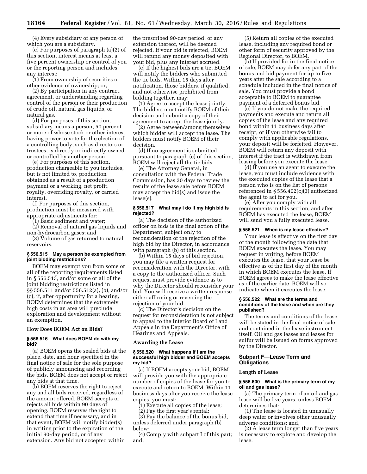(4) Every subsidiary of any person of which you are a subsidiary.

(c) For purposes of paragraph (a)(2) of this section, interest means at least a five percent ownership or control of you or the reporting person and includes any interest:

(1) From ownership of securities or other evidence of ownership; or,

(2) By participation in any contract, agreement, or understanding regarding control of the person or their production of crude oil, natural gas liquids, or natural gas.

(d) For purposes of this section, subsidiary means a person, 50 percent or more of whose stock or other interest having power to vote for the election of a controlling body, such as directors or trustees, is directly or indirectly owned or controlled by another person.

(e) For purposes of this section, production chargeable to you includes, but is not limited to, production obtained as a result of a production payment or a working, net profit, royalty, overriding royalty, or carried interest.

(f) For purposes of this section, production must be measured with appropriate adjustments for:

(1) Basic sediment and water;

(2) Removal of natural gas liquids and non-hydrocarbon gases; and

(3) Volume of gas returned to natural reservoirs.

### **§ 556.515 May a person be exempted from joint bidding restrictions?**

BOEM may exempt you from some or all of the reporting requirements listed in § 556.513, and/or some or all of the joint bidding restrictions listed in §§ 556.511 and/or 556.512(a), (b), and/or (c), if, after opportunity for a hearing, BOEM determines that the extremely high costs in an area will preclude exploration and development without an exemption.

# **How Does BOEM Act on Bids?**

### **§ 556.516 What does BOEM do with my bid?**

(a) BOEM opens the sealed bids at the place, date, and hour specified in the final notice of sale for the sole purpose of publicly announcing and recording the bids. BOEM does not accept or reject any bids at that time.

(b) BOEM reserves the right to reject any and all bids received, regardless of the amount offered. BOEM accepts or rejects all bids within 90 days of opening. BOEM reserves the right to extend that time if necessary, and in that event, BOEM will notify bidder(s) in writing prior to the expiration of the initial 90-day period, or of any extension. Any bid not accepted within

the prescribed 90-day period, or any extension thereof, will be deemed rejected. If your bid is rejected, BOEM will refund any money deposited with your bid, plus any interest accrued.

(c) If the highest bids are a tie, BOEM will notify the bidders who submitted the tie bids. Within 15 days after notification, those bidders, if qualified, and not otherwise prohibited from bidding together, may:

(1) Agree to accept the lease jointly. The bidders must notify BOEM of their decision and submit a copy of their agreement to accept the lease jointly.

(2) Agree between/among themselves which bidder will accept the lease. The bidders must notify BOEM of their decision.

(d) If no agreement is submitted pursuant to paragraph (c) of this section, BOEM will reject all the tie bids.

(e) The Attorney General, in consultation with the Federal Trade Commission, has 30 days to review the results of the lease sale before BOEM may accept the bid(s) and issue the lease(s).

### **§ 556.517 What may I do if my high bid is rejected?**

(a) The decision of the authorized officer on bids is the final action of the Department, subject only to reconsideration of the rejection of the high bid by the Director, in accordance with paragraph (b) of this section.

(b) Within 15 days of bid rejection, you may file a written request for reconsideration with the Director, with a copy to the authorized officer. Such request must provide evidence as to why the Director should reconsider your bid. You will receive a written response either affirming or reversing the rejection of your bid.

(c) The Director's decision on the request for reconsideration is not subject to appeal to the Interior Board of Land Appeals in the Department's Office of Hearings and Appeals.

### **Awarding the Lease**

### **§ 556.520 What happens if I am the successful high bidder and BOEM accepts my bid?**

(a) If BOEM accepts your bid, BOEM will provide you with the appropriate number of copies of the lease for you to execute and return to BOEM. Within 11 business days after you receive the lease copies, you must:

(1) Execute all copies of the lease;

(2) Pay the first year's rental;

(3) Pay the balance of the bonus bid, unless deferred under paragraph (b) below;

(4) Comply with subpart I of this part; and,

(5) Return all copies of the executed lease, including any required bond or other form of security approved by the Regional Director, to BOEM.

(b) If provided for in the final notice of sale, BOEM may defer any part of the bonus and bid payment for up to five years after the sale according to a schedule included in the final notice of sale. You must provide a bond acceptable to BOEM to guarantee payment of a deferred bonus bid.

(c) If you do not make the required payments and execute and return all copies of the lease and any required bond within 11 business days after receipt, or if you otherwise fail to comply with applicable regulations, your deposit will be forfeited. However, BOEM will return any deposit with interest if the tract is withdrawn from leasing before you execute the lease.

(d) If you use an agent to execute the lease, you must include evidence with the executed copies of the lease that a person who is on the list of persons referenced in § 556.402(c)(3) authorized the agent to act for you.

(e) After you comply with all requirements in this section, and after BOEM has executed the lease, BOEM will send you a fully executed lease.

### **§ 556.521 When is my lease effective?**

Your lease is effective on the first day of the month following the date that BOEM executes the lease. You may request in writing, before BOEM executes the lease, that your lease be effective as of the first day of the month in which BOEM executes the lease. If BOEM agrees to make the lease effective as of the earlier date, BOEM will so indicate when it executes the lease.

### **§ 556.522 What are the terms and conditions of the lease and when are they published?**

The terms and conditions of the lease will be stated in the final notice of sale and contained in the lease instrument itself. Oil and gas leases and leases for sulfur will be issued on forms approved by the Director.

### **Subpart F—Lease Term and Obligations**

### **Length of Lease**

### **§ 556.600 What is the primary term of my oil and gas lease?**

(a) The primary term of an oil and gas lease will be five years, unless BOEM determines that:

(1) The lease is located in unusually deep water or involves other unusually adverse conditions; and,

(2) A lease term longer than five years is necessary to explore and develop the lease.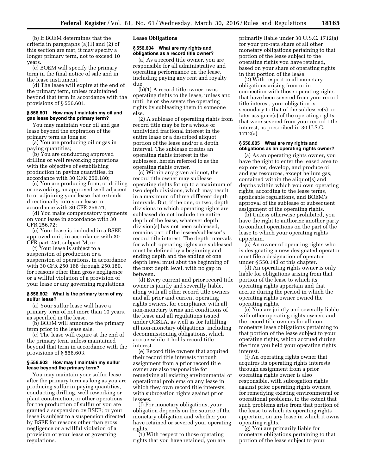(b) If BOEM determines that the criteria in paragraphs (a)(1) and (2) of this section are met, it may specify a longer primary term, not to exceed 10 years.

(c) BOEM will specify the primary term in the final notice of sale and in the lease instrument.

(d) The lease will expire at the end of the primary term, unless maintained beyond that term in accordance with the provisions of § 556.601.

# **§ 556.601 How may I maintain my oil and gas lease beyond the primary term?**

You may maintain your oil and gas lease beyond the expiration of the primary term as long as:

(a) You are producing oil or gas in paying quantities;

(b) You are conducting approved drilling or well reworking operations with the objective of establishing production in paying quantities, in accordance with 30 CFR 250.180;

(c) You are producing from, or drilling or reworking, an approved well adjacent to or adjoining your lease that extends directionally into your lease in accordance with 30 CFR 256.71;

(d) You make compensatory payments on your lease in accordance with 30 CFR 256.72;

(e) Your lease is included in a BSEEapproved unit, in accordance with 30 CFR part 250, subpart M; or

(f) Your lease is subject to a suspension of production or a suspension of operations, in accordance with 30 CFR 250.168 through 250.180, for reasons other than gross negligence or a willful violation of a provision of your lease or any governing regulations.

### **§ 556.602 What is the primary term of my sulfur lease?**

(a) Your sulfur lease will have a primary term of not more than 10 years, as specified in the lease.

(b) BOEM will announce the primary term prior to the lease sale.

(c) The lease will expire at the end of the primary term unless maintained beyond that term in accordance with the provisions of § 556.603.

### **§ 556.603 How may I maintain my sulfur lease beyond the primary term?**

You may maintain your sulfur lease after the primary term as long as you are producing sulfur in paying quantities, conducting drilling, well reworking or plant construction, or other operations for the production of sulfur or you are granted a suspension by BSEE; or your lease is subject to a suspension directed by BSEE for reasons other than gross negligence or a willful violation of a provision of your lease or governing regulations.

### **Lease Obligations**

### **§ 556.604 What are my rights and obligations as a record title owner?**

(a) As a record title owner, you are responsible for all administrative and operating performance on the lease, including paying any rent and royalty due.

(b)(1) A record title owner owns operating rights to the lease, unless and until he or she severs the operating rights by subleasing them to someone else.

(2) A sublease of operating rights from record title may be for a whole or undivided fractional interest in the entire lease or a described aliquot portion of the lease and/or a depth interval. The sublease creates an operating rights interest in the sublessee, herein referred to as the operating rights owner.

(c) Within any given aliquot, the record title owner may sublease operating rights for up to a maximum of two depth divisions, which may result in a maximum of three different depth intervals. But, if the one, or two, depth divisions to which operating rights are subleased do not include the entire depth of the lease, whatever depth division(s) has not been subleased, remains part of the lessee/sublessor's record title interest. The depth intervals for which operating rights are subleased must be defined by a beginning and ending depth and the ending of one depth level must abut the beginning of the next depth level, with no gap in between.

(d) Every current and prior record title owner is jointly and severally liable, along with all other record title owners and all prior and current operating rights owners, for compliance with all non-monetary terms and conditions of the lease and all regulations issued under OCSLA, as well as for fulfilling all non-monetary obligations, including decommissioning obligations, which accrue while it holds record title interest.

(e) Record title owners that acquired their record title interests through assignment from a prior record title owner are also responsible for remedying all existing environmental or operational problems on any lease in which they own record title interests, with subrogation rights against prior lessees.

(f) For monetary obligations, your obligation depends on the source of the monetary obligation and whether you have retained or severed your operating rights.

(1) With respect to those operating rights that you have retained, you are

primarily liable under 30 U.S.C. 1712(a) for your pro-rata share of all other monetary obligations pertaining to that portion of the lease subject to the operating rights you have retained, based on your share of operating rights in that portion of the lease.

(2) With respect to all monetary obligations arising from or in connection with those operating rights that have been severed from your record title interest, your obligation is secondary to that of the sublessee(s) or later assignee(s) of the operating rights that were severed from your record title interest, as prescribed in 30 U.S.C. 1712(a).

### **§ 556.605 What are my rights and obligations as an operating rights owner?**

(a) As an operating rights owner, you have the right to enter the leased area to explore for, develop, and produce oil and gas resources, except helium gas, contained within the aliquot(s) and depths within which you own operating rights, according to the lease terms, applicable regulations, and BOEM's approval of the sublease or subsequent assignment of the operating rights.

(b) Unless otherwise prohibited, you have the right to authorize another party to conduct operations on the part of the lease to which your operating rights appertain.

(c) An owner of operating rights who is designating a new designated operator must file a designation of operator under § 550.143 of this chapter.

(d) An operating rights owner is only liable for obligations arising from that portion of the lease to which its operating rights appertain and that accrue during the period in which the operating rights owner owned the operating rights.

(e) You are jointly and severally liable with other operating rights owners and the record title owners for all nonmonetary lease obligations pertaining to that portion of the lease subject to your operating rights, which accrued during the time you held your operating rights interest.

(f) An operating rights owner that acquires its operating rights interests through assignment from a prior operating rights owner is also responsible, with subrogation rights against prior operating rights owners, for remedying existing environmental or operational problems, to the extent that such problems arise from that portion of the lease to which its operating rights appertain, on any lease in which it owns operating rights.

(g) You are primarily liable for monetary obligations pertaining to that portion of the lease subject to your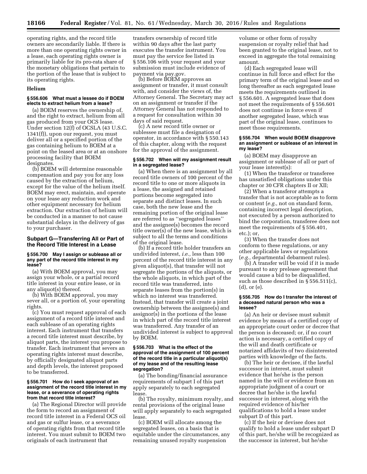operating rights, and the record title owners are secondarily liable. If there is more than one operating rights owner in a lease, each operating rights owner is primarily liable for its pro-rata share of the monetary obligations that pertain to the portion of the lease that is subject to its operating rights.

### **Helium**

# **§ 556.606 What must a lessee do if BOEM elects to extract helium from a lease?**

(a) BOEM reserves the ownership of, and the right to extract, helium from all gas produced from your OCS lease. Under section 12(f) of OCSLA (43 U.S.C. 1341(f)), upon our request, you must deliver all or a specified portion of the gas containing helium to BOEM at a point on the leased area or at an onshore processing facility that BOEM designates.

(b) BOEM will determine reasonable compensation and pay you for any loss caused by the extraction of helium, except for the value of the helium itself. BOEM may erect, maintain, and operate on your lease any reduction work and other equipment necessary for helium extraction. Our extraction of helium will be conducted in a manner to not cause substantial delays in the delivery of gas to your purchaser.

# **Subpart G—Transferring All or Part of the Record Title Interest in a Lease**

### **§ 556.700 May I assign or sublease all or any part of the record title interest in my lease?**

(a) With BOEM approval, you may assign your whole, or a partial record title interest in your entire lease, or in any aliquot(s) thereof.

(b) With BOEM approval, you may sever all, or a portion of, your operating rights.

(c) You must request approval of each assignment of a record title interest and each sublease of an operating rights interest. Each instrument that transfers a record title interest must describe, by aliquot parts, the interest you propose to transfer. Each instrument that severs an operating rights interest must describe, by officially designated aliquot parts and depth levels, the interest proposed to be transferred.

### **§ 556.701 How do I seek approval of an assignment of the record title interest in my lease, or a severance of operating rights from that record title interest?**

(a) The Regional Director will provide the form to record an assignment of record title interest in a Federal OCS oil and gas or sulfur lease, or a severance of operating rights from that record title interest. You must submit to BOEM two originals of each instrument that

transfers ownership of record title within 90 days after the last party executes the transfer instrument. You must pay the service fee listed in § 556.106 with your request and your submission must include evidence of payment via pay.gov.

(b) Before BOEM approves an assignment or transfer, it must consult with, and consider the views of, the Attorney General. The Secretary may act on an assignment or transfer if the Attorney General has not responded to a request for consultation within 30 days of said request.

(c) A new record title owner or sublessee must file a designation of operator, in accordance with § 550.143 of this chapter, along with the request for the approval of the assignment.

### **§ 556.702 When will my assignment result in a segregated lease?**

(a) When there is an assignment by all record title owners of 100 percent of the record title to one or more aliquots in a lease, the assigned and retained portions become segregated into separate and distinct leases. In such case, both the new lease and the remaining portion of the original lease are referred to as ''segregated leases'' and the assignee(s) becomes the record title owner(s) of the new lease, which is subject to all the terms and conditions of the original lease.

(b) If a record title holder transfers an undivided interest, *i.e.,* less than 100 percent of the record title interest in any given aliquot(s), that transfer will not segregate the portions of the aliquots, or the whole aliquots, in which part of the record title was transferred, into separate leases from the portion(s) in which no interest was transferred. Instead, that transfer will create a joint ownership between the assignee(s) and assignor(s) in the portions of the lease in which part of the record title interest was transferred. Any transfer of an undivided interest is subject to approval by BOEM.

### **§ 556.703 What is the effect of the approval of the assignment of 100 percent of the record title in a particular aliquot(s) of my lease and of the resulting lease segregation?**

(a) The bonding/financial assurance requirements of subpart I of this part apply separately to each segregated lease.

(b) The royalty, minimum royalty, and rental provisions of the original lease will apply separately to each segregated lease.

(c) BOEM will allocate among the segregated leases, on a basis that is equitable under the circumstances, any remaining unused royalty suspension

volume or other form of royalty suspension or royalty relief that had been granted to the original lease, not to exceed in aggregate the total remaining amount.

(d) Each segregated lease will continue in full force and effect for the primary term of the original lease and so long thereafter as each segregated lease meets the requirements outlined in § 556.601. A segregated lease that does not meet the requirements of § 556.601 does not continue in force even if another segregated lease, which was part of the original lease, continues to meet those requirements.

# **§ 556.704 When would BOEM disapprove an assignment or sublease of an interest in my lease?**

(a) BOEM may disapprove an assignment or sublease of all or part of your lease interest(s):

(1) When the transferor or transferee has unsatisfied obligations under this chapter or 30 CFR chapters II or XII;

(2) When a transferor attempts a transfer that is not acceptable as to form or content (*e.g.,* not on standard form, containing incorrect legal description, not executed by a person authorized to bind the corporation, transferee does not meet the requirements of § 556.401, etc.); or,

(3) When the transfer does not conform to these regulations, or any other applicable laws or regulations (*e.g.,* departmental debarment rules).

(b) A transfer will be void if it is made pursuant to any prelease agreement that would cause a bid to be disqualified, such as those described in § 556.511(c), (d), or (e).

### **§ 556.705 How do I transfer the interest of a deceased natural person who was a lessee?**

(a) An heir or devisee must submit evidence by means of a certified copy of an appropriate court order or decree that the person is deceased; or, if no court action is necessary, a certified copy of the will and death certificate or notarized affidavits of two disinterested parties with knowledge of the facts.

(b) The heir or devisee, if the lawful successor in interest, must submit evidence that he/she is the person named in the will or evidence from an appropriate judgment of a court or decree that he/she is the lawful successor in interest, along with the required evidence of his/her qualifications to hold a lease under subpart D of this part.

(c) If the heir or devisee does not qualify to hold a lease under subpart D of this part, he/she will be recognized as the successor in interest, but he/she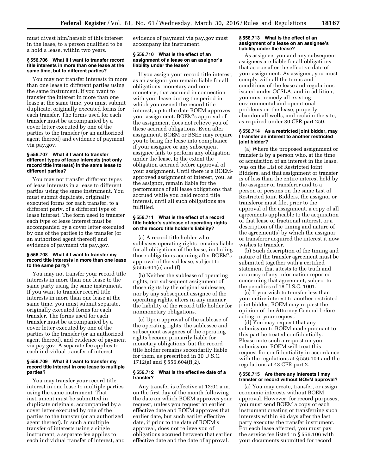must divest him/herself of this interest in the lease, to a person qualified to be a hold a lease, within two years.

### **§ 556.706 What if I want to transfer record title interests in more than one lease at the same time, but to different parties?**

You may not transfer interests in more than one lease to different parties using the same instrument. If you want to transfer the interest in more than one lease at the same time, you must submit duplicate, originally executed forms for each transfer. The forms used for each transfer must be accompanied by a cover letter executed by one of the parties to the transfer (or an authorized agent thereof) and evidence of payment via pay.gov.

### **§ 556.707 What if I want to transfer different types of lease interests (not only record title interests) in the same lease to different parties?**

You may not transfer different types of lease interests in a lease to different parties using the same instrument. You must submit duplicate, originally executed forms for each transfer, to a different party, of a different type of lease interest. The form used to transfer each type of lease interest must be accompanied by a cover letter executed by one of the parties to the transfer (or an authorized agent thereof) and evidence of payment via pay.gov.

### **§ 556.708 What if I want to transfer my record title interests in more than one lease to the same party?**

You may not transfer your record title interests in more than one lease to the same party using the same instrument. If you want to transfer record title interests in more than one lease at the same time, you must submit separate, originally executed forms for each transfer. The forms used for each transfer must be accompanied by a cover letter executed by one of the parties to the transfer (or an authorized agent thereof), and evidence of payment via pay.gov. A separate fee applies to each individual transfer of interest.

### **§ 556.709 What if I want to transfer my record title interest in one lease to multiple parties?**

You may transfer your record title interest in one lease to multiple parties using the same instrument. That instrument must be submitted in duplicate originals, accompanied by a cover letter executed by one of the parties to the transfer (or an authorized agent thereof). In such a multiple transfer of interests using a single instrument, a separate fee applies to each individual transfer of interest, and evidence of payment via pay.gov must accompany the instrument.

### **§ 556.710 What is the effect of an assignment of a lease on an assignor's liability under the lease?**

If you assign your record title interest, as an assignor you remain liable for all obligations, monetary and nonmonetary, that accrued in connection with your lease during the period in which you owned the record title interest, up to the date BOEM approves your assignment. BOEM's approval of the assignment does not relieve you of these accrued obligations. Even after assignment, BOEM or BSEE may require you to bring the lease into compliance if your assignee or any subsequent assignee fails to perform any obligation under the lease, to the extent the obligation accrued before approval of your assignment. Until there is a BOEMapproved assignment of interest, you, as the assignor, remain liable for the performance of all lease obligations that accrued while you held record title interest, until all such obligations are fulfilled.

### **§ 556.711 What is the effect of a record title holder's sublease of operating rights on the record title holder's liability?**

(a) A record title holder who subleases operating rights remains liable for all obligations of the lease, including those obligations accruing after BOEM's approval of the sublease, subject to § 556.604(e) and (f).

(b) Neither the sublease of operating rights, nor subsequent assignment of those rights by the original sublessee, nor by any subsequent assignee of the operating rights, alters in any manner the liability of the record title holder for nonmonetary obligations.

(c) Upon approval of the sublease of the operating rights, the sublessee and subsequent assignees of the operating rights become primarily liable for monetary obligations, but the record title holder remains secondarily liable for them, as prescribed in 30 U.S.C. 1712(a) and § 556.604(f)(2).

### **§ 556.712 What is the effective date of a transfer?**

Any transfer is effective at 12:01 a.m. on the first day of the month following the date on which BOEM approves your request, unless you request an earlier effective date and BOEM approves that earlier date, but such earlier effective date, if prior to the date of BOEM's approval, does not relieve you of obligations accrued between that earlier effective date and the date of approval.

### **§ 556.713 What is the effect of an assignment of a lease on an assignee's liability under the lease?**

As assignee, you and any subsequent assignees are liable for all obligations that accrue after the effective date of your assignment. As assignee, you must comply with all the terms and conditions of the lease and regulations issued under OCSLA, and in addition, you must remedy all existing environmental and operational problems on the lease, properly abandon all wells, and reclaim the site, as required under 30 CFR part 250.

### **§ 556.714 As a restricted joint bidder, may I transfer an interest to another restricted joint bidder?**

(a) Where the proposed assignment or transfer is by a person who, at the time of acquisition of an interest in the lease, was on the List of Restricted Joint Bidders, and that assignment or transfer is of less than the entire interest held by the assignor or transferor and to a person or persons on the same List of Restricted Joint Bidders, the assignor or transferor must file, prior to the approval of the assignment, a copy of all agreements applicable to the acquisition of that lease or fractional interest, or a description of the timing and nature of the agreement(s) by which the assignor or transferor acquired the interest it now wishes to transfer.

(b) Such description of the timing and nature of the transfer agreement must be submitted together with a certified statement that attests to the truth and accuracy of any information reported concerning that agreement, subject to the penalties of 18 U.S.C. 1001.

(c) If you wish to transfer less than your entire interest to another restricted joint bidder, BOEM may request the opinion of the Attorney General before acting on your request.

(d) You may request that any submission to BOEM made pursuant to this part be treated confidentially. Please note such a request on your submission. BOEM will treat this request for confidentiality in accordance with the regulations at § 556.104 and the regulations at 43 CFR part 2.

### **§ 556.715 Are there any interests I may transfer or record without BOEM approval?**

(a) You may create, transfer, or assign economic interests without BOEM approval. However, for record purposes, you must send BOEM a copy of each instrument creating or transferring such interests within 90 days after the last party executes the transfer instrument. For each lease affected, you must pay the service fee listed in § 556.106 with your documents submitted for record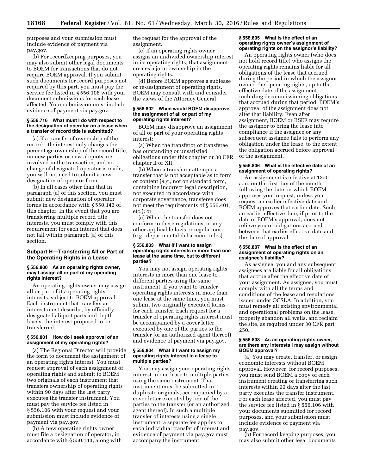purposes and your submission must include evidence of payment via pay.gov.

(b) For recordkeeping purposes, you may also submit other legal documents to BOEM for transactions that do not require BOEM approval. If you submit such documents for record purposes not required by this part, you must pay the service fee listed in § 556.106 with your document submissions for each lease affected. Your submission must include evidence of payment via pay.gov.

### **§ 556.716 What must I do with respect to the designation of operator on a lease when a transfer of record title is submitted?**

(a) If a transfer of ownership of the record title interest only changes the percentage ownership of the record title, no new parties or new aliquots are involved in the transaction, and no change of designated operator is made, you will not need to submit a new designation of operator form.

(b) In all cases other than that in paragraph (a) of this section, you must submit new designation of operator forms in accordance with § 550.143 of this chapter. In the event that you are transferring multiple record title interests, you must comply with this requirement for each interest that does not fall within paragraph (a) of this section.

### **Subpart H—Transferring All or Part of the Operating Rights in a Lease**

### **§ 556.800 As an operating rights owner, may I assign all or part of my operating rights interest?**

An operating rights owner may assign all or part of its operating rights interests, subject to BOEM approval. Each instrument that transfers an interest must describe, by officially designated aliquot parts and depth levels, the interest proposed to be transferred.

### **§ 556.801 How do I seek approval of an assignment of my operating rights?**

(a) The Regional Director will provide the form to document the assignment of an operating rights interest. You must request approval of each assignment of operating rights and submit to BOEM two originals of each instrument that transfers ownership of operating rights within 90 days after the last party executes the transfer instrument. You must pay the service fee listed in § 556.106 with your request and your submission must include evidence of payment via pay.gov.

(b) A new operating rights owner must file a designation of operator, in accordance with § 550.143, along with the request for the approval of the assignment.

(c) If an operating rights owner assigns an undivided ownership interest in its operating rights, that assignment creates a joint ownership in the operating rights.

(d) Before BOEM approves a sublease or re-assignment of operating rights, BOEM may consult with and consider the views of the Attorney General.

### **§ 556.802 When would BOEM disapprove the assignment of all or part of my operating rights interest?**

BOEM may disapprove an assignment of all or part of your operating rights interest:

(a) When the transferor or transferee has outstanding or unsatisfied obligations under this chapter or 30 CFR chapter II or XII;

(b) When a transferor attempts a transfer that is not acceptable as to form or content (*e.g.,* not on standard form, containing incorrect legal description, not executed in accordance with corporate governance, transferee does not meet the requirements of § 556.401, etc.); or

(c) When the transfer does not conform to these regulations, or any other applicable laws or regulations (*e.g.,* departmental debarment rules).

### **§ 556.803 What if I want to assign operating rights interests in more than one lease at the same time, but to different parties?**

You may not assign operating rights interests in more than one lease to different parties using the same instrument. If you want to transfer operating rights interests in more than one lease at the same time, you must submit two originally executed forms for each transfer. Each request for a transfer of operating rights interest must be accompanied by a cover letter executed by one of the parties to the transfer (or an authorized agent thereof) and evidence of payment via pay.gov.

### **§ 556.804 What if I want to assign my operating rights interest in a lease to multiple parties?**

You may assign your operating rights interest in one lease to multiple parties using the same instrument. That instrument must be submitted in duplicate originals, accompanied by a cover letter executed by one of the parties to the transfer (or an authorized agent thereof). In such a multiple transfer of interests using a single instrument, a separate fee applies to each individual transfer of interest and evidence of payment via pay.gov must accompany the instrument.

# **§ 556.805 What is the effect of an operating rights owner's assignment of operating rights on the assignor's liability?**

An operating rights owner (who does not hold record title) who assigns the operating rights remains liable for all obligations of the lease that accrued during the period in which the assignor owned the operating rights, up to the effective date of the assignment, including decommissioning obligations that accrued during that period. BOEM's approval of the assignment does not alter that liability. Even after assignment, BOEM or BSEE may require the assignor to bring the lease into compliance if the assignee or any subsequent assignee fails to perform any obligation under the lease, to the extent the obligation accrued before approval of the assignment.

### **§ 556.806 What is the effective date of an assignment of operating rights?**

An assignment is effective at 12:01 a.m. on the first day of the month following the date on which BOEM approves your request, unless you request an earlier effective date and BOEM approves that earlier date. Such an earlier effective date, if prior to the date of BOEM's approval, does not relieve you of obligations accrued between that earlier effective date and the date of approval.

### **§ 556.807 What is the effect of an assignment of operating rights on an assignee's liability?**

As assignee, you and any subsequent assignees are liable for all obligations that accrue after the effective date of your assignment. As assignee, you must comply with all the terms and conditions of the lease and regulations issued under OCSLA. In addition, you must remedy all existing environmental and operational problems on the lease, properly abandon all wells, and reclaim the site, as required under 30 CFR part 250.

### **§ 556.808 As an operating rights owner, are there any interests I may assign without BOEM approval?**

(a) You may create, transfer, or assign economic interests without BOEM approval. However, for record purposes, you must send BOEM a copy of each instrument creating or transferring such interests within 90 days after the last party executes the transfer instrument. For each lease affected, you must pay the service fee listed in § 556.106 with your documents submitted for record purposes, and your submission must include evidence of payment via pay.gov.

(b) For record keeping purposes, you may also submit other legal documents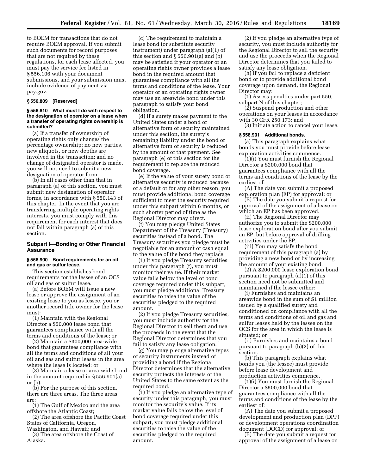to BOEM for transactions that do not require BOEM approval. If you submit such documents for record purposes that are not required by these regulations, for each lease affected, you must pay the service fee listed in § 556.106 with your document submissions, and your submission must include evidence of payment via pay.gov.

### **§ 556.809 [Reserved]**

### **§ 556.810 What must I do with respect to the designation of operator on a lease when a transfer of operating rights ownership is submitted?**

(a) If a transfer of ownership of operating rights only changes the percentage ownership; no new parties, new aliquots, or new depths are involved in the transaction; and no change of designated operator is made, you will not need to submit a new designation of operator form.

(b) In all cases other than that in paragraph (a) of this section, you must submit new designation of operator forms, in accordance with § 550.143 of this chapter. In the event that you are transferring multiple operating rights interests, you must comply with this requirement for each interest that does not fall within paragraph (a) of this section.

### **Subpart I—Bonding or Other Financial Assurance**

### **§ 556.900 Bond requirements for an oil and gas or sulfur lease.**

This section establishes bond requirements for the lessee of an OCS oil and gas or sulfur lease.

(a) Before BOEM will issue a new lease or approve the assignment of an existing lease to you as lessee, you or another record title owner for the lease must:

(1) Maintain with the Regional Director a \$50,000 lease bond that guarantees compliance with all the terms and conditions of the lease; or

(2) Maintain a \$300,000 area-wide bond that guarantees compliance with all the terms and conditions of all your oil and gas and sulfur leases in the area where the lease is located; or

(3) Maintain a lease or area-wide bond in the amount required in § 556.901(a) or (b).

(b) For the purpose of this section, there are three areas. The three areas are:

(1) The Gulf of Mexico and the area offshore the Atlantic Coast;

(2) The area offshore the Pacific Coast States of California, Oregon,

Washington, and Hawaii; and (3) The area offshore the Coast of Alaska.

(c) The requirement to maintain a lease bond (or substitute security instrument) under paragraph (a)(1) of this section and  $\S 556.901(a)$  and (b) may be satisfied if your operator or an operating rights owner provides a lease bond in the required amount that guarantees compliance with all the terms and conditions of the lease. Your operator or an operating rights owner may use an areawide bond under this paragraph to satisfy your bond obligation.

(d) If a surety makes payment to the United States under a bond or alternative form of security maintained under this section, the surety's remaining liability under the bond or alternative form of security is reduced by the amount of that payment. See paragraph (e) of this section for the requirement to replace the reduced bond coverage.

(e) If the value of your surety bond or alternative security is reduced because of a default or for any other reason, you must provide additional bond coverage sufficient to meet the security required under this subpart within 6 months, or such shorter period of time as the Regional Director may direct.

(f) You may pledge United States Department of the Treasury (Treasury) securities instead of a bond. The Treasury securities you pledge must be negotiable for an amount of cash equal to the value of the bond they replace.

(1) If you pledge Treasury securities under this paragraph (f), you must monitor their value. If their market value falls below the level of bond coverage required under this subpart, you must pledge additional Treasury securities to raise the value of the securities pledged to the required amount.

(2) If you pledge Treasury securities, you must include authority for the Regional Director to sell them and use the proceeds in the event that the Regional Director determines that you fail to satisfy any lease obligation.

(g) You may pledge alternative types of security instruments instead of providing a bond if the Regional Director determines that the alternative security protects the interests of the United States to the same extent as the required bond.

(1) If you pledge an alternative type of security under this paragraph, you must monitor the security's value. If its market value falls below the level of bond coverage required under this subpart, you must pledge additional securities to raise the value of the securities pledged to the required amount.

(2) If you pledge an alternative type of security, you must include authority for the Regional Director to sell the security and use the proceeds when the Regional Director determines that you failed to satisfy any lease obligation.

(h) If you fail to replace a deficient bond or to provide additional bond coverage upon demand, the Regional Director may:

(1) Assess penalties under part 550, subpart N of this chapter;

(2) Suspend production and other operations on your leases in accordance with 30 CFR 250.173; and

(3) Initiate action to cancel your lease.

### **§ 556.901 Additional bonds.**

(a) This paragraph explains what bonds you must provide before lease exploration activities commence.

(1)(i) You must furnish the Regional Director a \$200,000 bond that guarantees compliance with all the terms and conditions of the lease by the earliest of:

(A) The date you submit a proposed exploration plan (EP) for approval; or

(B) The date you submit a request for approval of the assignment of a lease on which an EP has been approved.

(ii) The Regional Director may authorize you to submit the \$200,000 lease exploration bond after you submit an EP, but before approval of drilling activities under the EP.

(iii) You may satisfy the bond requirement of this paragraph (a) by providing a new bond or by increasing the amount of your existing bond.

(2) A \$200,000 lease exploration bond pursuant to paragraph (a)(1) of this section need not be submitted and maintained if the lessee either:

(i) Furnishes and maintains an areawide bond in the sum of \$1 million issued by a qualified surety and conditioned on compliance with all the terms and conditions of oil and gas and sulfur leases held by the lessee on the OCS for the area in which the lease is situated; or

(ii) Furnishes and maintains a bond pursuant to paragraph (b)(2) of this section.

(b) This paragraph explains what bonds you (the lessee) must provide before lease development and production activities commence.

(1)(i) You must furnish the Regional Director a \$500,000 bond that guarantees compliance with all the terms and conditions of the lease by the earliest of:

(A) The date you submit a proposed development and production plan (DPP) or development operations coordination document (DOCD) for approval; or

(B) The date you submit a request for approval of the assignment of a lease on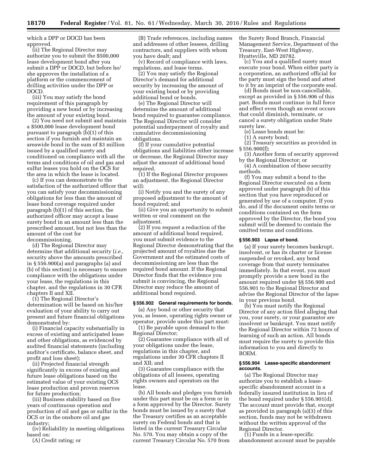which a DPP or DOCD has been approved.

(ii) The Regional Director may authorize you to submit the \$500,000 lease development bond after you submit a DPP or DOCD, but before he/ she approves the installation of a platform or the commencement of drilling activities under the DPP or DOCD.

(iii) You may satisfy the bond requirement of this paragraph by providing a new bond or by increasing the amount of your existing bond.

(2) You need not submit and maintain a \$500,000 lease development bond pursuant to paragraph (b)(1) of this section if you furnish and maintain an areawide bond in the sum of \$3 million issued by a qualified surety and conditioned on compliance with all the terms and conditions of oil and gas and sulfur leases you hold on the OCS for the area in which the lease is located.

(c) If you can demonstrate to the satisfaction of the authorized officer that you can satisfy your decommissioning obligations for less than the amount of lease bond coverage required under paragraph (b)(1) of this section, the authorized officer may accept a lease surety bond in an amount less than the prescribed amount, but not less than the amount of the cost for decommissioning.

(d) The Regional Director may determine that additional security (*i.e.,*  security above the amounts prescribed in § 556.900(a) and paragraphs (a) and (b) of this section) is necessary to ensure compliance with the obligations under your lease, the regulations in this chapter, and the regulations in 30 CFR chapters II and XII.

(1) The Regional Director's determination will be based on his/her evaluation of your ability to carry out present and future financial obligations demonstrated by:

(i) Financial capacity substantially in excess of existing and anticipated lease and other obligations, as evidenced by audited financial statements (including auditor's certificate, balance sheet, and profit and loss sheet);

(ii) Projected financial strength significantly in excess of existing and future lease obligations based on the estimated value of your existing OCS lease production and proven reserves for future production;

(iii) Business stability based on five years of continuous operation and production of oil and gas or sulfur in the OCS or in the onshore oil and gas industry;

(iv) Reliability in meeting obligations based on:

(A) Credit rating; or

(B) Trade references, including names and addresses of other lessees, drilling contractors, and suppliers with whom you have dealt; and

(v) Record of compliance with laws, regulations, and lease terms.

(2) You may satisfy the Regional Director's demand for additional security by increasing the amount of your existing bond or by providing additional bond or bonds.

(e) The Regional Director will determine the amount of additional bond required to guarantee compliance. The Regional Director will consider potential underpayment of royalty and cumulative decommissioning obligations.

(f) If your cumulative potential obligations and liabilities either increase or decrease, the Regional Director may adjust the amount of additional bond required.

(1) If the Regional Director proposes an adjustment, the Regional Director will:

(i) Notify you and the surety of any proposed adjustment to the amount of bond required; and

(ii) Give you an opportunity to submit written or oral comment on the adjustment.

(2) If you request a reduction of the amount of additional bond required, you must submit evidence to the Regional Director demonstrating that the projected amount of royalties due the Government and the estimated costs of decommissioning are less than the required bond amount. If the Regional Director finds that the evidence you submit is convincing, the Regional Director may reduce the amount of additional bond required.

# **§ 556.902 General requirements for bonds.**

(a) Any bond or other security that you, as lessee, operating rights owner or operator, provide under this part must: (1) Be payable upon demand to the

Regional Director;

(2) Guarantee compliance with all of your obligations under the lease, regulations in this chapter, and regulations under 30 CFR chapters II and XII; and

(3) Guarantee compliance with the obligations of all lessees, operating rights owners and operators on the lease.

(b) All bonds and pledges you furnish under this part must be on a form or in a form approved by the Director. Surety bonds must be issued by a surety that the Treasury certifies as an acceptable surety on Federal bonds and that is listed in the current Treasury Circular No. 570. You may obtain a copy of the current Treasury Circular No. 570 from

the Surety Bond Branch, Financial Management Service, Department of the Treasury, East-West Highway, Hyattsville, MD 20782.

(c) You and a qualified surety must execute your bond. When either party is a corporation, an authorized official for the party must sign the bond and attest to it by an imprint of the corporate seal.

(d) Bonds must be non-cancellable, except as provided in § 556.906 of this part. Bonds must continue in full force and effect even though an event occurs that could diminish, terminate, or cancel a surety obligation under State surety law.

(e) Lease bonds must be:

(1) A surety bond;

(2) Treasury securities as provided in § 556.900(f);

(3) Another form of security approved by the Regional Director; or

(4) A combination of these security methods.

(f) You may submit a bond to the Regional Director executed on a form approved under paragraph (b) of this section that you have reproduced or generated by use of a computer. If you do, and if the document omits terms or conditions contained on the form approved by the Director, the bond you submit will be deemed to contain the omitted terms and conditions.

### **§ 556.903 Lapse of bond.**

(a) If your surety becomes bankrupt, insolvent, or has its charter or license suspended or revoked, any bond coverage from that surety terminates immediately. In that event, you must promptly provide a new bond in the amount required under §§ 556.900 and 556.901 to the Regional Director and advise the Regional Director of the lapse in your previous bond.

(b) You must notify the Regional Director of any action filed alleging that you, your surety, or your guarantor are insolvent or bankrupt. You must notify the Regional Director within 72 hours of learning of such an action. All bonds must require the surety to provide this information to you and directly to BOEM.

### **§ 556.904 Lease-specific abandonment accounts.**

(a) The Regional Director may authorize you to establish a leasespecific abandonment account in a federally insured institution in lieu of the bond required under § 556.901(d). The account must provide that, except as provided in paragraph (a)(3) of this section, funds may not be withdrawn without the written approval of the Regional Director.

(1) Funds in a lease-specific abandonment account must be payable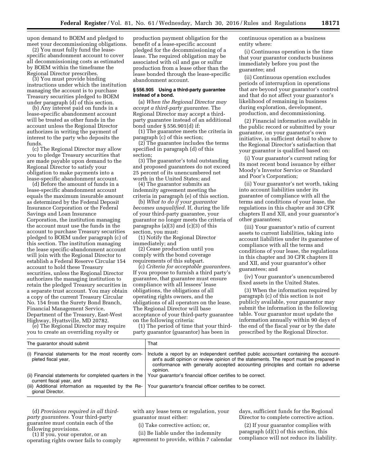upon demand to BOEM and pledged to meet your decommissioning obligations.

(2) You must fully fund the leasespecific abandonment account to cover all decommissioning costs as estimated by BOEM within the timeframe the Regional Director prescribes.

(3) You must provide binding instructions under which the institution managing the account is to purchase Treasury securities pledged to BOEM under paragraph (d) of this section.

(b) Any interest paid on funds in a lease-specific abandonment account will be treated as other funds in the account unless the Regional Director authorizes in writing the payment of interest to the party who deposits the funds.

(c) The Regional Director may allow you to pledge Treasury securities that are made payable upon demand to the Regional Director to satisfy your obligation to make payments into a lease-specific abandonment account.

(d) Before the amount of funds in a lease-specific abandonment account equals the maximum insurable amount as determined by the Federal Deposit Insurance Corporation or the Federal Savings and Loan Insurance Corporation, the institution managing the account must use the funds in the account to purchase Treasury securities pledged to BOEM under paragraph (c) of this section. The institution managing the lease specific-abandonment account will join with the Regional Director to establish a Federal Reserve Circular 154 account to hold these Treasury securities, unless the Regional Director authorizes the managing institution to retain the pledged Treasury securities in a separate trust account. You may obtain a copy of the current Treasury Circular No. 154 from the Surety Bond Branch, Financial Management Service, Department of the Treasury, East-West Highway, Hyattsville, MD 20782.

(e) The Regional Director may require you to create an overriding royalty or

production payment obligation for the benefit of a lease-specific account pledged for the decommissioning of a lease. The required obligation may be associated with oil and gas or sulfur production from a lease other than the lease bonded through the lease-specific abandonment account.

### **§ 556.905 Using a third-party guarantee instead of a bond.**

(a) *When the Regional Director may accept a third-party guarantee.* The Regional Director may accept a thirdparty guarantee instead of an additional bond under § 556.901(d) if:

(1) The guarantee meets the criteria in paragraph (c) of this section;

(2) The guarantee includes the terms specified in paragraph (d) of this section;

(3) The guarantor's total outstanding and proposed guarantees do not exceed 25 percent of its unencumbered net worth in the United States; and

(4) The guarantor submits an indemnity agreement meeting the criteria in paragraph (e) of this section.

(b) *What to do if your guarantor becomes unqualified.* If, during the life of your third-party guarantee, your guarantor no longer meets the criteria of paragraphs (a)(3) and (c)(3) of this section, you must:

(1) Notify the Regional Director immediately; and

(2) Cease production until you comply with the bond coverage requirements of this subpart.

(c) *Criteria for acceptable guarantees.*  If you propose to furnish a third party's guarantee, that guarantee must ensure compliance with all lessees' lease obligations, the obligations of all operating rights owners, and the obligations of all operators on the lease. The Regional Director will base acceptance of your third-party guarantee on the following criteria:

(1) The period of time that your thirdparty guarantor (guarantor) has been in

continuous operation as a business entity where:

(i) Continuous operation is the time that your guarantor conducts business immediately before you post the guarantee; and

(ii) Continuous operation excludes periods of interruption in operations that are beyond your guarantor's control and that do not affect your guarantor's likelihood of remaining in business during exploration, development, production, and decommissioning.

(2) Financial information available in the public record or submitted by your guarantor, on your guarantor's own initiative, in sufficient detail to show to the Regional Director's satisfaction that your guarantor is qualified based on:

(i) Your guarantor's current rating for its most recent bond issuance by either Moody's Investor Service or Standard and Poor's Corporation;

(ii) Your guarantor's net worth, taking into account liabilities under its guarantee of compliance with all the terms and conditions of your lease, the regulations in this chapter and 30 CFR chapters II and XII, and your guarantor's other guarantees;

(iii) Your guarantor's ratio of current assets to current liabilities, taking into account liabilities under its guarantee of compliance with all the terms and conditions of your lease, the regulations in this chapter and 30 CFR chapters II and XII, and your guarantor's other guarantees; and

(iv) Your guarantor's unencumbered fixed assets in the United States.

(3) When the information required by paragraph (c) of this section is not publicly available, your guarantor may submit the information in the following table. Your guarantor must update the information annually within 90 days of the end of the fiscal year or by the date prescribed by the Regional Director.

| The quarantor should submit                                                         | That                                                                                                                                                                                                                                                                              |
|-------------------------------------------------------------------------------------|-----------------------------------------------------------------------------------------------------------------------------------------------------------------------------------------------------------------------------------------------------------------------------------|
| (i) Financial statements for the most recently com-<br>pleted fiscal year,          | Include a report by an independent certified public accountant containing the account-<br>ant's audit opinion or review opinion of the statements. The report must be prepared in<br>conformance with generally accepted accounting principles and contain no adverse<br>opinion. |
| (ii) Financial statements for completed quarters in the<br>current fiscal year, and | Your quarantor's financial officer certifies to be correct.                                                                                                                                                                                                                       |
| (iii) Additional information as requested by the Re-<br>gional Director.            | Your quarantor's financial officer certifies to be correct.                                                                                                                                                                                                                       |

(d) *Provisions required in all thirdparty guarantees.* Your third-party guarantee must contain each of the following provisions.

(1) If you, your operator, or an operating rights owner fails to comply with any lease term or regulation, your guarantor must either:

(i) Take corrective action; or,

(ii) Be liable under the indemnity agreement to provide, within 7 calendar days, sufficient funds for the Regional Director to complete corrective action.

(2) If your guarantor complies with paragraph (d)(1) of this section, this compliance will not reduce its liability.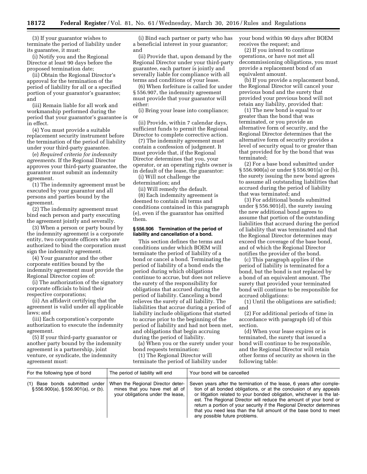(3) If your guarantor wishes to terminate the period of liability under its guarantee, it must:

(i) Notify you and the Regional Director at least 90 days before the proposed termination date;

(ii) Obtain the Regional Director's approval for the termination of the period of liability for all or a specified portion of your guarantor's guarantee; and

(iii) Remain liable for all work and workmanship performed during the period that your guarantor's guarantee is in effect.

(4) You must provide a suitable replacement security instrument before the termination of the period of liability under your third-party guarantee.

(e) *Required criteria for indemnity agreements.* If the Regional Director approves your third-party guarantee, the guarantor must submit an indemnity agreement.

(1) The indemnity agreement must be executed by your guarantor and all persons and parties bound by the agreement.

(2) The indemnity agreement must bind each person and party executing the agreement jointly and severally.

(3) When a person or party bound by the indemnity agreement is a corporate entity, two corporate officers who are authorized to bind the corporation must sign the indemnity agreement.

(4) Your guarantor and the other corporate entities bound by the indemnity agreement must provide the Regional Director copies of:

(i) The authorization of the signatory corporate officials to bind their respective corporations;

(ii) An affidavit certifying that the agreement is valid under all applicable laws; and

(iii) Each corporation's corporate authorization to execute the indemnity agreement.

(5) If your third-party guarantor or another party bound by the indemnity agreement is a partnership, joint venture, or syndicate, the indemnity agreement must:

(i) Bind each partner or party who has a beneficial interest in your guarantor; and

(ii) Provide that, upon demand by the Regional Director under your third-party guarantee, each partner is jointly and severally liable for compliance with all terms and conditions of your lease.

(6) When forfeiture is called for under § 556.907, the indemnity agreement must provide that your guarantor will either:

(i) Bring your lease into compliance; or

(ii) Provide, within 7 calendar days, sufficient funds to permit the Regional Director to complete corrective action.

(7) The indemnity agreement must contain a confession of judgment. It must provide that, if the Regional Director determines that you, your operator, or an operating rights owner is in default of the lease, the guarantor:

(i) Will not challenge the determination; and

(ii) Will remedy the default.

(8) Each indemnity agreement is deemed to contain all terms and conditions contained in this paragraph (e), even if the guarantor has omitted them.

### **§ 556.906 Termination of the period of liability and cancellation of a bond.**

This section defines the terms and conditions under which BOEM will terminate the period of liability of a bond or cancel a bond. Terminating the period of liability of a bond ends the period during which obligations continue to accrue, but does not relieve the surety of the responsibility for obligations that accrued during the period of liability. Canceling a bond relieves the surety of all liability. The liabilities that accrue during a period of liability include obligations that started to accrue prior to the beginning of the period of liability and had not been met, and obligations that begin accruing during the period of liability.

(a) When you or the surety under your bond requests termination:

(1) The Regional Director will terminate the period of liability under your bond within 90 days after BOEM receives the request; and

(2) If you intend to continue operations, or have not met all decommissioning obligations, you must provide a replacement bond of an equivalent amount.

(b) If you provide a replacement bond, the Regional Director will cancel your previous bond and the surety that provided your previous bond will not retain any liability, provided that:

(1) The new bond is equal to or greater than the bond that was terminated, or you provide an alternative form of security, and the Regional Director determines that the alternative form of security provides a level of security equal to or greater than that provided for by the bond that was terminated;

(2) For a base bond submitted under § 556.900(a) or under § 556.901(a) or (b), the surety issuing the new bond agrees to assume all outstanding liabilities that accrued during the period of liability that was terminated; and

(3) For additional bonds submitted under § 556.901(d), the surety issuing the new additional bond agrees to assume that portion of the outstanding liabilities that accrued during the period of liability that was terminated and that the Regional Director determines may exceed the coverage of the base bond, and of which the Regional Director notifies the provider of the bond.

(c) This paragraph applies if the period of liability is terminated for a bond, but the bond is not replaced by a bond of an equivalent amount. The surety that provided your terminated bond will continue to be responsible for accrued obligations:

(1) Until the obligations are satisfied; and

(2) For additional periods of time in accordance with paragraph (d) of this section.

(d) When your lease expires or is terminated, the surety that issued a bond will continue to be responsible, and the Regional Director will retain other forms of security as shown in the following table:

| For the following type of bond                                          | The period of liability will end                                                                                 | Your bond will be cancelled                                                                                                                                                                                                                                                                                                                                                                                                                                               |
|-------------------------------------------------------------------------|------------------------------------------------------------------------------------------------------------------|---------------------------------------------------------------------------------------------------------------------------------------------------------------------------------------------------------------------------------------------------------------------------------------------------------------------------------------------------------------------------------------------------------------------------------------------------------------------------|
| $(1)$ Base bonds submitted under<br>\$556.900(a), \$556.901(a), or (b). | When the Regional Director deter-<br>mines that you have met all of $\vert$<br>your obligations under the lease. | Seven years after the termination of the lease, 6 years after comple-<br>tion of all bonded obligations, or at the conclusion of any appeals<br>or litigation related to your bonded obligation, whichever is the lat-<br>est. The Regional Director will reduce the amount of your bond or<br>return a portion of your security if the Regional Director determines<br>that you need less than the full amount of the base bond to meet<br>any possible future problems. |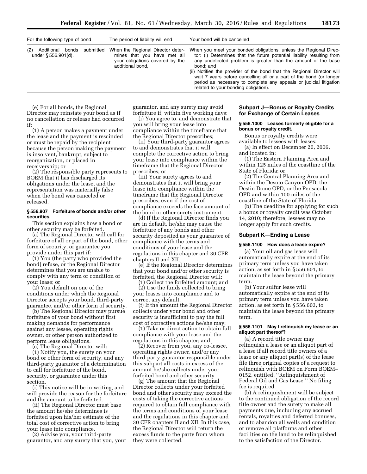| For the following type of bond                                | The period of liability will end                                                                                        | Your bond will be cancelled                                                                                                                                                                                                                                                                                                                                                                                                                                                              |
|---------------------------------------------------------------|-------------------------------------------------------------------------------------------------------------------------|------------------------------------------------------------------------------------------------------------------------------------------------------------------------------------------------------------------------------------------------------------------------------------------------------------------------------------------------------------------------------------------------------------------------------------------------------------------------------------------|
| (2)<br>submitted<br>Additional bonds<br>under $§$ 556.901(d). | When the Regional Director deter-<br>mines that you have met all<br>your obligations covered by the<br>additional bond. | When you meet your bonded obligations, unless the Regional Direc-<br>tor: (i) Determines that the future potential liability resulting from<br>any undetected problem is greater than the amount of the base<br>bond: and<br>(ii) Notifies the provider of the bond that the Regional Director will<br>wait 7 years before cancelling all or a part of the bond (or longer<br>period as necessary to complete any appeals or judicial litigation<br>related to your bonding obligation). |

(e) For all bonds, the Regional Director may reinstate your bond as if no cancellation or release had occurred if:

(1) A person makes a payment under the lease and the payment is rescinded or must be repaid by the recipient because the person making the payment is insolvent, bankrupt, subject to reorganization, or placed in receivership; or

(2) The responsible party represents to BOEM that it has discharged its obligations under the lease, and the representation was materially false when the bond was canceled or released.

### **§ 556.907 Forfeiture of bonds and/or other securities.**

This section explains how a bond or other security may be forfeited.

(a) The Regional Director will call for forfeiture of all or part of the bond, other form of security, or guarantee you provide under this part if:

(1) You (the party who provided the bond) refuse, or the Regional Director determines that you are unable to comply with any term or condition of your lease; or

(2) You default on one of the conditions under which the Regional Director accepts your bond, third-party guarantee, and/or other form of security.

(b) The Regional Director may pursue forfeiture of your bond without first making demands for performance against any lessee, operating rights owner, or other person authorized to perform lease obligations.

(c) The Regional Director will:

(1) Notify you, the surety on your bond or other form of security, and any third-party guarantor of a determination to call for forfeiture of the bond, security, or guarantee under this section.

(i) This notice will be in writing, and will provide the reason for the forfeiture and the amount to be forfeited.

(ii) The Regional Director must base the amount he/she determines is forfeited upon his/her estimate of the total cost of corrective action to bring your lease into compliance.

(2) Advise you, your third-party guarantor, and any surety that you, your guarantor, and any surety may avoid forfeiture if, within five working days:

(i) You agree to, and demonstrate that you will bring your lease into compliance within the timeframe that the Regional Director prescribes;

(ii) Your third-party guarantor agrees to and demonstrates that it will complete the corrective action to bring your lease into compliance within the timeframe that the Regional Director prescribes; or

(iii) Your surety agrees to and demonstrates that it will bring your lease into compliance within the timeframe that the Regional Director prescribes, even if the cost of compliance exceeds the face amount of the bond or other surety instrument.

(d) If the Regional Director finds you are in default, he/she may cause the forfeiture of any bonds and other security deposited as your guarantee of compliance with the terms and conditions of your lease and the regulations in this chapter and 30 CFR chapters II and XII.

(e) If the Regional Director determines that your bond and/or other security is forfeited, the Regional Director will:

(1) Collect the forfeited amount; and (2) Use the funds collected to bring your leases into compliance and to correct any default.

(f) If the amount the Regional Director collects under your bond and other security is insufficient to pay the full cost of corrective actions he/she may:

(1) Take or direct action to obtain full compliance with your lease and the regulations in this chapter; and

(2) Recover from you, any co-lessee, operating rights owner, and/or any third-party guarantor responsible under this subpart all costs in excess of the amount he/she collects under your forfeited bond and other security.

(g) The amount that the Regional Director collects under your forfeited bond and other security may exceed the costs of taking the corrective actions required to obtain full compliance with the terms and conditions of your lease and the regulations in this chapter and 30 CFR chapters II and XII. In this case, the Regional Director will return the excess funds to the party from whom they were collected.

# **Subpart J—Bonus or Royalty Credits for Exchange of Certain Leases**

# **§ 556.1000 Leases formerly eligible for a bonus or royalty credit.**

Bonus or royalty credits were available to lessees with leases:

(a) In effect on December 20, 2006, and located in:

(1) The Eastern Planning Area and within 125 miles of the coastline of the State of Florida; or,

(2) The Central Planning Area and within the Desoto Canyon OPD, the Destin Dome OPD, or the Pensacola OPD and within 100 miles of the coastline of the State of Florida.

(b) The deadline for applying for such a bonus or royalty credit was October 14, 2010; therefore, lessees may no longer apply for such credits.

# **Subpart K—Ending a Lease**

### **§ 556.1100 How does a lease expire?**

(a) Your oil and gas lease will automatically expire at the end of its primary term unless you have taken action, as set forth in § 556.601, to maintain the lease beyond the primary term.

(b) Your sulfur lease will automatically expire at the end of its primary term unless you have taken action, as set forth in § 556.603, to maintain the lease beyond the primary term.

### **§ 556.1101 May I relinquish my lease or an aliquot part thereof?**

(a) A record title owner may relinquish a lease or an aliquot part of a lease if all record title owners of a lease or any aliquot part(s) of the lease file three original copies of a request to relinquish with BOEM on Form BOEM– 0152, entitled, ''Relinquishment of Federal Oil and Gas Lease.'' No filing fee is required.

(b) A relinquishment will be subject to the continued obligation of the record title owner and the surety to make all payments due, including any accrued rentals, royalties and deferred bonuses, and to abandon all wells and condition or remove all platforms and other facilities on the land to be relinquished to the satisfaction of the Director.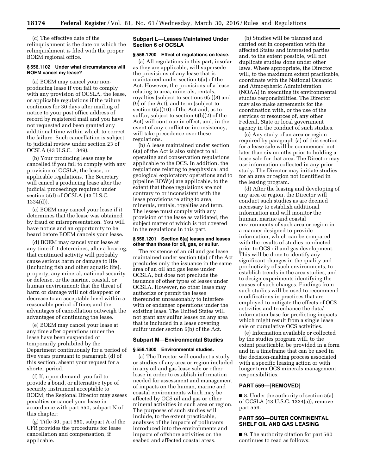(c) The effective date of the relinquishment is the date on which the relinquishment is filed with the proper BOEM regional office.

# **§ 556.1102 Under what circumstances will BOEM cancel my lease?**

(a) BOEM may cancel your nonproducing lease if you fail to comply with any provision of OCSLA, the lease, or applicable regulations if the failure continues for 30 days after mailing of notice to your post office address of record by registered mail and you have not requested and been granted any additional time within which to correct the failure. Such cancellation is subject to judicial review under section 23 of OCSLA (43 U.S.C. 1349).

(b) Your producing lease may be cancelled if you fail to comply with any provision of OCSLA, the lease, or applicable regulations. The Secretary will cancel a producing lease after the judicial proceedings required under section 5(d) of OCSLA (43 U.S.C. 1334(d)).

(c) BOEM may cancel your lease if it determines that the lease was obtained by fraud or misrepresentation. You will have notice and an opportunity to be heard before BOEM cancels your lease.

(d) BOEM may cancel your lease at any time if it determines, after a hearing, that continued activity will probably cause serious harm or damage to life (including fish and other aquatic life), property, any mineral, national security or defense, or the marine, coastal, or human environment; that the threat of harm or damage will not disappear or decrease to an acceptable level within a reasonable period of time; and the advantages of cancellation outweigh the advantages of continuing the lease.

(e) BOEM may cancel your lease at any time after operations under the lease have been suspended or temporarily prohibited by the Department continuously for a period of five years pursuant to paragraph (d) of this section, absent your request for a shorter period.

(f) If, upon demand, you fail to provide a bond, or alternative type of security instrument acceptable to BOEM, the Regional Director may assess penalties or cancel your lease in accordance with part 550, subpart N of this chapter;

(g) Title 30, part 550, subpart A of the CFR provides the procedures for lease cancellation and compensation, if applicable.

### **Subpart L—Leases Maintained Under Section 6 of OCSLA**

### **§ 556.1200 Effect of regulations on lease.**

(a) All regulations in this part, insofar as they are applicable, will supersede the provisions of any lease that is maintained under section 6(a) of the Act. However, the provisions of a lease relating to area, minerals, rentals, royalties (subject to sections 6(a)(8) and (9) of the Act), and term (subject to section 6(a)(10) of the Act and, as to sulfur, subject to section 6(b)(2) of the Act) will continue in effect, and, in the event of any conflict or inconsistency, will take precedence over these regulations.

(b) A lease maintained under section 6(a) of the Act is also subject to all operating and conservation regulations applicable to the OCS. In addition, the regulations relating to geophysical and geological exploratory operations and to pipeline ROW(s) are applicable, to the extent that those regulations are not contrary to or inconsistent with the lease provisions relating to area, minerals, rentals, royalties and term. The lessee must comply with any provision of the lease as validated, the subject matter of which is not covered in the regulations in this part.

### **§ 556.1201 Section 6(a) leases and leases other than those for oil, gas, or sulfur.**

The existence of an oil and gas lease maintained under section 6(a) of the Act precludes only the issuance in the same area of an oil and gas lease under OCSLA, but does not preclude the issuance of other types of leases under OCSLA. However, no other lease may authorize or permit the lessee thereunder unreasonably to interfere with or endanger operations under the existing lease. The United States will not grant any sulfur leases on any area that is included in a lease covering sulfur under section 6(b) of the Act.

### **Subpart M—Environmental Studies**

### **§ 556.1300 Environmental studies.**

(a) The Director will conduct a study or studies of any area or region included in any oil and gas lease sale or other lease in order to establish information needed for assessment and management of impacts on the human, marine and coastal environments which may be affected by OCS oil and gas or other mineral activities in such area or region. The purposes of such studies will include, to the extent practicable, analyses of the impacts of pollutants introduced into the environments and impacts of offshore activities on the seabed and affected coastal areas.

(b) Studies will be planned and carried out in cooperation with the affected States and interested parties and, to the extent possible, will not duplicate studies done under other laws. Where appropriate, the Director will, to the maximum extent practicable, coordinate with the National Oceanic and Atmospheric Administration (NOAA) in executing its environmental studies responsibilities. The Director may also make agreements for the coordination with, or the use of the services or resources of, any other Federal, State or local government agency in the conduct of such studies.

(c) Any study of an area or region required by paragraph (a) of this section for a lease sale will be commenced not later than six months prior to holding a lease sale for that area. The Director may use information collected in any prior study. The Director may initiate studies for an area or region not identified in the leasing program.

(d) After the leasing and developing of any area or region, the Director will conduct such studies as are deemed necessary to establish additional information and will monitor the human, marine and coastal environments of such area or region in a manner designed to provide information, which can be compared with the results of studies conducted prior to OCS oil and gas development. This will be done to identify any significant changes in the quality and productivity of such environments, to establish trends in the area studies, and to design experiments identifying the causes of such changes. Findings from such studies will be used to recommend modifications in practices that are employed to mitigate the effects of OCS activities and to enhance the data/ information base for predicting impacts which might result from a single lease sale or cumulative OCS activities.

(e) Information available or collected by the studies program will, to the extent practicable, be provided in a form and in a timeframe that can be used in the decision-making process associated with a specific leasing action or with longer term OCS minerals management responsibilities.

# **PART 559—[REMOVED]**

■ 8. Under the authority of section 5(a) of OCSLA (43 U.S.C. 1334(a)), remove part 559.

# **PART 560—OUTER CONTINENTAL SHELF OIL AND GAS LEASING**

■ 9. The authority citation for part 560 continues to read as follows: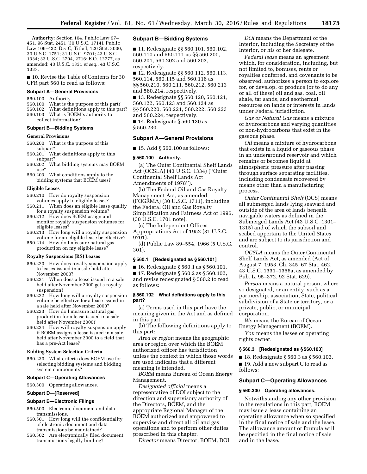**Authority:** Section 104, Public Law 97– 451, 96 Stat. 2451 (30 U.S.C. 1714), Public Law 109–432, Div C, Title I, 120 Stat. 3000; 30 U.S.C. 1751; 31 U.S.C. 9701; 43 U.S.C. 1334; 33 U.S.C. 2704, 2716; E.O. 12777, as amended; 43 U.S.C. 1331 *et seq.,* 43 U.S.C. 1337.

■ 10. Revise the Table of Contents for 30 CFR part 560 to read as follows:

### **Subpart A—General Provisions**

560.100 Authority<br>560.100 What is th What is the purpose of this part? 560.102 What definitions apply to this part?

560.103 What is BOEM's authority to collect information?

### **Subpart B—Bidding Systems**

### **General Provisions**

560.200 What is the purpose of this subpart?

- 560.201 What definitions apply to this subpart?
- 560.202 What bidding systems may BOEM use?
- 560.203 What conditions apply to the bidding systems that BOEM uses?

### **Eligible Leases**

- 560.210 How do royalty suspension volumes apply to eligible leases?
- 560.211 When does an eligible lease qualify for a royalty suspension volume?
- 560.212 How does BOEM assign and monitor royalty suspension volumes for eligible leases?
- $560.21\bar{3}$  How long will a royalty suspension volume for an eligible lease be effective?
- 550.214 How do I measure natural gas production on my eligible lease?

### **Royalty Suspensions (RS) Leases**

- 560.220 How does royalty suspension apply to leases issued in a sale held after November 2000?
- 560.221 When does a lease issued in a sale held after November 2000 get a royalty suspension?
- 560.222 How long will a royalty suspension volume be effective for a lease issued in a sale held after November 2000?
- 560.223 How do I measure natural gas production for a lease issued in a sale held after November 2000?
- 560.224 How will royalty suspension apply if BOEM assigns a lease issued in a sale held after November 2000 to a field that has a pre-Act lease?

### **Bidding System Selection Criteria**

560.230 What criteria does BOEM use for selecting bidding systems and bidding system components?

### **Subpart C—Operating Allowances**

# 560.300 Operating allowances.

### **Subpart D—[Reserved]**

# **Subpart E—Electronic Filings**

- 560.500 Electronic document and data transmissions.
- 560.501 How long will the confidentiality of electronic document and data transmissions be maintained?
- 560.502 Are electronically filed document transmissions legally binding?

### **Subpart B—Bidding Systems**

■ 11. Redesignate §§ 560.101, 560.102, 560.110 and 560.111 as §§ 560.200, 560.201, 560.202 and 560.203, respectively.

■ 12. Redesignate §§ 560.112, 560.113, 560.114, 560.115 and 560.116 as §§ 560.210, 560.211, 560.212, 560.213 and 560.214, respectively.

■ 13. Redesignate §§ 560.120, 560.121, 560.122, 560.123 and 560.124 as §§ 560.220, 560.221, 560.222, 560.223 and 560.224, respectively.

■ 14. Redesignate § 560.130 as § 560.230.

### **Subpart A—General Provisions**

■ 15. Add § 560.100 as follows:

### **§ 560.100 Authority.**

(a) The Outer Continental Shelf Lands Act (OCSLA) (43 U.S.C. 1334) (''Outer Continental Shelf Lands Act Amendments of 1978'').

(b) The Federal Oil and Gas Royalty Management Act, as amended (FOGRMA) (30 U.S.C. 1711), including the Federal Oil and Gas Royalty Simplification and Fairness Act of 1996, (30 U.S.C. 1701 note).

(c) The Independent Offices Appropriations Act of 1952 (31 U.S.C. 9701).

(d) Public Law 89–554, 1966 (5 U.S.C. 301).

### **§ 560.1 [Redesignated as § 560.101]**

■ 16. Redesignate § 560.1 as § 560.101.

■ 17. Redesignate § 560.2 as § 560.102, and revise redesignated § 560.2 to read as follows:

### **§ 560.102 What definitions apply to this part?**

(a) Terms used in this part have the meaning given in the Act and as defined in this part.

(b) The following definitions apply to this part:

*Area or region* means the geographic area or region over which the BOEM authorized officer has jurisdiction, unless the context in which those words are used indicates that a different meaning is intended.

*BOEM* means Bureau of Ocean Energy Management.

*Designated official* means a representative of DOI subject to the direction and supervisory authority of the Directors, BOEM, and the appropriate Regional Manager of the BOEM authorized and empowered to supervise and direct all oil and gas operations and to perform other duties prescribed in this chapter.

*Director* means Director, BOEM, DOI.

*DOI* means the Department of the Interior, including the Secretary of the Interior, or his or her delegate.

*Federal lease* means an agreement which, for consideration, including, but not limited to, bonuses, rents or royalties conferred, and covenants to be observed, authorizes a person to explore for, or develop, or produce (or to do any or all of these) oil and gas, coal, oil shale, tar sands, and geothermal resources on lands or interests in lands under Federal jurisdiction.

*Gas or Natural Gas* means a mixture of hydrocarbons and varying quantities of non-hydrocarbons that exist in the gaseous phase.

*Oil* means a mixture of hydrocarbons that exists in a liquid or gaseous phase in an underground reservoir and which remains or becomes liquid at atmospheric pressure after passing through surface separating facilities, including condensate recovered by means other than a manufacturing process.

*Outer Continental Shelf* (OCS) means all submerged lands lying seaward and outside of the area of lands beneath navigable waters as defined in the Submerged Lands Act (43 U.S.C. 1301– 1315) and of which the subsoil and seabed appertain to the United States and are subject to its jurisdiction and control.

*OCSLA* means the Outer Continental Shelf Lands Act, as amended (Act of August 7, 1953, Ch. 345, 67 Stat. 462, 43 U.S.C. 1331–1356a, as amended by Pub. L. 95–372, 92 Stat. 629).

*Person* means a natural person, where so designated, or an entity, such as a partnership, association, State, political subdivision of a State or territory, or a private, public, or municipal corporation.

*We* means the Bureau of Ocean Energy Management (BOEM).

*You* means the lessee or operating rights owner.

### **§ 560.3 [Redesignated as § 560.103]**

■ 18. Redesignate § 560.3 as § 560.103.

■ 19. Add a new subpart C to read as follows:

# **Subpart C—Operating Allowances**

### **§ 560.300 Operating allowances.**

Notwithstanding any other provision in the regulations in this part, BOEM may issue a lease containing an operating allowance when so specified in the final notice of sale and the lease. The allowance amount or formula will be specified in the final notice of sale and in the lease.